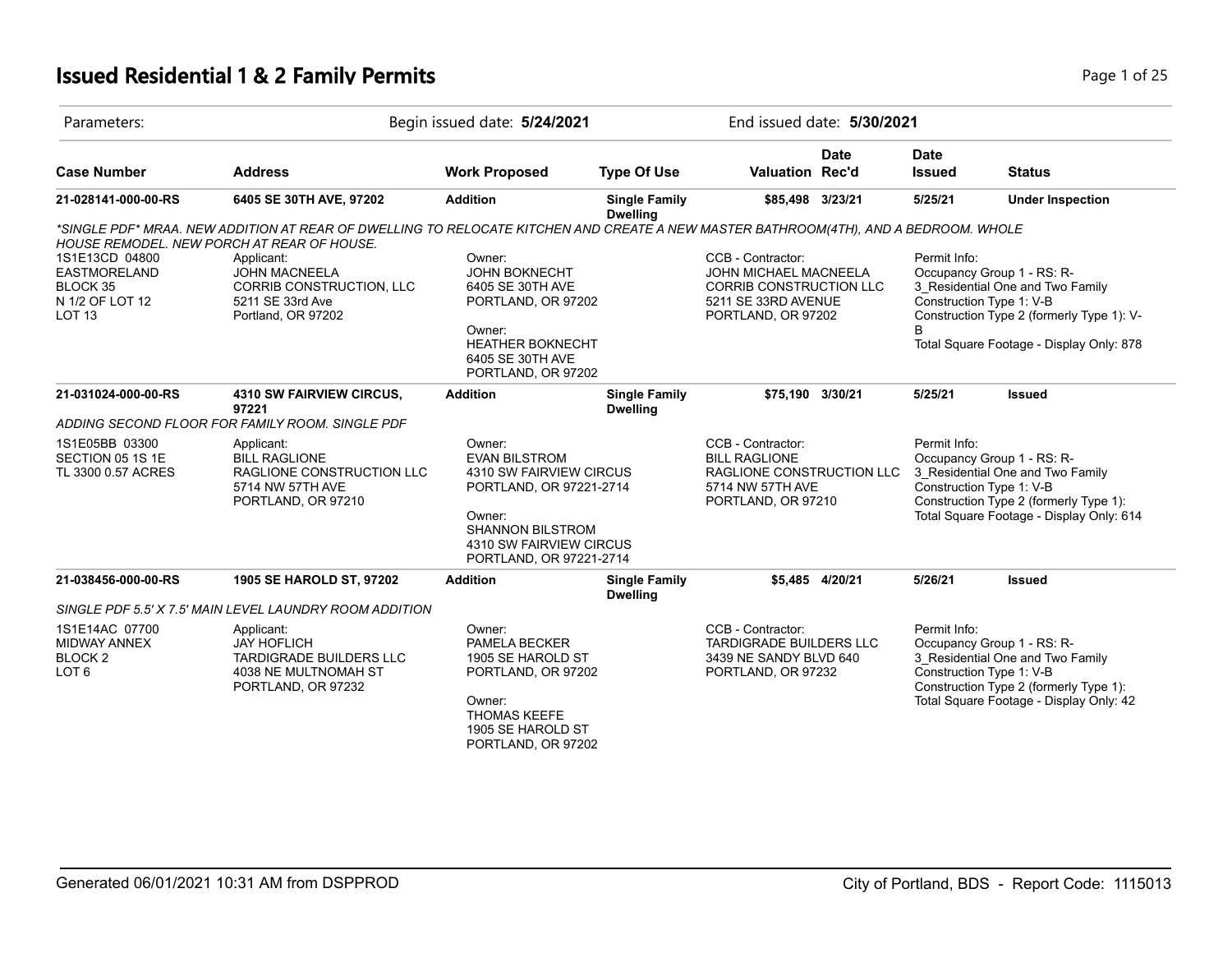# **Issued Residential 1 & 2 Family Permits Page 1 of 25 Page 1 of 25**

| Parameters:                                                                     |                                                                                                                                     | Begin issued date: 5/24/2021                                                                                                                                                    |                                         |                                                                                                                  | End issued date: 5/30/2021 |                                          |                                                                                                                                                      |
|---------------------------------------------------------------------------------|-------------------------------------------------------------------------------------------------------------------------------------|---------------------------------------------------------------------------------------------------------------------------------------------------------------------------------|-----------------------------------------|------------------------------------------------------------------------------------------------------------------|----------------------------|------------------------------------------|------------------------------------------------------------------------------------------------------------------------------------------------------|
| <b>Case Number</b>                                                              | <b>Address</b>                                                                                                                      | <b>Work Proposed</b>                                                                                                                                                            | <b>Type Of Use</b>                      | <b>Valuation Rec'd</b>                                                                                           | <b>Date</b>                | <b>Date</b><br><b>Issued</b>             | <b>Status</b>                                                                                                                                        |
| 21-028141-000-00-RS                                                             | 6405 SE 30TH AVE, 97202                                                                                                             | <b>Addition</b>                                                                                                                                                                 | <b>Single Family</b><br><b>Dwelling</b> | \$85,498 3/23/21                                                                                                 |                            | 5/25/21                                  | <b>Under Inspection</b>                                                                                                                              |
|                                                                                 | *SINGLE PDF* MRAA. NEW ADDITION AT REAR OF DWELLING TO RELOCATE KITCHEN AND CREATE A NEW MASTER BATHROOM(4TH), AND A BEDROOM. WHOLE |                                                                                                                                                                                 |                                         |                                                                                                                  |                            |                                          |                                                                                                                                                      |
|                                                                                 | <b>HOUSE REMODEL. NEW PORCH AT REAR OF HOUSE.</b>                                                                                   |                                                                                                                                                                                 |                                         |                                                                                                                  |                            |                                          |                                                                                                                                                      |
| 1S1E13CD 04800                                                                  | Applicant:                                                                                                                          | Owner:                                                                                                                                                                          |                                         | CCB - Contractor:                                                                                                |                            | Permit Info:                             |                                                                                                                                                      |
| <b>EASTMORELAND</b>                                                             | <b>JOHN MACNEELA</b>                                                                                                                | <b>JOHN BOKNECHT</b>                                                                                                                                                            |                                         | JOHN MICHAEL MACNEELA                                                                                            |                            |                                          | Occupancy Group 1 - RS: R-                                                                                                                           |
| BLOCK 35                                                                        | CORRIB CONSTRUCTION, LLC                                                                                                            | 6405 SE 30TH AVE                                                                                                                                                                |                                         | <b>CORRIB CONSTRUCTION LLC</b>                                                                                   |                            |                                          | 3 Residential One and Two Family                                                                                                                     |
| N 1/2 OF LOT 12<br>LOT <sub>13</sub>                                            | 5211 SE 33rd Ave<br>Portland, OR 97202                                                                                              | PORTLAND, OR 97202                                                                                                                                                              |                                         | 5211 SE 33RD AVENUE<br>PORTLAND, OR 97202                                                                        |                            | Construction Type 1: V-B                 | Construction Type 2 (formerly Type 1): V-                                                                                                            |
|                                                                                 |                                                                                                                                     | Owner:<br><b>HEATHER BOKNECHT</b><br>6405 SE 30TH AVE<br>PORTLAND, OR 97202                                                                                                     |                                         |                                                                                                                  |                            | B                                        | Total Square Footage - Display Only: 878                                                                                                             |
| 21-031024-000-00-RS                                                             | 4310 SW FAIRVIEW CIRCUS,<br>97221                                                                                                   | <b>Addition</b>                                                                                                                                                                 | <b>Single Family</b><br><b>Dwelling</b> | \$75,190 3/30/21                                                                                                 |                            | 5/25/21                                  | Issued                                                                                                                                               |
|                                                                                 | ADDING SECOND FLOOR FOR FAMILY ROOM. SINGLE PDF                                                                                     |                                                                                                                                                                                 |                                         |                                                                                                                  |                            |                                          |                                                                                                                                                      |
| 1S1E05BB 03300<br>SECTION 05 1S 1E<br>TL 3300 0.57 ACRES                        | Applicant:<br><b>BILL RAGLIONE</b><br>RAGLIONE CONSTRUCTION LLC<br>5714 NW 57TH AVE<br>PORTLAND, OR 97210                           | Owner:<br><b>EVAN BILSTROM</b><br>4310 SW FAIRVIEW CIRCUS<br>PORTLAND, OR 97221-2714<br>Owner:<br><b>SHANNON BILSTROM</b><br>4310 SW FAIRVIEW CIRCUS<br>PORTLAND, OR 97221-2714 |                                         | CCB - Contractor:<br><b>BILL RAGLIONE</b><br>RAGLIONE CONSTRUCTION LLC<br>5714 NW 57TH AVE<br>PORTLAND, OR 97210 |                            | Permit Info:<br>Construction Type 1: V-B | Occupancy Group 1 - RS: R-<br>3 Residential One and Two Family<br>Construction Type 2 (formerly Type 1):<br>Total Square Footage - Display Only: 614 |
| 21-038456-000-00-RS                                                             | 1905 SE HAROLD ST, 97202                                                                                                            | <b>Addition</b>                                                                                                                                                                 | <b>Single Family</b><br><b>Dwelling</b> |                                                                                                                  | \$5,485 4/20/21            | 5/26/21                                  | Issued                                                                                                                                               |
|                                                                                 | SINGLE PDF 5.5' X 7.5' MAIN LEVEL LAUNDRY ROOM ADDITION                                                                             |                                                                                                                                                                                 |                                         |                                                                                                                  |                            |                                          |                                                                                                                                                      |
| 1S1E14AC 07700<br><b>MIDWAY ANNEX</b><br>BLOCK <sub>2</sub><br>LOT <sub>6</sub> | Applicant:<br><b>JAY HOFLICH</b><br>TARDIGRADE BUILDERS LLC<br>4038 NE MULTNOMAH ST<br>PORTLAND, OR 97232                           | Owner:<br><b>PAMELA BECKER</b><br>1905 SE HAROLD ST<br>PORTLAND, OR 97202<br>Owner:<br><b>THOMAS KEEFE</b><br>1905 SE HAROLD ST<br>PORTLAND, OR 97202                           |                                         | CCB - Contractor:<br><b>TARDIGRADE BUILDERS LLC</b><br>3439 NE SANDY BLVD 640<br>PORTLAND, OR 97232              |                            | Permit Info:<br>Construction Type 1: V-B | Occupancy Group 1 - RS: R-<br>3_Residential One and Two Family<br>Construction Type 2 (formerly Type 1):<br>Total Square Footage - Display Only: 42  |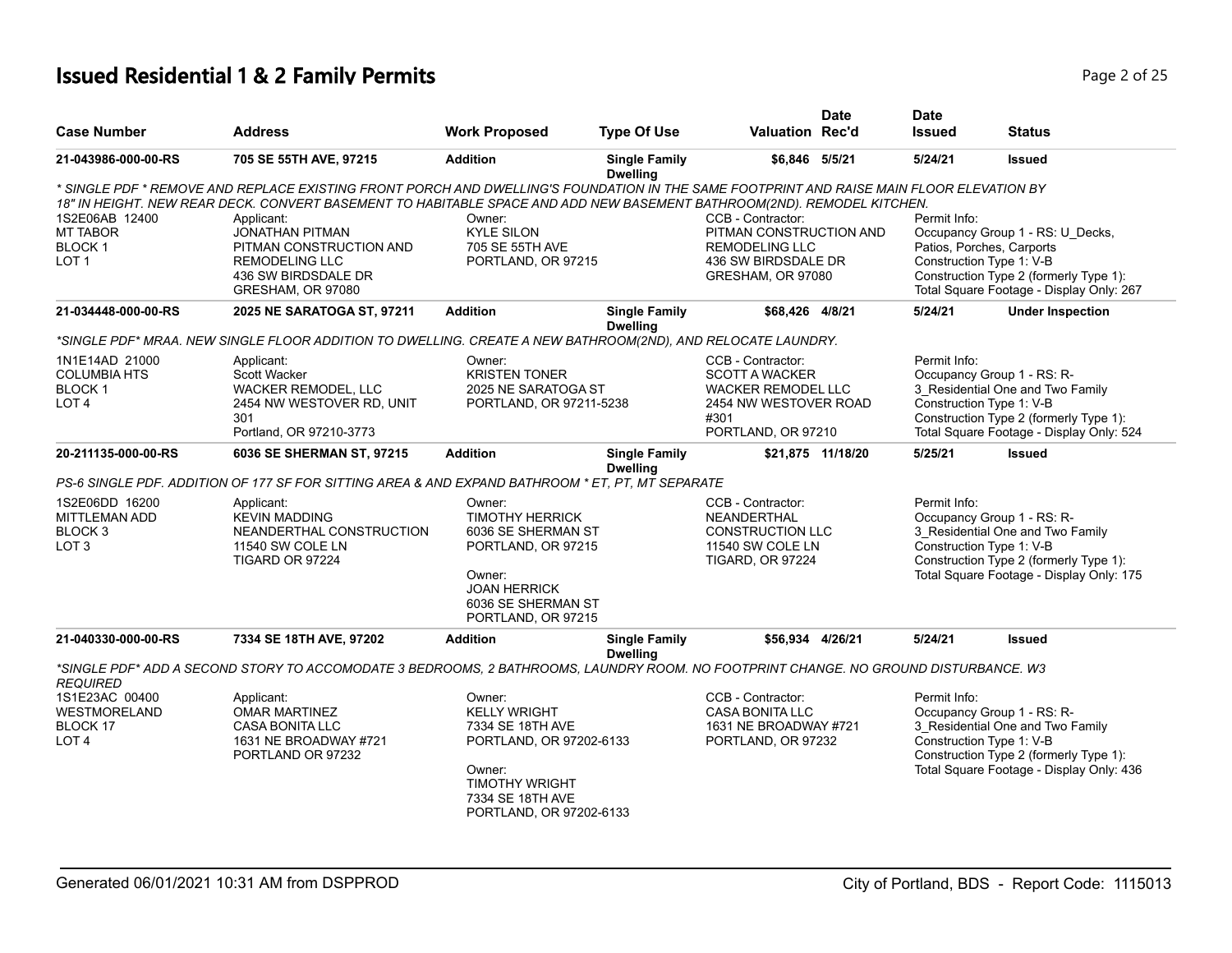| <b>Case Number</b>                                                                                                                                                          | <b>Address</b>                                                                                                                                                                                                                                                                                                                                                                                                                                                                                                                                                                                                                                          | <b>Work Proposed</b>                                                                                                                                                        | <b>Type Of Use</b>                                         | <b>Valuation Rec'd</b>                                                                                                                                                                                                                   | <b>Date</b>       | <b>Date</b><br><b>Issued</b>                                                                                                 | <b>Status</b>                                                                                                                                                                                                       |
|-----------------------------------------------------------------------------------------------------------------------------------------------------------------------------|---------------------------------------------------------------------------------------------------------------------------------------------------------------------------------------------------------------------------------------------------------------------------------------------------------------------------------------------------------------------------------------------------------------------------------------------------------------------------------------------------------------------------------------------------------------------------------------------------------------------------------------------------------|-----------------------------------------------------------------------------------------------------------------------------------------------------------------------------|------------------------------------------------------------|------------------------------------------------------------------------------------------------------------------------------------------------------------------------------------------------------------------------------------------|-------------------|------------------------------------------------------------------------------------------------------------------------------|---------------------------------------------------------------------------------------------------------------------------------------------------------------------------------------------------------------------|
| 21-043986-000-00-RS                                                                                                                                                         | 705 SE 55TH AVE, 97215                                                                                                                                                                                                                                                                                                                                                                                                                                                                                                                                                                                                                                  | <b>Addition</b>                                                                                                                                                             | <b>Single Family</b>                                       | \$6,846 5/5/21                                                                                                                                                                                                                           |                   | 5/24/21                                                                                                                      | <b>Issued</b>                                                                                                                                                                                                       |
| 1S2E06AB 12400<br><b>MT TABOR</b><br><b>BLOCK1</b><br>LOT <sub>1</sub><br>21-034448-000-00-RS<br>1N1E14AD 21000<br><b>COLUMBIA HTS</b><br><b>BLOCK1</b><br>LOT <sub>4</sub> | * SINGLE PDF * REMOVE AND REPLACE EXISTING FRONT PORCH AND DWELLING'S FOUNDATION IN THE SAME FOOTPRINT AND RAISE MAIN FLOOR ELEVATION BY<br>18" IN HEIGHT. NEW REAR DECK. CONVERT BASEMENT TO HABITABLE SPACE AND ADD NEW BASEMENT BATHROOM(2ND). REMODEL KITCHEN.<br>Applicant:<br><b>JONATHAN PITMAN</b><br>PITMAN CONSTRUCTION AND<br><b>REMODELING LLC</b><br>436 SW BIRDSDALE DR<br>GRESHAM, OR 97080<br>2025 NE SARATOGA ST, 97211<br>*SINGLE PDF* MRAA. NEW SINGLE FLOOR ADDITION TO DWELLING. CREATE A NEW BATHROOM(2ND), AND RELOCATE LAUNDRY.<br>Applicant:<br><b>Scott Wacker</b><br><b>WACKER REMODEL, LLC</b><br>2454 NW WESTOVER RD, UNIT | Owner:<br><b>KYLE SILON</b><br>705 SE 55TH AVE<br>PORTLAND, OR 97215<br><b>Addition</b><br>Owner:<br><b>KRISTEN TONER</b><br>2025 NE SARATOGA ST<br>PORTLAND, OR 97211-5238 | <b>Dwelling</b><br><b>Single Family</b><br><b>Dwelling</b> | CCB - Contractor:<br>PITMAN CONSTRUCTION AND<br><b>REMODELING LLC</b><br>436 SW BIRDSDALE DR<br>GRESHAM, OR 97080<br>\$68,426 4/8/21<br>CCB - Contractor:<br><b>SCOTT A WACKER</b><br><b>WACKER REMODEL LLC</b><br>2454 NW WESTOVER ROAD |                   | Permit Info:<br>Patios, Porches, Carports<br>Construction Type 1: V-B<br>5/24/21<br>Permit Info:<br>Construction Type 1: V-B | Occupancy Group 1 - RS: U_Decks,<br>Construction Type 2 (formerly Type 1):<br>Total Square Footage - Display Only: 267<br><b>Under Inspection</b><br>Occupancy Group 1 - RS: R-<br>3 Residential One and Two Family |
|                                                                                                                                                                             | 301<br>Portland, OR 97210-3773                                                                                                                                                                                                                                                                                                                                                                                                                                                                                                                                                                                                                          |                                                                                                                                                                             |                                                            | #301<br>PORTLAND, OR 97210                                                                                                                                                                                                               |                   |                                                                                                                              | Construction Type 2 (formerly Type 1):<br>Total Square Footage - Display Only: 524                                                                                                                                  |
| 20-211135-000-00-RS                                                                                                                                                         | 6036 SE SHERMAN ST, 97215                                                                                                                                                                                                                                                                                                                                                                                                                                                                                                                                                                                                                               | <b>Addition</b>                                                                                                                                                             | <b>Single Family</b><br><b>Dwelling</b>                    |                                                                                                                                                                                                                                          | \$21,875 11/18/20 | 5/25/21                                                                                                                      | <b>Issued</b>                                                                                                                                                                                                       |
|                                                                                                                                                                             | PS-6 SINGLE PDF. ADDITION OF 177 SF FOR SITTING AREA & AND EXPAND BATHROOM * ET. PT. MT SEPARATE                                                                                                                                                                                                                                                                                                                                                                                                                                                                                                                                                        |                                                                                                                                                                             |                                                            |                                                                                                                                                                                                                                          |                   |                                                                                                                              |                                                                                                                                                                                                                     |
| 1S2E06DD 16200<br><b>MITTLEMAN ADD</b><br>BLOCK <sub>3</sub><br>LOT <sub>3</sub>                                                                                            | Applicant:<br><b>KEVIN MADDING</b><br>NEANDERTHAL CONSTRUCTION<br>11540 SW COLE LN<br>TIGARD OR 97224                                                                                                                                                                                                                                                                                                                                                                                                                                                                                                                                                   | Owner:<br><b>TIMOTHY HERRICK</b><br>6036 SE SHERMAN ST<br>PORTLAND, OR 97215<br>Owner:<br><b>JOAN HERRICK</b><br>6036 SE SHERMAN ST<br>PORTLAND, OR 97215                   |                                                            | CCB - Contractor:<br>NEANDERTHAL<br><b>CONSTRUCTION LLC</b><br>11540 SW COLE LN<br><b>TIGARD, OR 97224</b>                                                                                                                               |                   | Permit Info:<br>Construction Type 1: V-B                                                                                     | Occupancy Group 1 - RS: R-<br>3 Residential One and Two Family<br>Construction Type 2 (formerly Type 1):<br>Total Square Footage - Display Only: 175                                                                |
| 21-040330-000-00-RS                                                                                                                                                         | 7334 SE 18TH AVE, 97202                                                                                                                                                                                                                                                                                                                                                                                                                                                                                                                                                                                                                                 | <b>Addition</b>                                                                                                                                                             | <b>Single Family</b><br><b>Dwelling</b>                    | \$56,934 4/26/21                                                                                                                                                                                                                         |                   | 5/24/21                                                                                                                      | <b>Issued</b>                                                                                                                                                                                                       |
| <b>REQUIRED</b>                                                                                                                                                             | *SINGLE PDF* ADD A SECOND STORY TO ACCOMODATE 3 BEDROOMS, 2 BATHROOMS, LAUNDRY ROOM. NO FOOTPRINT CHANGE. NO GROUND DISTURBANCE. W3                                                                                                                                                                                                                                                                                                                                                                                                                                                                                                                     |                                                                                                                                                                             |                                                            |                                                                                                                                                                                                                                          |                   |                                                                                                                              |                                                                                                                                                                                                                     |
| 1S1E23AC 00400<br>WESTMORELAND<br>BLOCK 17<br>LOT <sub>4</sub>                                                                                                              | Applicant:<br><b>OMAR MARTINEZ</b><br><b>CASA BONITA LLC</b><br>1631 NE BROADWAY #721<br>PORTLAND OR 97232                                                                                                                                                                                                                                                                                                                                                                                                                                                                                                                                              | Owner:<br><b>KELLY WRIGHT</b><br>7334 SE 18TH AVE<br>PORTLAND, OR 97202-6133<br>Owner:<br><b>TIMOTHY WRIGHT</b><br>7334 SE 18TH AVE<br>PORTLAND, OR 97202-6133              |                                                            | CCB - Contractor:<br><b>CASA BONITA LLC</b><br>1631 NE BROADWAY #721<br>PORTLAND, OR 97232                                                                                                                                               |                   | Permit Info:<br>Construction Type 1: V-B                                                                                     | Occupancy Group 1 - RS: R-<br>3 Residential One and Two Family<br>Construction Type 2 (formerly Type 1):<br>Total Square Footage - Display Only: 436                                                                |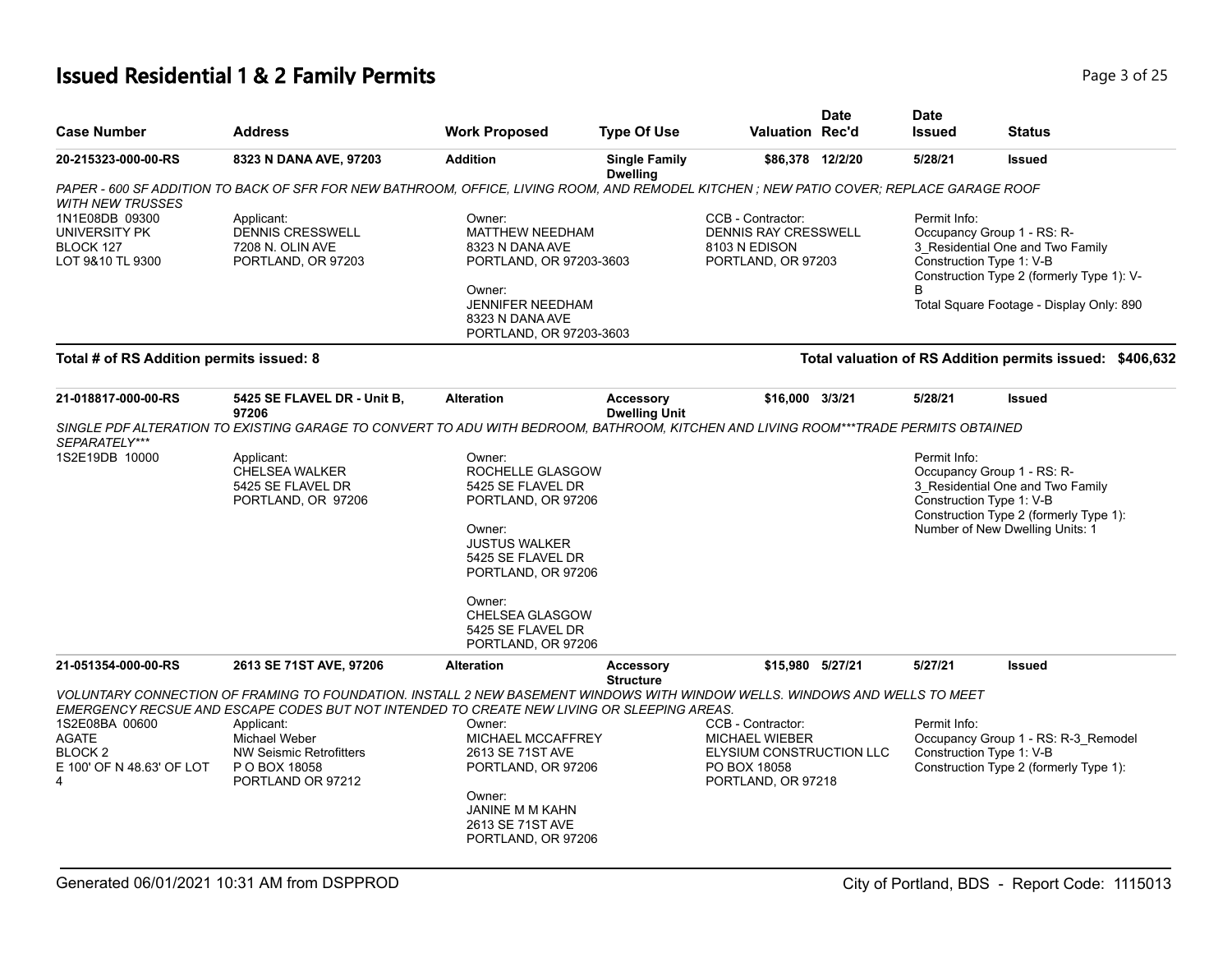| <b>Case Number</b>                                                   | <b>Address</b>                                                                                                                                                                                                                                                                                                                  | <b>Work Proposed</b>                                                                                                                                                                                                       | <b>Type Of Use</b>                       | <b>Valuation Rec'd</b>                                                                                       | <b>Date</b> | <b>Date</b><br><b>Issued</b> | <b>Status</b>                                                                                                                                                                       |
|----------------------------------------------------------------------|---------------------------------------------------------------------------------------------------------------------------------------------------------------------------------------------------------------------------------------------------------------------------------------------------------------------------------|----------------------------------------------------------------------------------------------------------------------------------------------------------------------------------------------------------------------------|------------------------------------------|--------------------------------------------------------------------------------------------------------------|-------------|------------------------------|-------------------------------------------------------------------------------------------------------------------------------------------------------------------------------------|
| 20-215323-000-00-RS                                                  | 8323 N DANA AVE, 97203                                                                                                                                                                                                                                                                                                          | <b>Addition</b>                                                                                                                                                                                                            | <b>Single Family</b><br><b>Dwelling</b>  | \$86,378 12/2/20                                                                                             |             | 5/28/21                      | <b>Issued</b>                                                                                                                                                                       |
| <b>WITH NEW TRUSSES</b>                                              | PAPER - 600 SF ADDITION TO BACK OF SFR FOR NEW BATHROOM, OFFICE, LIVING ROOM, AND REMODEL KITCHEN ; NEW PATIO COVER; REPLACE GARAGE ROOF                                                                                                                                                                                        |                                                                                                                                                                                                                            |                                          |                                                                                                              |             |                              |                                                                                                                                                                                     |
| 1N1E08DB 09300<br>UNIVERSITY PK<br>BLOCK 127<br>LOT 9&10 TL 9300     | Applicant:<br><b>DENNIS CRESSWELL</b><br>7208 N. OLIN AVE<br>PORTLAND, OR 97203                                                                                                                                                                                                                                                 | Owner:<br><b>MATTHEW NEEDHAM</b><br>8323 N DANA AVE<br>PORTLAND, OR 97203-3603<br>Owner:<br><b>JENNIFER NEEDHAM</b><br>8323 N DANA AVE<br>PORTLAND, OR 97203-3603                                                          |                                          | CCB - Contractor:<br><b>DENNIS RAY CRESSWELL</b><br>8103 N EDISON<br>PORTLAND, OR 97203                      |             | Permit Info:<br>B            | Occupancy Group 1 - RS: R-<br>3 Residential One and Two Family<br>Construction Type 1: V-B<br>Construction Type 2 (formerly Type 1): V-<br>Total Square Footage - Display Only: 890 |
| Total # of RS Addition permits issued: 8                             |                                                                                                                                                                                                                                                                                                                                 |                                                                                                                                                                                                                            |                                          |                                                                                                              |             |                              | Total valuation of RS Addition permits issued: \$406,632                                                                                                                            |
| 21-018817-000-00-RS                                                  | 5425 SE FLAVEL DR - Unit B,<br>97206                                                                                                                                                                                                                                                                                            | <b>Alteration</b>                                                                                                                                                                                                          | <b>Accessory</b><br><b>Dwelling Unit</b> | \$16,000 3/3/21                                                                                              |             | 5/28/21                      | <b>Issued</b>                                                                                                                                                                       |
| SEPARATELY***                                                        | SINGLE PDF ALTERATION TO EXISTING GARAGE TO CONVERT TO ADU WITH BEDROOM, BATHROOM, KITCHEN AND LIVING ROOM***TRADE PERMITS OBTAINED                                                                                                                                                                                             |                                                                                                                                                                                                                            |                                          |                                                                                                              |             |                              |                                                                                                                                                                                     |
| 1S2E19DB 10000                                                       | Applicant:<br>CHELSEA WALKER<br>5425 SE FLAVEL DR<br>PORTLAND, OR 97206                                                                                                                                                                                                                                                         | Owner:<br>ROCHELLE GLASGOW<br>5425 SE FLAVEL DR<br>PORTLAND, OR 97206<br>Owner:<br><b>JUSTUS WALKER</b><br>5425 SE FLAVEL DR<br>PORTLAND, OR 97206<br>Owner:<br>CHELSEA GLASGOW<br>5425 SE FLAVEL DR<br>PORTLAND, OR 97206 |                                          |                                                                                                              |             | Permit Info:                 | Occupancy Group 1 - RS: R-<br>3 Residential One and Two Family<br>Construction Type 1: V-B<br>Construction Type 2 (formerly Type 1):<br>Number of New Dwelling Units: 1             |
| 21-051354-000-00-RS                                                  | 2613 SE 71ST AVE, 97206                                                                                                                                                                                                                                                                                                         | <b>Alteration</b>                                                                                                                                                                                                          | <b>Accessory</b><br><b>Structure</b>     | \$15,980 5/27/21                                                                                             |             | 5/27/21                      | <b>Issued</b>                                                                                                                                                                       |
| 1S2E08BA 00600<br>AGATE<br>BLOCK 2<br>E 100' OF N 48.63' OF LOT<br>4 | VOLUNTARY CONNECTION OF FRAMING TO FOUNDATION. INSTALL 2 NEW BASEMENT WINDOWS WITH WINDOW WELLS. WINDOWS AND WELLS TO MEET<br>EMERGENCY RECSUE AND ESCAPE CODES BUT NOT INTENDED TO CREATE NEW LIVING OR SLEEPING AREAS.<br>Applicant:<br><b>Michael Weber</b><br>NW Seismic Retrofitters<br>P O BOX 18058<br>PORTLAND OR 97212 | Owner:<br>MICHAEL MCCAFFREY<br>2613 SE 71ST AVE<br>PORTLAND, OR 97206<br>Owner:<br>JANINE M M KAHN<br>2613 SE 71ST AVE<br>PORTLAND, OR 97206                                                                               |                                          | CCB - Contractor:<br><b>MICHAEL WIEBER</b><br>ELYSIUM CONSTRUCTION LLC<br>PO BOX 18058<br>PORTLAND, OR 97218 |             | Permit Info:                 | Occupancy Group 1 - RS: R-3_Remodel<br>Construction Type 1: V-B<br>Construction Type 2 (formerly Type 1):                                                                           |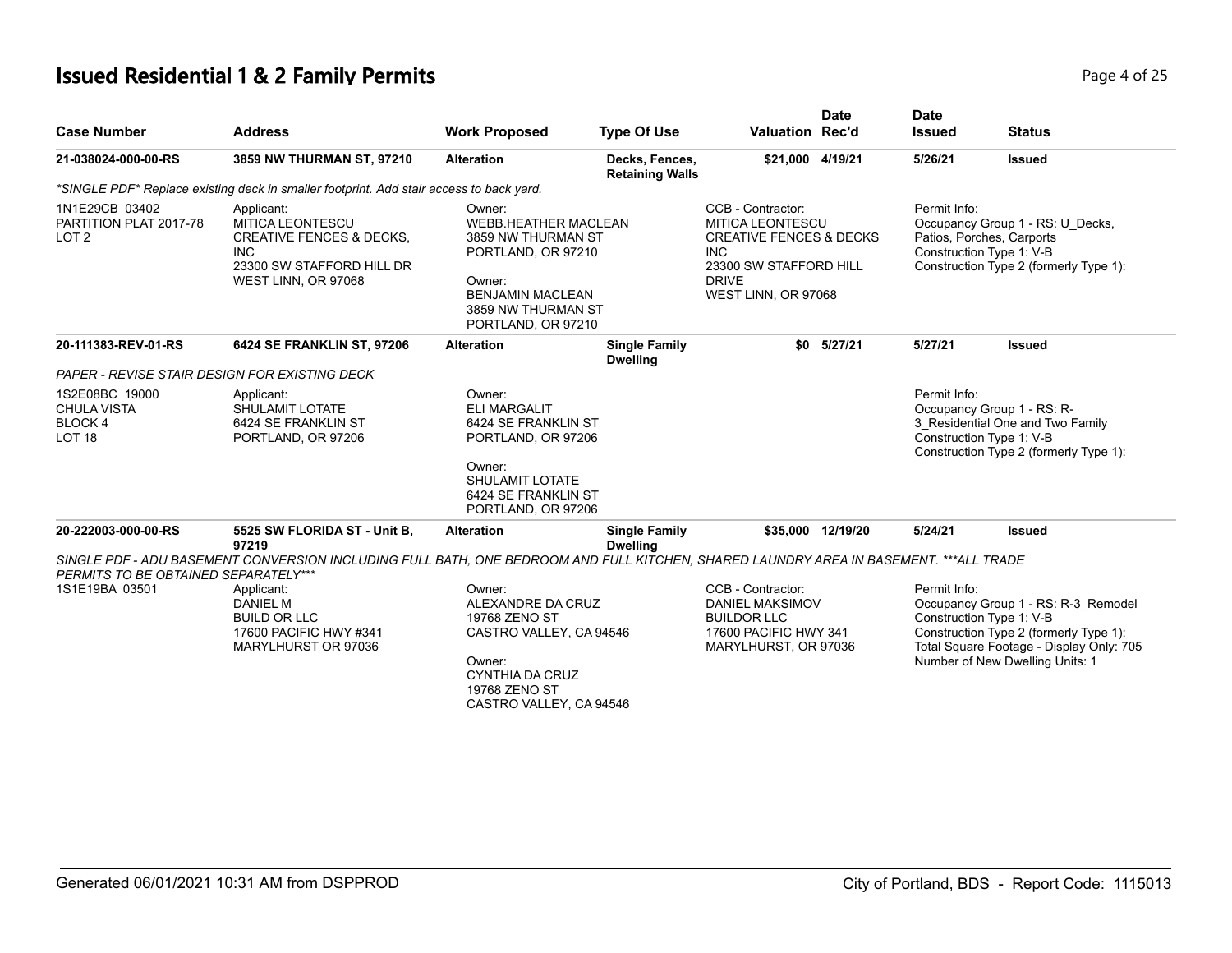# **Issued Residential 1 & 2 Family Permits**

| Page 4 of 25 |  |  |  |  |
|--------------|--|--|--|--|
|--------------|--|--|--|--|

| <b>Case Number</b>                                                   | <b>Address</b>                                                                                                                                 | <b>Work Proposed</b>                                                                                                                                                                                                                                                                                                                                                                                             | <b>Type Of Use</b>                       | <b>Valuation Rec'd</b>                                                                                             | <b>Date</b>       | <b>Date</b><br><b>Issued</b>                                               | <b>Status</b>                                                                                                                                                                            |
|----------------------------------------------------------------------|------------------------------------------------------------------------------------------------------------------------------------------------|------------------------------------------------------------------------------------------------------------------------------------------------------------------------------------------------------------------------------------------------------------------------------------------------------------------------------------------------------------------------------------------------------------------|------------------------------------------|--------------------------------------------------------------------------------------------------------------------|-------------------|----------------------------------------------------------------------------|------------------------------------------------------------------------------------------------------------------------------------------------------------------------------------------|
| 21-038024-000-00-RS                                                  | 3859 NW THURMAN ST, 97210                                                                                                                      | <b>Alteration</b>                                                                                                                                                                                                                                                                                                                                                                                                | Decks, Fences,<br><b>Retaining Walls</b> | \$21,000 4/19/21                                                                                                   |                   | 5/26/21                                                                    | <b>Issued</b>                                                                                                                                                                            |
|                                                                      | *SINGLE PDF* Replace existing deck in smaller footprint. Add stair access to back yard.                                                        |                                                                                                                                                                                                                                                                                                                                                                                                                  |                                          |                                                                                                                    |                   |                                                                            |                                                                                                                                                                                          |
| 1N1E29CB 03402<br>PARTITION PLAT 2017-78<br>LOT <sub>2</sub>         | Applicant:<br><b>MITICA LEONTESCU</b><br><b>CREATIVE FENCES &amp; DECKS,</b><br><b>INC</b><br>23300 SW STAFFORD HILL DR<br>WEST LINN, OR 97068 | CCB - Contractor:<br>Permit Info:<br>Owner:<br><b>WEBB.HEATHER MACLEAN</b><br><b>MITICA LEONTESCU</b><br><b>CREATIVE FENCES &amp; DECKS</b><br>Patios, Porches, Carports<br>3859 NW THURMAN ST<br><b>INC</b><br>Construction Type 1: V-B<br>PORTLAND, OR 97210<br>23300 SW STAFFORD HILL<br>Owner:<br><b>DRIVE</b><br><b>BENJAMIN MACLEAN</b><br>WEST LINN, OR 97068<br>3859 NW THURMAN ST<br>PORTLAND, OR 97210 |                                          |                                                                                                                    |                   | Occupancy Group 1 - RS: U Decks,<br>Construction Type 2 (formerly Type 1): |                                                                                                                                                                                          |
| 20-111383-REV-01-RS                                                  | 6424 SE FRANKLIN ST, 97206                                                                                                                     | <b>Alteration</b>                                                                                                                                                                                                                                                                                                                                                                                                | <b>Single Family</b><br><b>Dwelling</b>  | \$0                                                                                                                | 5/27/21           | 5/27/21                                                                    | <b>Issued</b>                                                                                                                                                                            |
|                                                                      | <b>PAPER - REVISE STAIR DESIGN FOR EXISTING DECK</b>                                                                                           |                                                                                                                                                                                                                                                                                                                                                                                                                  |                                          |                                                                                                                    |                   |                                                                            |                                                                                                                                                                                          |
| 1S2E08BC 19000<br><b>CHULA VISTA</b><br>BLOCK 4<br>LOT <sub>18</sub> | Applicant:<br>SHULAMIT LOTATE<br>6424 SE FRANKLIN ST<br>PORTLAND, OR 97206                                                                     | Owner:<br><b>ELI MARGALIT</b><br>6424 SE FRANKLIN ST<br>PORTLAND, OR 97206<br>Owner:                                                                                                                                                                                                                                                                                                                             |                                          |                                                                                                                    |                   | Permit Info:                                                               | Occupancy Group 1 - RS: R-<br>3 Residential One and Two Family<br>Construction Type 1: V-B<br>Construction Type 2 (formerly Type 1):                                                     |
|                                                                      |                                                                                                                                                | <b>SHULAMIT LOTATE</b><br>6424 SE FRANKLIN ST<br>PORTLAND, OR 97206                                                                                                                                                                                                                                                                                                                                              |                                          |                                                                                                                    |                   |                                                                            |                                                                                                                                                                                          |
| 20-222003-000-00-RS                                                  | 5525 SW FLORIDA ST - Unit B,<br>97219                                                                                                          | <b>Alteration</b>                                                                                                                                                                                                                                                                                                                                                                                                | <b>Single Family</b><br><b>Dwelling</b>  |                                                                                                                    | \$35,000 12/19/20 | 5/24/21                                                                    | <b>Issued</b>                                                                                                                                                                            |
|                                                                      | SINGLE PDF - ADU BASEMENT CONVERSION INCLUDING FULL BATH, ONE BEDROOM AND FULL KITCHEN, SHARED LAUNDRY AREA IN BASEMENT. ***ALL TRADE          |                                                                                                                                                                                                                                                                                                                                                                                                                  |                                          |                                                                                                                    |                   |                                                                            |                                                                                                                                                                                          |
| PERMITS TO BE OBTAINED SEPARATELY***<br>1S1E19BA 03501               | Applicant:<br><b>DANIEL M</b><br><b>BUILD OR LLC</b><br>17600 PACIFIC HWY #341<br>MARYLHURST OR 97036                                          | Owner:<br>ALEXANDRE DA CRUZ<br>19768 ZENO ST<br>CASTRO VALLEY, CA 94546<br>Owner:<br><b>CYNTHIA DA CRUZ</b><br>19768 ZENO ST<br>CASTRO VALLEY, CA 94546                                                                                                                                                                                                                                                          |                                          | CCB - Contractor:<br><b>DANIEL MAKSIMOV</b><br><b>BUILDOR LLC</b><br>17600 PACIFIC HWY 341<br>MARYLHURST, OR 97036 |                   | Permit Info:                                                               | Occupancy Group 1 - RS: R-3 Remodel<br>Construction Type 1: V-B<br>Construction Type 2 (formerly Type 1):<br>Total Square Footage - Display Only: 705<br>Number of New Dwelling Units: 1 |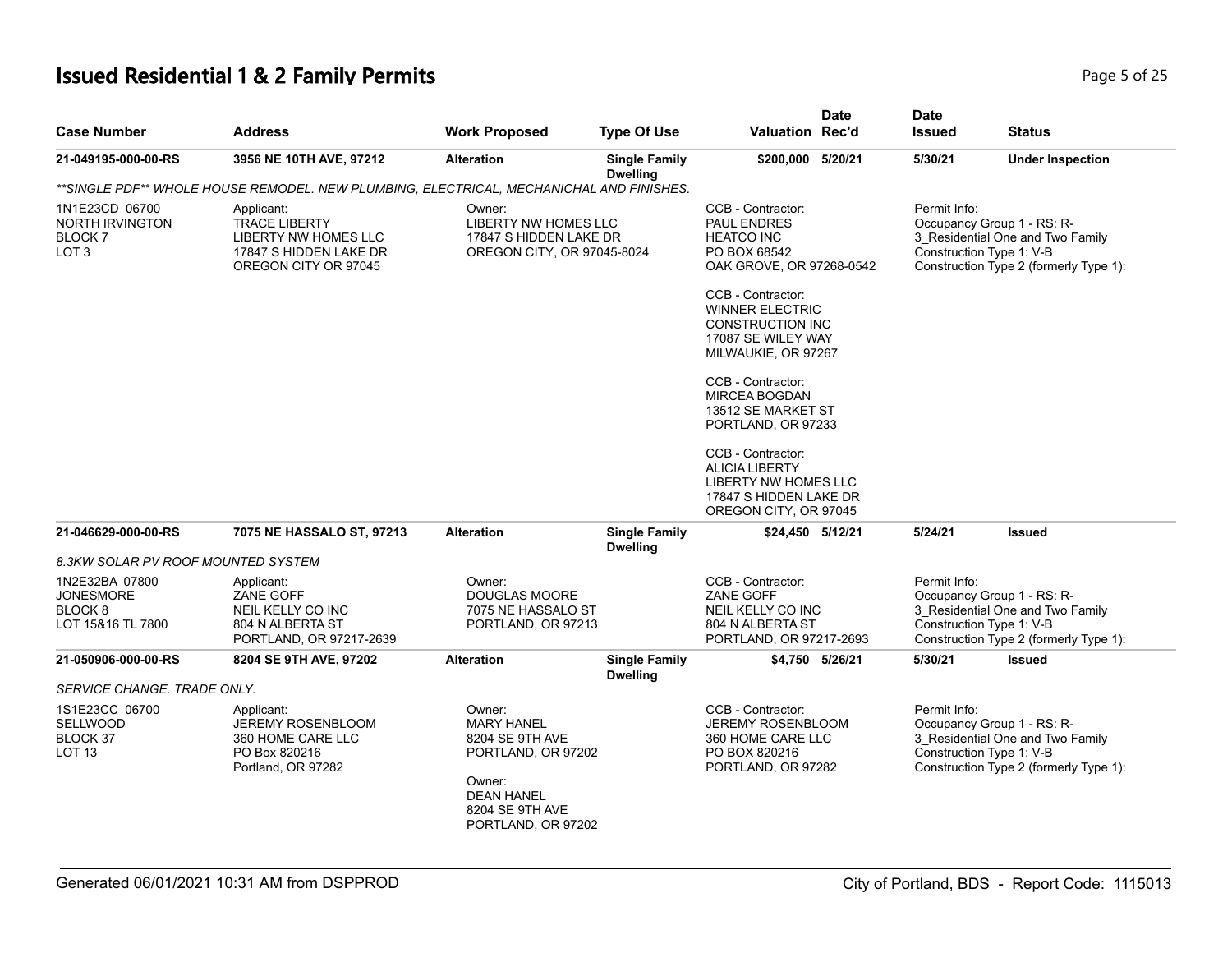| <b>Case Number</b>                                                            | <b>Address</b>                                                                                               | <b>Work Proposed</b>                                                                                                                         | <b>Type Of Use</b>                      | <b>Valuation Rec'd</b>                                                                                                                                                                                                                                                                                                                                                                                                   | <b>Date</b>     | <b>Date</b><br><b>Issued</b> | <b>Status</b>                                                                                                                        |
|-------------------------------------------------------------------------------|--------------------------------------------------------------------------------------------------------------|----------------------------------------------------------------------------------------------------------------------------------------------|-----------------------------------------|--------------------------------------------------------------------------------------------------------------------------------------------------------------------------------------------------------------------------------------------------------------------------------------------------------------------------------------------------------------------------------------------------------------------------|-----------------|------------------------------|--------------------------------------------------------------------------------------------------------------------------------------|
| 21-049195-000-00-RS                                                           | 3956 NE 10TH AVE, 97212                                                                                      | <b>Alteration</b>                                                                                                                            | <b>Single Family</b><br><b>Dwelling</b> | \$200,000 5/20/21                                                                                                                                                                                                                                                                                                                                                                                                        |                 | 5/30/21                      | <b>Under Inspection</b>                                                                                                              |
|                                                                               | **SINGLE PDF** WHOLE HOUSE REMODEL. NEW PLUMBING, ELECTRICAL, MECHANICHAL AND FINISHES.                      |                                                                                                                                              |                                         |                                                                                                                                                                                                                                                                                                                                                                                                                          |                 |                              |                                                                                                                                      |
| 1N1E23CD 06700<br><b>NORTH IRVINGTON</b><br>BLOCK 7<br>LOT <sub>3</sub>       | Applicant:<br><b>TRACE LIBERTY</b><br>LIBERTY NW HOMES LLC<br>17847 S HIDDEN LAKE DR<br>OREGON CITY OR 97045 | Owner:<br>LIBERTY NW HOMES LLC<br>17847 S HIDDEN LAKE DR<br>OREGON CITY, OR 97045-8024                                                       |                                         | CCB - Contractor:<br><b>PAUL ENDRES</b><br><b>HEATCO INC</b><br>PO BOX 68542<br>OAK GROVE, OR 97268-0542<br>CCB - Contractor:<br><b>WINNER ELECTRIC</b><br><b>CONSTRUCTION INC</b><br>17087 SE WILEY WAY<br>MILWAUKIE, OR 97267<br>CCB - Contractor:<br><b>MIRCEA BOGDAN</b><br>13512 SE MARKET ST<br>PORTLAND, OR 97233<br>CCB - Contractor:<br><b>ALICIA LIBERTY</b><br>LIBERTY NW HOMES LLC<br>17847 S HIDDEN LAKE DR |                 | Permit Info:                 | Occupancy Group 1 - RS: R-<br>3_Residential One and Two Family<br>Construction Type 1: V-B<br>Construction Type 2 (formerly Type 1): |
| 21-046629-000-00-RS                                                           | 7075 NE HASSALO ST, 97213                                                                                    | <b>Alteration</b>                                                                                                                            | <b>Single Family</b>                    | OREGON CITY, OR 97045<br>\$24,450 5/12/21                                                                                                                                                                                                                                                                                                                                                                                |                 | 5/24/21                      | <b>Issued</b>                                                                                                                        |
| 8.3KW SOLAR PV ROOF MOUNTED SYSTEM                                            |                                                                                                              |                                                                                                                                              | <b>Dwelling</b>                         |                                                                                                                                                                                                                                                                                                                                                                                                                          |                 |                              |                                                                                                                                      |
| 1N2E32BA 07800<br><b>JONESMORE</b><br>BLOCK <sub>8</sub><br>LOT 15&16 TL 7800 | Applicant:<br>ZANE GOFF<br>NEIL KELLY CO INC<br>804 N ALBERTA ST<br>PORTLAND, OR 97217-2639                  | Owner:<br><b>DOUGLAS MOORE</b><br>7075 NE HASSALO ST<br>PORTLAND, OR 97213                                                                   |                                         | CCB - Contractor:<br>ZANE GOFF<br>NEIL KELLY CO INC<br>804 N ALBERTA ST<br>PORTLAND, OR 97217-2693                                                                                                                                                                                                                                                                                                                       |                 | Permit Info:                 | Occupancy Group 1 - RS: R-<br>3 Residential One and Two Family<br>Construction Type 1: V-B<br>Construction Type 2 (formerly Type 1): |
| 21-050906-000-00-RS                                                           | 8204 SE 9TH AVE, 97202                                                                                       | <b>Alteration</b>                                                                                                                            | <b>Single Family</b>                    |                                                                                                                                                                                                                                                                                                                                                                                                                          | \$4,750 5/26/21 | 5/30/21                      | <b>Issued</b>                                                                                                                        |
| SERVICE CHANGE. TRADE ONLY.                                                   |                                                                                                              |                                                                                                                                              | <b>Dwelling</b>                         |                                                                                                                                                                                                                                                                                                                                                                                                                          |                 |                              |                                                                                                                                      |
| 1S1E23CC 06700<br><b>SELLWOOD</b><br>BLOCK 37<br>LOT <sub>13</sub>            | Applicant:<br><b>JEREMY ROSENBLOOM</b><br>360 HOME CARE LLC<br>PO Box 820216<br>Portland, OR 97282           | Owner:<br><b>MARY HANEL</b><br>8204 SE 9TH AVE<br>PORTLAND, OR 97202<br>Owner:<br><b>DEAN HANEL</b><br>8204 SE 9TH AVE<br>PORTLAND, OR 97202 |                                         | CCB - Contractor:<br><b>JEREMY ROSENBLOOM</b><br>360 HOME CARE LLC<br>PO BOX 820216<br>PORTLAND, OR 97282                                                                                                                                                                                                                                                                                                                |                 | Permit Info:                 | Occupancy Group 1 - RS: R-<br>3 Residential One and Two Family<br>Construction Type 1: V-B<br>Construction Type 2 (formerly Type 1): |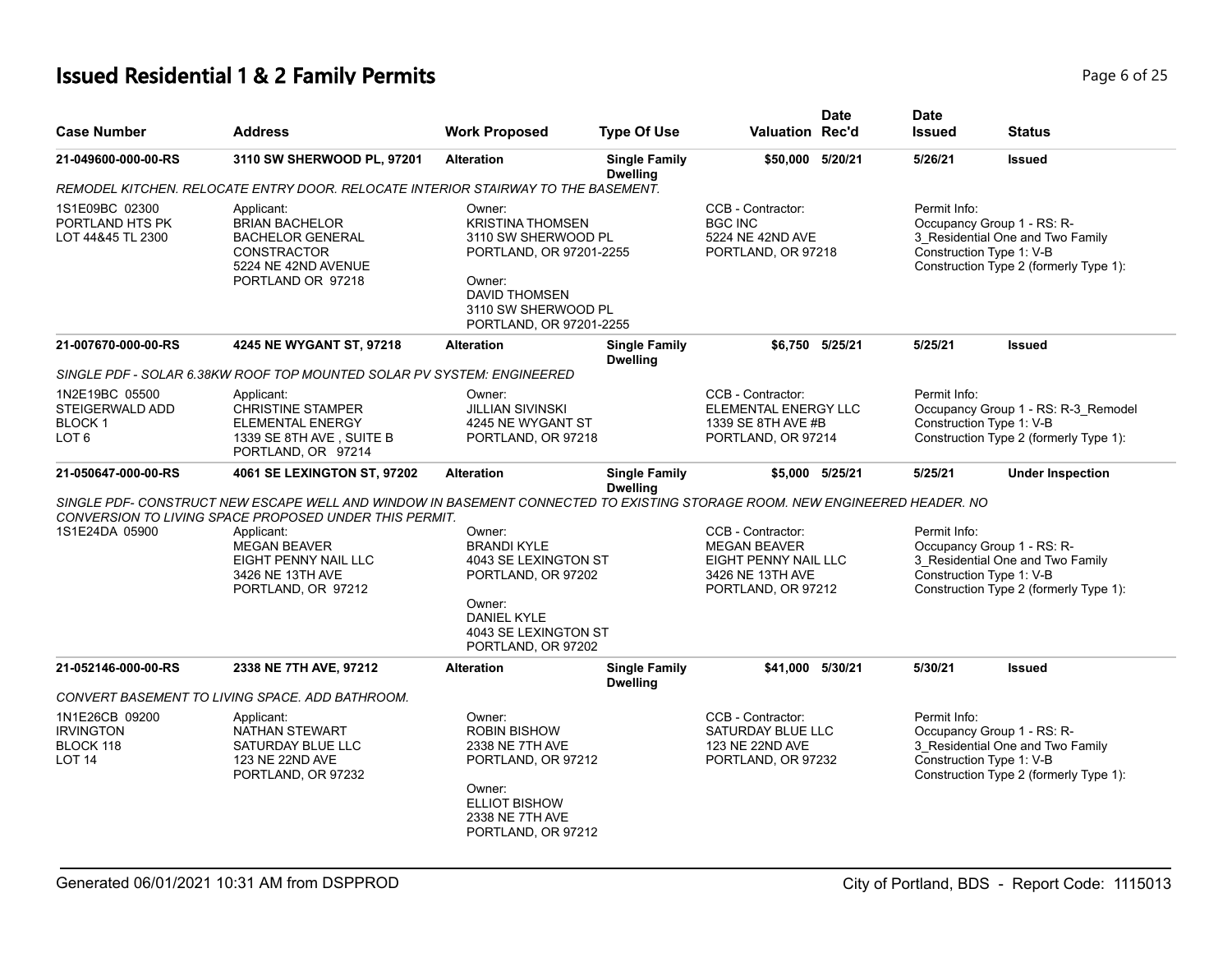| <b>Case Number</b>                                                     | <b>Address</b>                                                                                                                                                | <b>Work Proposed</b>                                                                                                                                                    | <b>Type Of Use</b>                      | <b>Valuation Rec'd</b>                                                                                     | <b>Date</b>     | <b>Date</b><br><b>Issued</b>             | <b>Status</b>                                                                                                                        |
|------------------------------------------------------------------------|---------------------------------------------------------------------------------------------------------------------------------------------------------------|-------------------------------------------------------------------------------------------------------------------------------------------------------------------------|-----------------------------------------|------------------------------------------------------------------------------------------------------------|-----------------|------------------------------------------|--------------------------------------------------------------------------------------------------------------------------------------|
| 21-049600-000-00-RS                                                    | 3110 SW SHERWOOD PL, 97201                                                                                                                                    | <b>Alteration</b>                                                                                                                                                       | <b>Single Family</b><br><b>Dwelling</b> | \$50,000 5/20/21                                                                                           |                 | 5/26/21                                  | <b>Issued</b>                                                                                                                        |
|                                                                        | REMODEL KITCHEN. RELOCATE ENTRY DOOR. RELOCATE INTERIOR STAIRWAY TO THE BASEMENT.                                                                             |                                                                                                                                                                         |                                         |                                                                                                            |                 |                                          |                                                                                                                                      |
| 1S1E09BC 02300<br>PORTLAND HTS PK<br>LOT 44&45 TL 2300                 | Applicant:<br><b>BRIAN BACHELOR</b><br><b>BACHELOR GENERAL</b><br><b>CONSTRACTOR</b><br>5224 NE 42ND AVENUE<br>PORTLAND OR 97218                              | Owner:<br><b>KRISTINA THOMSEN</b><br>3110 SW SHERWOOD PL<br>PORTLAND, OR 97201-2255<br>Owner:<br><b>DAVID THOMSEN</b><br>3110 SW SHERWOOD PL<br>PORTLAND, OR 97201-2255 |                                         | CCB - Contractor:<br><b>BGC INC</b><br>5224 NE 42ND AVE<br>PORTLAND, OR 97218                              |                 | Permit Info:                             | Occupancy Group 1 - RS: R-<br>3 Residential One and Two Family<br>Construction Type 1: V-B<br>Construction Type 2 (formerly Type 1): |
| 21-007670-000-00-RS                                                    | 4245 NE WYGANT ST, 97218                                                                                                                                      | <b>Alteration</b>                                                                                                                                                       | <b>Single Family</b><br><b>Dwelling</b> |                                                                                                            | \$6,750 5/25/21 | 5/25/21                                  | <b>Issued</b>                                                                                                                        |
|                                                                        | SINGLE PDF - SOLAR 6.38KW ROOF TOP MOUNTED SOLAR PV SYSTEM: ENGINEERED                                                                                        |                                                                                                                                                                         |                                         |                                                                                                            |                 |                                          |                                                                                                                                      |
| 1N2E19BC 05500<br>STEIGERWALD ADD<br><b>BLOCK1</b><br>LOT <sub>6</sub> | Applicant:<br><b>CHRISTINE STAMPER</b><br><b>ELEMENTAL ENERGY</b><br>1339 SE 8TH AVE, SUITE B<br>PORTLAND, OR 97214                                           | Owner:<br><b>JILLIAN SIVINSKI</b><br>4245 NE WYGANT ST<br>PORTLAND, OR 97218                                                                                            |                                         | CCB - Contractor:<br>ELEMENTAL ENERGY LLC<br>1339 SE 8TH AVE #B<br>PORTLAND, OR 97214                      |                 | Permit Info:<br>Construction Type 1: V-B | Occupancy Group 1 - RS: R-3_Remodel<br>Construction Type 2 (formerly Type 1):                                                        |
| 21-050647-000-00-RS                                                    | 4061 SE LEXINGTON ST, 97202                                                                                                                                   | <b>Alteration</b>                                                                                                                                                       | <b>Single Family</b><br><b>Dwelling</b> |                                                                                                            | \$5,000 5/25/21 | 5/25/21                                  | <b>Under Inspection</b>                                                                                                              |
|                                                                        | SINGLE PDF- CONSTRUCT NEW ESCAPE WELL AND WINDOW IN BASEMENT CONNECTED TO EXISTING STORAGE ROOM. NEW ENGINEERED HEADER. NO                                    |                                                                                                                                                                         |                                         |                                                                                                            |                 |                                          |                                                                                                                                      |
| 1S1E24DA 05900                                                         | CONVERSION TO LIVING SPACE PROPOSED UNDER THIS PERMIT.<br>Applicant:<br><b>MEGAN BEAVER</b><br>EIGHT PENNY NAIL LLC<br>3426 NE 13TH AVE<br>PORTLAND, OR 97212 | Owner:<br><b>BRANDI KYLE</b><br>4043 SE LEXINGTON ST<br>PORTLAND, OR 97202<br>Owner:<br><b>DANIEL KYLE</b><br>4043 SE LEXINGTON ST<br>PORTLAND, OR 97202                |                                         | CCB - Contractor:<br><b>MEGAN BEAVER</b><br>EIGHT PENNY NAIL LLC<br>3426 NE 13TH AVE<br>PORTLAND, OR 97212 |                 | Permit Info:                             | Occupancy Group 1 - RS: R-<br>3 Residential One and Two Family<br>Construction Type 1: V-B<br>Construction Type 2 (formerly Type 1): |
| 21-052146-000-00-RS                                                    | 2338 NE 7TH AVE, 97212                                                                                                                                        | <b>Alteration</b>                                                                                                                                                       | <b>Single Family</b><br><b>Dwelling</b> | \$41,000 5/30/21                                                                                           |                 | 5/30/21                                  | <b>Issued</b>                                                                                                                        |
|                                                                        | CONVERT BASEMENT TO LIVING SPACE. ADD BATHROOM.                                                                                                               |                                                                                                                                                                         |                                         |                                                                                                            |                 |                                          |                                                                                                                                      |
| 1N1E26CB 09200<br><b>IRVINGTON</b><br>BLOCK 118<br>LOT <sub>14</sub>   | Applicant:<br>NATHAN STEWART<br>SATURDAY BLUE LLC<br>123 NE 22ND AVE<br>PORTLAND, OR 97232                                                                    | Owner:<br><b>ROBIN BISHOW</b><br>2338 NE 7TH AVE<br>PORTLAND, OR 97212<br>Owner:<br><b>ELLIOT BISHOW</b><br>2338 NE 7TH AVE<br>PORTLAND, OR 97212                       |                                         | CCB - Contractor:<br>SATURDAY BLUE LLC<br>123 NE 22ND AVE<br>PORTLAND, OR 97232                            |                 | Permit Info:                             | Occupancy Group 1 - RS: R-<br>3 Residential One and Two Family<br>Construction Type 1: V-B<br>Construction Type 2 (formerly Type 1): |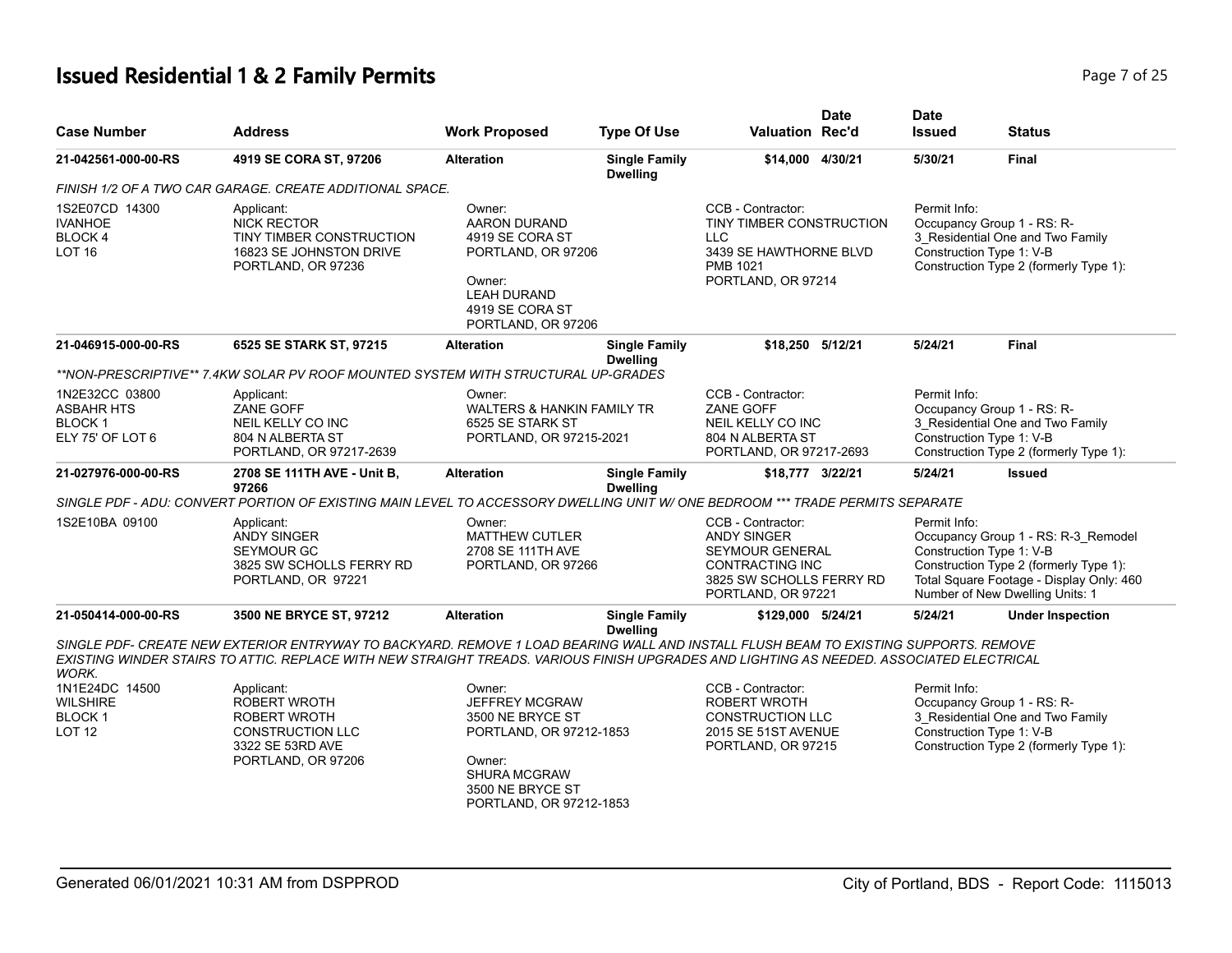# **Issued Residential 1 & 2 Family Permits**

| Ωt<br>Page 7 |  |
|--------------|--|
|--------------|--|

| <b>Case Number</b>                                                       | <b>Address</b>                                                                                                                                                                                                                                                                   | <b>Work Proposed</b>                                                                                                                                           | <b>Type Of Use</b>                      | <b>Valuation Rec'd</b>                                                                                                                        | <b>Date</b> | <b>Date</b><br><b>Issued</b>             | <b>Status</b>                                                                                                                                                |
|--------------------------------------------------------------------------|----------------------------------------------------------------------------------------------------------------------------------------------------------------------------------------------------------------------------------------------------------------------------------|----------------------------------------------------------------------------------------------------------------------------------------------------------------|-----------------------------------------|-----------------------------------------------------------------------------------------------------------------------------------------------|-------------|------------------------------------------|--------------------------------------------------------------------------------------------------------------------------------------------------------------|
| 21-042561-000-00-RS                                                      | 4919 SE CORA ST, 97206                                                                                                                                                                                                                                                           | <b>Alteration</b>                                                                                                                                              | <b>Single Family</b><br><b>Dwelling</b> | \$14,000 4/30/21                                                                                                                              |             | 5/30/21                                  | Final                                                                                                                                                        |
|                                                                          | FINISH 1/2 OF A TWO CAR GARAGE. CREATE ADDITIONAL SPACE.                                                                                                                                                                                                                         |                                                                                                                                                                |                                         |                                                                                                                                               |             |                                          |                                                                                                                                                              |
| 1S2E07CD 14300<br><b>IVANHOE</b><br>BLOCK 4<br><b>LOT 16</b>             | Applicant:<br><b>NICK RECTOR</b><br>TINY TIMBER CONSTRUCTION<br>16823 SE JOHNSTON DRIVE<br>PORTLAND, OR 97236                                                                                                                                                                    | Owner:<br>AARON DURAND<br>4919 SE CORA ST<br>PORTLAND, OR 97206<br>Owner:<br><b>LEAH DURAND</b><br>4919 SE CORA ST<br>PORTLAND, OR 97206                       |                                         | CCB - Contractor:<br>TINY TIMBER CONSTRUCTION<br><b>LLC</b><br>3439 SE HAWTHORNE BLVD<br>PMB 1021<br>PORTLAND, OR 97214                       |             | Permit Info:<br>Construction Type 1: V-B | Occupancy Group 1 - RS: R-<br>3_Residential One and Two Family<br>Construction Type 2 (formerly Type 1):                                                     |
| 21-046915-000-00-RS                                                      | 6525 SE STARK ST, 97215                                                                                                                                                                                                                                                          | <b>Alteration</b>                                                                                                                                              | <b>Single Family</b><br><b>Dwelling</b> | \$18,250 5/12/21                                                                                                                              |             | 5/24/21                                  | <b>Final</b>                                                                                                                                                 |
|                                                                          | **NON-PRESCRIPTIVE** 7.4KW SOLAR PV ROOF MOUNTED SYSTEM WITH STRUCTURAL UP-GRADES                                                                                                                                                                                                |                                                                                                                                                                |                                         |                                                                                                                                               |             |                                          |                                                                                                                                                              |
| 1N2E32CC 03800<br><b>ASBAHR HTS</b><br><b>BLOCK1</b><br>ELY 75' OF LOT 6 | Applicant:<br>ZANE GOFF<br>NEIL KELLY CO INC<br>804 N ALBERTA ST<br>PORTLAND, OR 97217-2639                                                                                                                                                                                      | Owner:<br><b>WALTERS &amp; HANKIN FAMILY TR</b><br>6525 SE STARK ST<br>PORTLAND, OR 97215-2021                                                                 |                                         | CCB - Contractor:<br>ZANE GOFF<br>NEIL KELLY CO INC<br>804 N ALBERTA ST<br>PORTLAND, OR 97217-2693                                            |             | Permit Info:<br>Construction Type 1: V-B | Occupancy Group 1 - RS: R-<br>3 Residential One and Two Family<br>Construction Type 2 (formerly Type 1):                                                     |
| 21-027976-000-00-RS                                                      | 2708 SE 111TH AVE - Unit B,<br>97266                                                                                                                                                                                                                                             | <b>Alteration</b>                                                                                                                                              | <b>Single Family</b><br><b>Dwelling</b> | \$18,777 3/22/21                                                                                                                              |             | 5/24/21                                  | <b>Issued</b>                                                                                                                                                |
|                                                                          | SINGLE PDF - ADU: CONVERT PORTION OF EXISTING MAIN LEVEL TO ACCESSORY DWELLING UNIT W/ ONE BEDROOM *** TRADE PERMITS SEPARATE                                                                                                                                                    |                                                                                                                                                                |                                         |                                                                                                                                               |             |                                          |                                                                                                                                                              |
| 1S2E10BA 09100                                                           | Applicant:<br><b>ANDY SINGER</b><br><b>SEYMOUR GC</b><br>3825 SW SCHOLLS FERRY RD<br>PORTLAND, OR 97221                                                                                                                                                                          | Owner:<br><b>MATTHEW CUTLER</b><br>2708 SE 111TH AVE<br>PORTLAND, OR 97266                                                                                     |                                         | CCB - Contractor:<br><b>ANDY SINGER</b><br><b>SEYMOUR GENERAL</b><br><b>CONTRACTING INC</b><br>3825 SW SCHOLLS FERRY RD<br>PORTLAND, OR 97221 |             | Permit Info:<br>Construction Type 1: V-B | Occupancy Group 1 - RS: R-3_Remodel<br>Construction Type 2 (formerly Type 1):<br>Total Square Footage - Display Only: 460<br>Number of New Dwelling Units: 1 |
| 21-050414-000-00-RS                                                      | 3500 NE BRYCE ST, 97212                                                                                                                                                                                                                                                          | <b>Alteration</b>                                                                                                                                              | <b>Single Family</b><br><b>Dwelling</b> | \$129,000 5/24/21                                                                                                                             |             | 5/24/21                                  | <b>Under Inspection</b>                                                                                                                                      |
| WORK.                                                                    | SINGLE PDF- CREATE NEW EXTERIOR ENTRYWAY TO BACKYARD. REMOVE 1 LOAD BEARING WALL AND INSTALL FLUSH BEAM TO EXISTING SUPPORTS. REMOVE<br>EXISTING WINDER STAIRS TO ATTIC. REPLACE WITH NEW STRAIGHT TREADS. VARIOUS FINISH UPGRADES AND LIGHTING AS NEEDED. ASSOCIATED ELECTRICAL |                                                                                                                                                                |                                         |                                                                                                                                               |             |                                          |                                                                                                                                                              |
| 1N1E24DC 14500<br><b>WILSHIRE</b><br><b>BLOCK1</b><br>LOT <sub>12</sub>  | Applicant:<br>ROBERT WROTH<br>ROBERT WROTH<br><b>CONSTRUCTION LLC</b><br>3322 SE 53RD AVE<br>PORTLAND, OR 97206                                                                                                                                                                  | Owner:<br><b>JEFFREY MCGRAW</b><br>3500 NE BRYCE ST<br>PORTLAND, OR 97212-1853<br>Owner:<br><b>SHURA MCGRAW</b><br>3500 NE BRYCE ST<br>PORTLAND, OR 97212-1853 |                                         | CCB - Contractor:<br>ROBERT WROTH<br><b>CONSTRUCTION LLC</b><br>2015 SE 51ST AVENUE<br>PORTLAND, OR 97215                                     |             | Permit Info:<br>Construction Type 1: V-B | Occupancy Group 1 - RS: R-<br>3 Residential One and Two Family<br>Construction Type 2 (formerly Type 1):                                                     |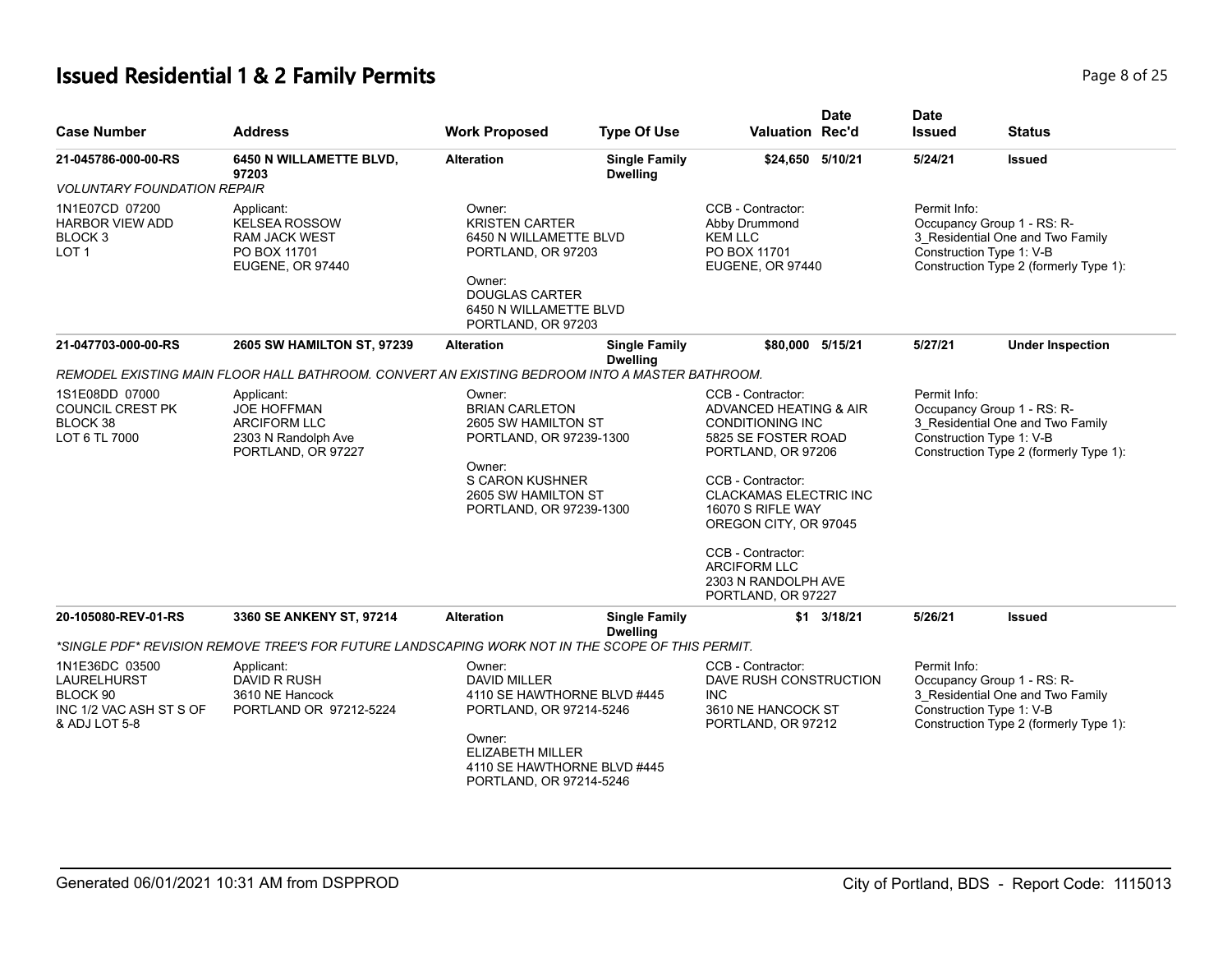# **Issued Residential 1 & 2 Family Permits Page 8 of 25 Page 8 of 25**

| <b>Case Number</b>                                                                    | <b>Address</b>                                                                                       | <b>Work Proposed</b>                                                                                                                                                            | <b>Type Of Use</b>                      | <b>Valuation Rec'd</b>                                                                                                                                                                                                                                                                                           | <b>Date</b>        | <b>Date</b><br><b>Issued</b>             | <b>Status</b>                                                                                            |
|---------------------------------------------------------------------------------------|------------------------------------------------------------------------------------------------------|---------------------------------------------------------------------------------------------------------------------------------------------------------------------------------|-----------------------------------------|------------------------------------------------------------------------------------------------------------------------------------------------------------------------------------------------------------------------------------------------------------------------------------------------------------------|--------------------|------------------------------------------|----------------------------------------------------------------------------------------------------------|
| 21-045786-000-00-RS                                                                   | 6450 N WILLAMETTE BLVD,<br>97203                                                                     | <b>Alteration</b>                                                                                                                                                               | <b>Single Family</b><br><b>Dwelling</b> | \$24,650 5/10/21                                                                                                                                                                                                                                                                                                 |                    | 5/24/21                                  | <b>Issued</b>                                                                                            |
| <b>VOLUNTARY FOUNDATION REPAIR</b>                                                    |                                                                                                      |                                                                                                                                                                                 |                                         |                                                                                                                                                                                                                                                                                                                  |                    |                                          |                                                                                                          |
| 1N1E07CD 07200<br><b>HARBOR VIEW ADD</b><br>BLOCK 3<br>LOT <sub>1</sub>               | Applicant:<br><b>KELSEA ROSSOW</b><br><b>RAM JACK WEST</b><br>PO BOX 11701<br>EUGENE, OR 97440       | Owner:<br><b>KRISTEN CARTER</b><br>6450 N WILLAMETTE BLVD<br>PORTLAND, OR 97203<br>Owner:<br><b>DOUGLAS CARTER</b><br>6450 N WILLAMETTE BLVD<br>PORTLAND, OR 97203              |                                         | CCB - Contractor:<br>Abby Drummond<br><b>KEM LLC</b><br>PO BOX 11701<br>EUGENE, OR 97440                                                                                                                                                                                                                         |                    | Permit Info:<br>Construction Type 1: V-B | Occupancy Group 1 - RS: R-<br>3_Residential One and Two Family<br>Construction Type 2 (formerly Type 1): |
| 21-047703-000-00-RS                                                                   | 2605 SW HAMILTON ST, 97239                                                                           | <b>Alteration</b>                                                                                                                                                               | <b>Single Family</b><br><b>Dwelling</b> | \$80,000 5/15/21                                                                                                                                                                                                                                                                                                 |                    | 5/27/21                                  | <b>Under Inspection</b>                                                                                  |
|                                                                                       | REMODEL EXISTING MAIN FLOOR HALL BATHROOM. CONVERT AN EXISTING BEDROOM INTO A MASTER BATHROOM.       |                                                                                                                                                                                 |                                         |                                                                                                                                                                                                                                                                                                                  |                    |                                          |                                                                                                          |
| 1S1E08DD 07000<br>COUNCIL CREST PK<br>BLOCK 38<br>LOT 6 TL 7000                       | Applicant:<br><b>JOE HOFFMAN</b><br><b>ARCIFORM LLC</b><br>2303 N Randolph Ave<br>PORTLAND, OR 97227 | Owner:<br><b>BRIAN CARLETON</b><br>2605 SW HAMILTON ST<br>PORTLAND, OR 97239-1300<br>Owner:<br><b>S CARON KUSHNER</b><br>2605 SW HAMILTON ST<br>PORTLAND, OR 97239-1300         |                                         | CCB - Contractor:<br>ADVANCED HEATING & AIR<br><b>CONDITIONING INC</b><br>5825 SE FOSTER ROAD<br>PORTLAND, OR 97206<br>CCB - Contractor:<br><b>CLACKAMAS ELECTRIC INC</b><br>16070 S RIFLE WAY<br>OREGON CITY, OR 97045<br>CCB - Contractor:<br><b>ARCIFORM LLC</b><br>2303 N RANDOLPH AVE<br>PORTLAND, OR 97227 |                    | Permit Info:<br>Construction Type 1: V-B | Occupancy Group 1 - RS: R-<br>3 Residential One and Two Family<br>Construction Type 2 (formerly Type 1): |
| 20-105080-REV-01-RS                                                                   | 3360 SE ANKENY ST, 97214                                                                             | <b>Alteration</b>                                                                                                                                                               | <b>Single Family</b><br><b>Dwelling</b> |                                                                                                                                                                                                                                                                                                                  | $$1 \quad 3/18/21$ | 5/26/21                                  | <b>Issued</b>                                                                                            |
|                                                                                       | *SINGLE PDF* REVISION REMOVE TREE'S FOR FUTURE LANDSCAPING WORK NOT IN THE SCOPE OF THIS PERMIT.     |                                                                                                                                                                                 |                                         |                                                                                                                                                                                                                                                                                                                  |                    |                                          |                                                                                                          |
| 1N1E36DC 03500<br>LAURELHURST<br>BLOCK 90<br>INC 1/2 VAC ASH ST S OF<br>& ADJ LOT 5-8 | Applicant:<br>DAVID R RUSH<br>3610 NE Hancock<br>PORTLAND OR 97212-5224                              | Owner:<br><b>DAVID MILLER</b><br>4110 SE HAWTHORNE BLVD #445<br>PORTLAND, OR 97214-5246<br>Owner:<br>ELIZABETH MILLER<br>4110 SE HAWTHORNE BLVD #445<br>PORTLAND, OR 97214-5246 |                                         | CCB - Contractor:<br>DAVE RUSH CONSTRUCTION<br><b>INC</b><br>3610 NE HANCOCK ST<br>PORTLAND, OR 97212                                                                                                                                                                                                            |                    | Permit Info:<br>Construction Type 1: V-B | Occupancy Group 1 - RS: R-<br>3 Residential One and Two Family<br>Construction Type 2 (formerly Type 1): |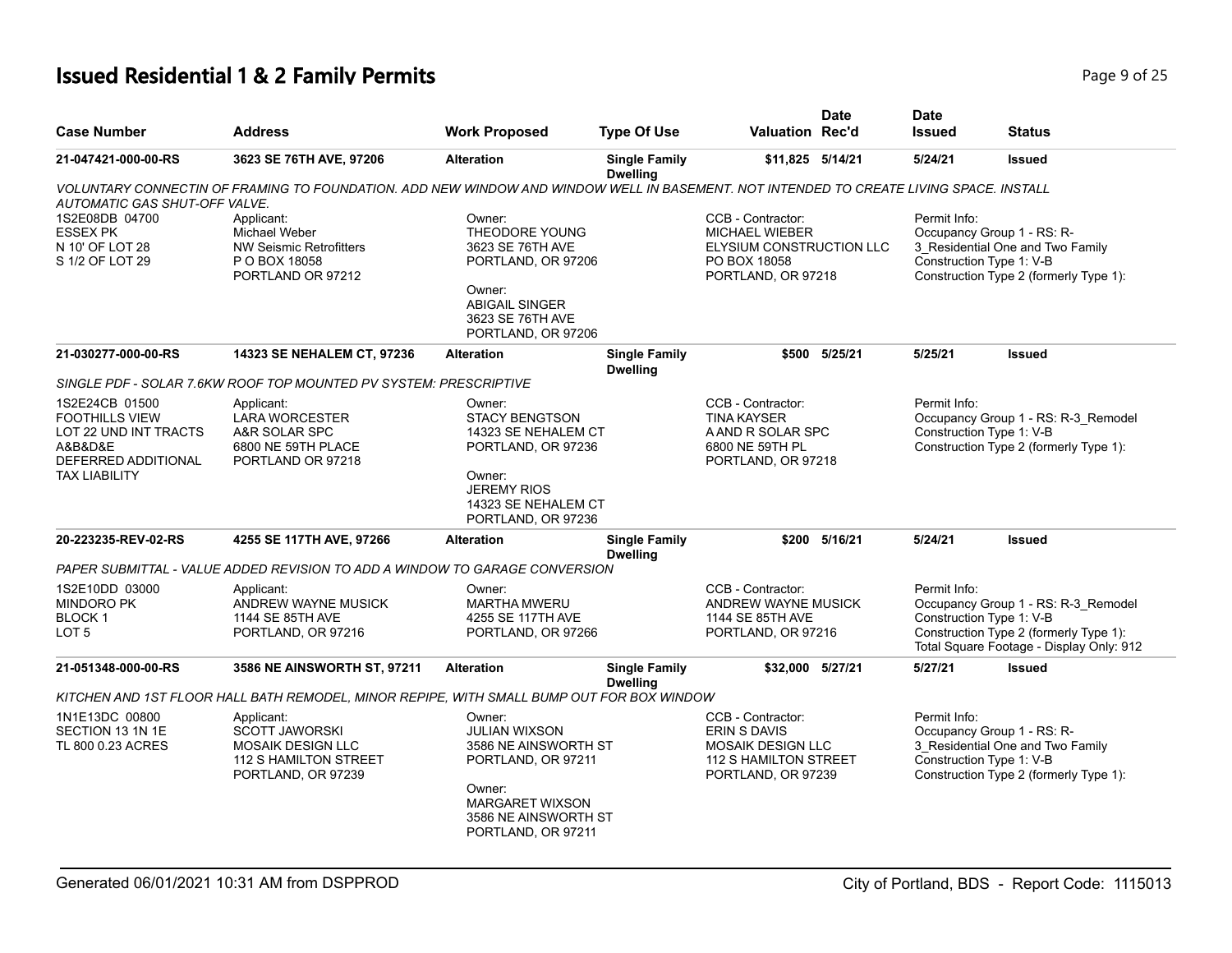| <b>Case Number</b>                                                                                                         | <b>Address</b>                                                                                                                         | <b>Work Proposed</b>                                                                                                                                      | <b>Type Of Use</b>                      | <b>Valuation Rec'd</b>                                                                                       | <b>Date</b>   | <b>Date</b><br><b>Issued</b>             | <b>Status</b>                                                                                                             |
|----------------------------------------------------------------------------------------------------------------------------|----------------------------------------------------------------------------------------------------------------------------------------|-----------------------------------------------------------------------------------------------------------------------------------------------------------|-----------------------------------------|--------------------------------------------------------------------------------------------------------------|---------------|------------------------------------------|---------------------------------------------------------------------------------------------------------------------------|
| 21-047421-000-00-RS                                                                                                        | 3623 SE 76TH AVE, 97206                                                                                                                | <b>Alteration</b>                                                                                                                                         | <b>Single Family</b><br><b>Dwelling</b> | \$11,825 5/14/21                                                                                             |               | 5/24/21                                  | <b>Issued</b>                                                                                                             |
| <b>AUTOMATIC GAS SHUT-OFF VALVE.</b>                                                                                       | VOLUNTARY CONNECTIN OF FRAMING TO FOUNDATION. ADD NEW WINDOW AND WINDOW WELL IN BASEMENT. NOT INTENDED TO CREATE LIVING SPACE. INSTALL |                                                                                                                                                           |                                         |                                                                                                              |               |                                          |                                                                                                                           |
| 1S2E08DB 04700<br><b>ESSEX PK</b><br>N 10' OF LOT 28<br>S 1/2 OF LOT 29                                                    | Applicant:<br>Michael Weber<br><b>NW Seismic Retrofitters</b><br>P O BOX 18058<br>PORTLAND OR 97212                                    | Owner:<br><b>THEODORE YOUNG</b><br>3623 SE 76TH AVE<br>PORTLAND, OR 97206<br>Owner:<br><b>ABIGAIL SINGER</b><br>3623 SE 76TH AVE<br>PORTLAND, OR 97206    |                                         | CCB - Contractor:<br><b>MICHAEL WIEBER</b><br>ELYSIUM CONSTRUCTION LLC<br>PO BOX 18058<br>PORTLAND, OR 97218 |               | Permit Info:<br>Construction Type 1: V-B | Occupancy Group 1 - RS: R-<br>3 Residential One and Two Family<br>Construction Type 2 (formerly Type 1):                  |
| 21-030277-000-00-RS                                                                                                        | 14323 SE NEHALEM CT, 97236                                                                                                             | <b>Alteration</b>                                                                                                                                         | <b>Single Family</b><br><b>Dwelling</b> |                                                                                                              | \$500 5/25/21 | 5/25/21                                  | <b>Issued</b>                                                                                                             |
|                                                                                                                            | SINGLE PDF - SOLAR 7.6KW ROOF TOP MOUNTED PV SYSTEM: PRESCRIPTIVE                                                                      |                                                                                                                                                           |                                         |                                                                                                              |               |                                          |                                                                                                                           |
| 1S2E24CB 01500<br><b>FOOTHILLS VIEW</b><br>LOT 22 UND INT TRACTS<br>A&B&D&E<br>DEFERRED ADDITIONAL<br><b>TAX LIABILITY</b> | Applicant:<br><b>LARA WORCESTER</b><br>A&R SOLAR SPC<br>6800 NE 59TH PLACE<br>PORTLAND OR 97218                                        | Owner:<br><b>STACY BENGTSON</b><br>14323 SE NEHALEM CT<br>PORTLAND, OR 97236<br>Owner:<br><b>JEREMY RIOS</b><br>14323 SE NEHALEM CT<br>PORTLAND, OR 97236 |                                         | CCB - Contractor:<br><b>TINA KAYSER</b><br>A AND R SOLAR SPC<br>6800 NE 59TH PL<br>PORTLAND, OR 97218        |               | Permit Info:<br>Construction Type 1: V-B | Occupancy Group 1 - RS: R-3_Remodel<br>Construction Type 2 (formerly Type 1):                                             |
| 20-223235-REV-02-RS                                                                                                        | 4255 SE 117TH AVE, 97266                                                                                                               | <b>Alteration</b>                                                                                                                                         | <b>Single Family</b><br><b>Dwelling</b> |                                                                                                              | \$200 5/16/21 | 5/24/21                                  | <b>Issued</b>                                                                                                             |
|                                                                                                                            | PAPER SUBMITTAL - VALUE ADDED REVISION TO ADD A WINDOW TO GARAGE CONVERSION                                                            |                                                                                                                                                           |                                         |                                                                                                              |               |                                          |                                                                                                                           |
| 1S2E10DD 03000<br><b>MINDORO PK</b><br><b>BLOCK1</b><br>LOT <sub>5</sub>                                                   | Applicant:<br>ANDREW WAYNE MUSICK<br>1144 SE 85TH AVE<br>PORTLAND, OR 97216                                                            | Owner:<br><b>MARTHA MWERU</b><br>4255 SE 117TH AVE<br>PORTLAND, OR 97266                                                                                  |                                         | CCB - Contractor:<br>ANDREW WAYNE MUSICK<br>1144 SE 85TH AVE<br>PORTLAND, OR 97216                           |               | Permit Info:<br>Construction Type 1: V-B | Occupancy Group 1 - RS: R-3_Remodel<br>Construction Type 2 (formerly Type 1):<br>Total Square Footage - Display Only: 912 |
| 21-051348-000-00-RS                                                                                                        | 3586 NE AINSWORTH ST, 97211                                                                                                            | <b>Alteration</b>                                                                                                                                         | <b>Single Family</b>                    | \$32,000 5/27/21                                                                                             |               | 5/27/21                                  | <b>Issued</b>                                                                                                             |
|                                                                                                                            | KITCHEN AND 1ST FLOOR HALL BATH REMODEL, MINOR REPIPE, WITH SMALL BUMP OUT FOR BOX WINDOW                                              |                                                                                                                                                           | <b>Dwelling</b>                         |                                                                                                              |               |                                          |                                                                                                                           |
| 1N1E13DC 00800<br>SECTION 13 1N 1E<br>TL 800 0.23 ACRES                                                                    | Applicant:<br><b>SCOTT JAWORSKI</b><br><b>MOSAIK DESIGN LLC</b><br>112 S HAMILTON STREET<br>PORTLAND, OR 97239                         | Owner:<br>JULIAN WIXSON<br>3586 NE AINSWORTH ST<br>PORTLAND, OR 97211<br>Owner:<br><b>MARGARET WIXSON</b><br>3586 NE AINSWORTH ST<br>PORTLAND, OR 97211   |                                         | CCB - Contractor:<br>ERIN S DAVIS<br><b>MOSAIK DESIGN LLC</b><br>112 S HAMILTON STREET<br>PORTLAND, OR 97239 |               | Permit Info:<br>Construction Type 1: V-B | Occupancy Group 1 - RS: R-<br>3_Residential One and Two Family<br>Construction Type 2 (formerly Type 1):                  |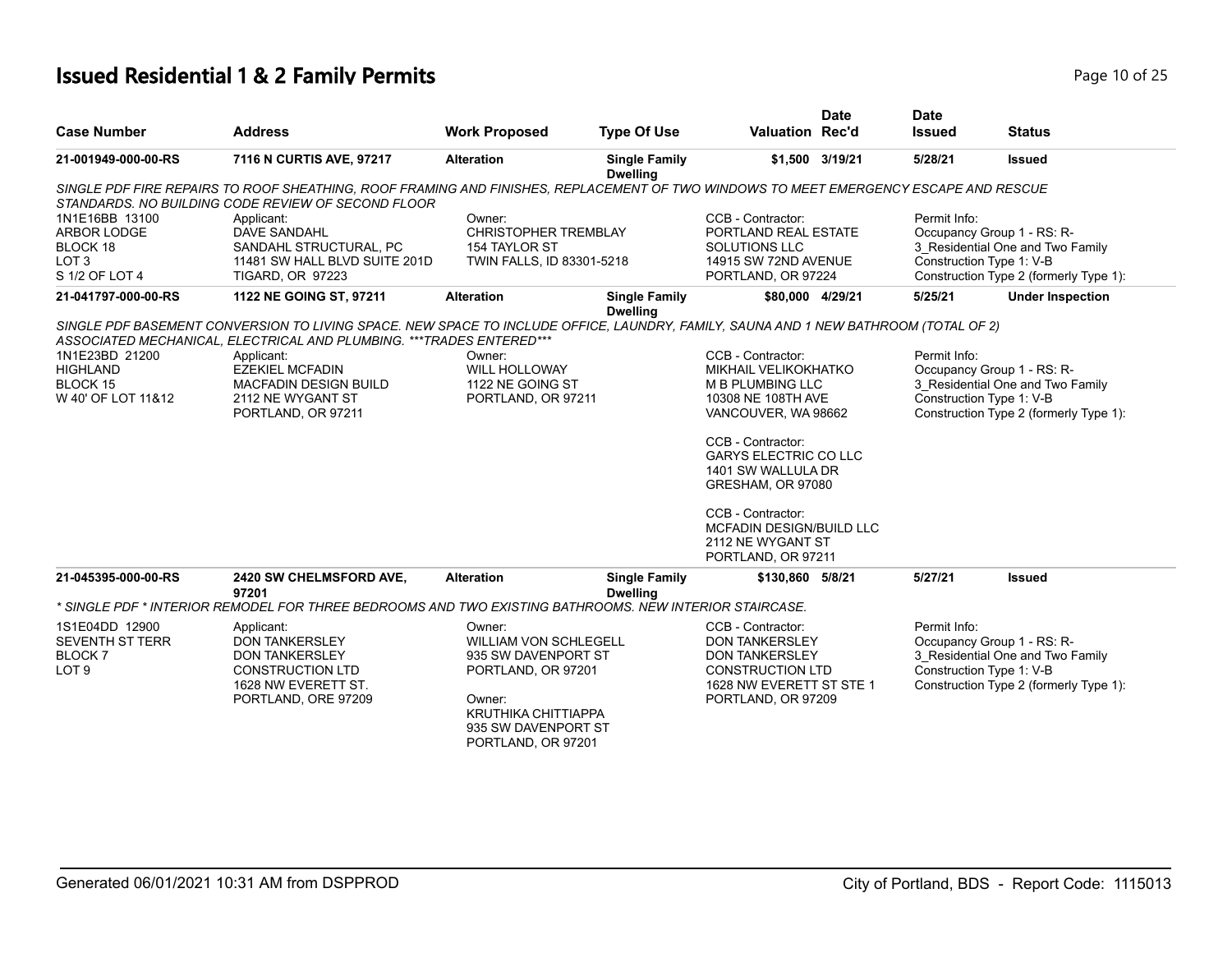# **Issued Residential 1 & 2 Family Permits Page 10 of 25** and **Page 10 of 25**

|                                                                                 |                                                                                                                                                                                                                                                                                                                                  |                                                                                                                                                                          |                                         |                                                                                                                                                                                                                                                                                                        | <b>Date</b> | <b>Date</b>                              |                                                                                                          |
|---------------------------------------------------------------------------------|----------------------------------------------------------------------------------------------------------------------------------------------------------------------------------------------------------------------------------------------------------------------------------------------------------------------------------|--------------------------------------------------------------------------------------------------------------------------------------------------------------------------|-----------------------------------------|--------------------------------------------------------------------------------------------------------------------------------------------------------------------------------------------------------------------------------------------------------------------------------------------------------|-------------|------------------------------------------|----------------------------------------------------------------------------------------------------------|
| <b>Case Number</b>                                                              | <b>Address</b>                                                                                                                                                                                                                                                                                                                   | <b>Work Proposed</b>                                                                                                                                                     | <b>Type Of Use</b>                      | <b>Valuation Rec'd</b>                                                                                                                                                                                                                                                                                 |             | <b>Issued</b>                            | <b>Status</b>                                                                                            |
| 21-001949-000-00-RS                                                             | 7116 N CURTIS AVE, 97217                                                                                                                                                                                                                                                                                                         | <b>Alteration</b>                                                                                                                                                        | <b>Single Family</b><br><b>Dwelling</b> | \$1,500 3/19/21                                                                                                                                                                                                                                                                                        |             | 5/28/21                                  | Issued                                                                                                   |
|                                                                                 | SINGLE PDF FIRE REPAIRS TO ROOF SHEATHING, ROOF FRAMING AND FINISHES, REPLACEMENT OF TWO WINDOWS TO MEET EMERGENCY ESCAPE AND RESCUE<br>STANDARDS. NO BUILDING CODE REVIEW OF SECOND FLOOR                                                                                                                                       |                                                                                                                                                                          |                                         |                                                                                                                                                                                                                                                                                                        |             |                                          |                                                                                                          |
| 1N1E16BB 13100<br>ARBOR LODGE<br>BLOCK 18<br>LOT <sub>3</sub><br>S 1/2 OF LOT 4 | Applicant:<br><b>DAVE SANDAHL</b><br>SANDAHL STRUCTURAL, PC<br>11481 SW HALL BLVD SUITE 201D<br><b>TIGARD, OR 97223</b>                                                                                                                                                                                                          | Owner:<br>CHRISTOPHER TREMBLAY<br>154 TAYLOR ST<br>TWIN FALLS, ID 83301-5218                                                                                             |                                         | CCB - Contractor:<br>PORTLAND REAL ESTATE<br><b>SOLUTIONS LLC</b><br>14915 SW 72ND AVENUE<br>PORTLAND, OR 97224                                                                                                                                                                                        |             | Permit Info:<br>Construction Type 1: V-B | Occupancy Group 1 - RS: R-<br>3 Residential One and Two Family<br>Construction Type 2 (formerly Type 1): |
| 21-041797-000-00-RS                                                             | 1122 NE GOING ST, 97211                                                                                                                                                                                                                                                                                                          | <b>Alteration</b>                                                                                                                                                        | <b>Single Family</b>                    | \$80,000 4/29/21                                                                                                                                                                                                                                                                                       |             | 5/25/21                                  | <b>Under Inspection</b>                                                                                  |
| 1N1E23BD 21200<br><b>HIGHLAND</b><br>BLOCK 15<br>W 40' OF LOT 11&12             | SINGLE PDF BASEMENT CONVERSION TO LIVING SPACE. NEW SPACE TO INCLUDE OFFICE, LAUNDRY, FAMILY, SAUNA AND 1 NEW BATHROOM (TOTAL OF 2)<br>ASSOCIATED MECHANICAL, ELECTRICAL AND PLUMBING. *** TRADES ENTERED ***<br>Applicant:<br><b>EZEKIEL MCFADIN</b><br><b>MACFADIN DESIGN BUILD</b><br>2112 NE WYGANT ST<br>PORTLAND, OR 97211 | Owner:<br><b>WILL HOLLOWAY</b><br>1122 NE GOING ST<br>PORTLAND, OR 97211                                                                                                 | <b>Dwelling</b>                         | CCB - Contractor:<br>MIKHAIL VELIKOKHATKO<br>M B PLUMBING LLC<br>10308 NE 108TH AVE<br>VANCOUVER, WA 98662<br>CCB - Contractor:<br><b>GARYS ELECTRIC CO LLC</b><br>1401 SW WALLULA DR<br>GRESHAM, OR 97080<br>CCB - Contractor:<br>MCFADIN DESIGN/BUILD LLC<br>2112 NE WYGANT ST<br>PORTLAND, OR 97211 |             | Permit Info:<br>Construction Type 1: V-B | Occupancy Group 1 - RS: R-<br>3 Residential One and Two Family<br>Construction Type 2 (formerly Type 1): |
| 21-045395-000-00-RS                                                             | 2420 SW CHELMSFORD AVE,<br>97201                                                                                                                                                                                                                                                                                                 | <b>Alteration</b>                                                                                                                                                        | <b>Single Family</b><br><b>Dwelling</b> | \$130,860 5/8/21                                                                                                                                                                                                                                                                                       |             | 5/27/21                                  | <b>Issued</b>                                                                                            |
|                                                                                 | SINGLE PDF * INTERIOR REMODEL FOR THREE BEDROOMS AND TWO EXISTING BATHROOMS. NEW INTERIOR STAIRCASE *                                                                                                                                                                                                                            |                                                                                                                                                                          |                                         |                                                                                                                                                                                                                                                                                                        |             |                                          |                                                                                                          |
| 1S1E04DD 12900<br><b>SEVENTH ST TERR</b><br><b>BLOCK7</b><br>LOT <sub>9</sub>   | Applicant:<br><b>DON TANKERSLEY</b><br><b>DON TANKERSLEY</b><br><b>CONSTRUCTION LTD</b><br>1628 NW EVERETT ST.<br>PORTLAND, ORE 97209                                                                                                                                                                                            | Owner:<br><b>WILLIAM VON SCHLEGELL</b><br>935 SW DAVENPORT ST<br>PORTLAND, OR 97201<br>Owner:<br><b>KRUTHIKA CHITTIAPPA</b><br>935 SW DAVENPORT ST<br>PORTLAND, OR 97201 |                                         | CCB - Contractor:<br><b>DON TANKERSLEY</b><br><b>DON TANKERSLEY</b><br><b>CONSTRUCTION LTD</b><br>1628 NW EVERETT ST STE 1<br>PORTLAND, OR 97209                                                                                                                                                       |             | Permit Info:<br>Construction Type 1: V-B | Occupancy Group 1 - RS: R-<br>3 Residential One and Two Family<br>Construction Type 2 (formerly Type 1): |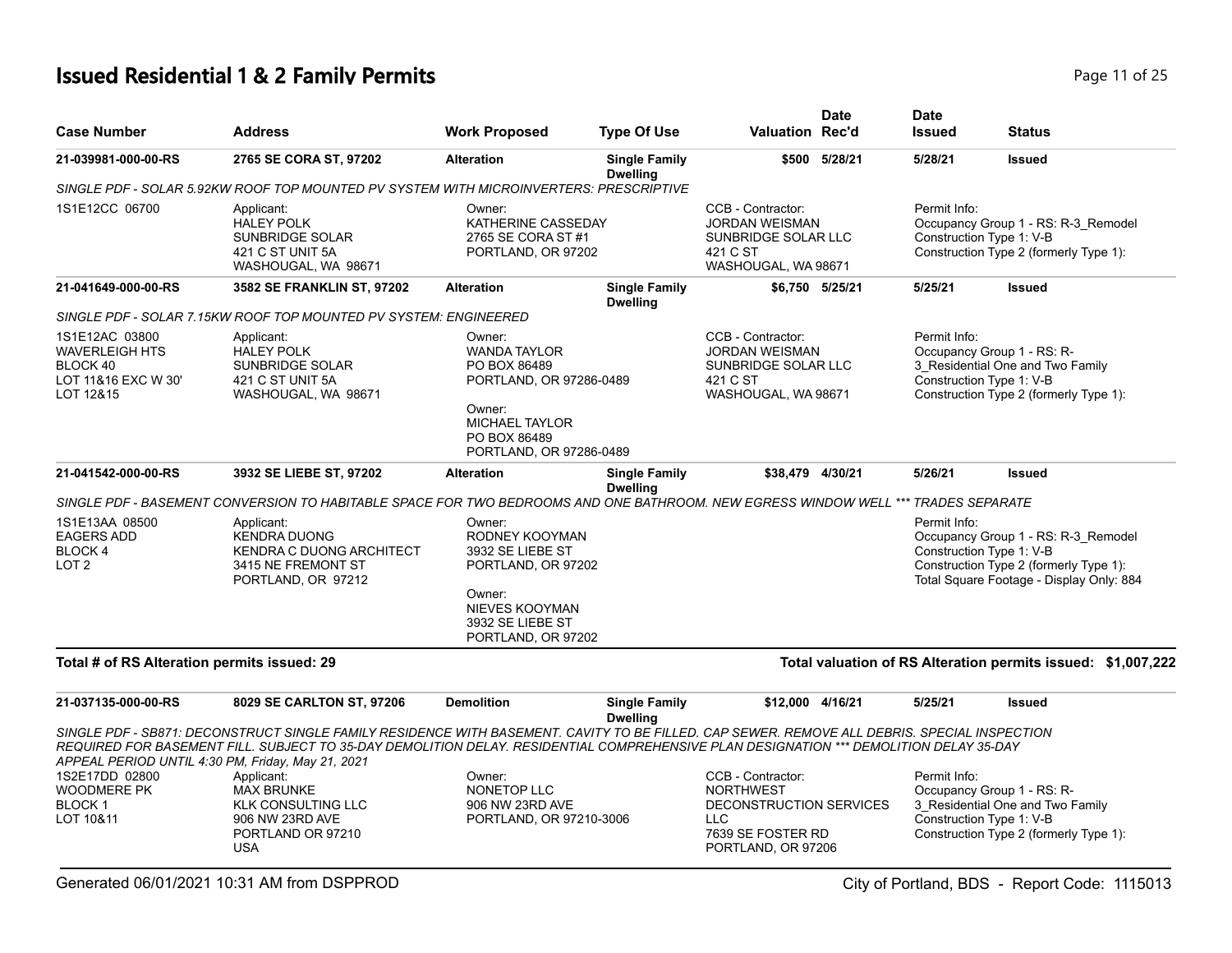# **Issued Residential 1 & 2 Family Permits Page 11 of 25 Page 11 of 25**

| <b>Case Number</b>                                                                      | <b>Address</b>                                                                                                                                                                                                                                                                                                                              | <b>Work Proposed</b>                                                                                                                                   | <b>Type Of Use</b>                      | <b>Valuation Rec'd</b>                                                                                                    | <b>Date</b>     | <b>Date</b><br><b>Issued</b>             | <b>Status</b>                                                                                                             |
|-----------------------------------------------------------------------------------------|---------------------------------------------------------------------------------------------------------------------------------------------------------------------------------------------------------------------------------------------------------------------------------------------------------------------------------------------|--------------------------------------------------------------------------------------------------------------------------------------------------------|-----------------------------------------|---------------------------------------------------------------------------------------------------------------------------|-----------------|------------------------------------------|---------------------------------------------------------------------------------------------------------------------------|
| 21-039981-000-00-RS                                                                     | 2765 SE CORA ST, 97202                                                                                                                                                                                                                                                                                                                      | <b>Alteration</b>                                                                                                                                      | <b>Single Family</b><br><b>Dwelling</b> |                                                                                                                           | \$500 5/28/21   | 5/28/21                                  | <b>Issued</b>                                                                                                             |
|                                                                                         | SINGLE PDF - SOLAR 5.92KW ROOF TOP MOUNTED PV SYSTEM WITH MICROINVERTERS: PRESCRIPTIVE                                                                                                                                                                                                                                                      |                                                                                                                                                        |                                         |                                                                                                                           |                 |                                          |                                                                                                                           |
| 1S1E12CC 06700                                                                          | Applicant:<br><b>HALEY POLK</b><br><b>SUNBRIDGE SOLAR</b><br>421 C ST UNIT 5A<br>WASHOUGAL, WA 98671                                                                                                                                                                                                                                        | Owner:<br>KATHERINE CASSEDAY<br>2765 SE CORA ST #1<br>PORTLAND, OR 97202                                                                               |                                         | CCB - Contractor:<br><b>JORDAN WEISMAN</b><br>SUNBRIDGE SOLAR LLC<br>421 C ST<br>WASHOUGAL, WA 98671                      |                 | Permit Info:<br>Construction Type 1: V-B | Occupancy Group 1 - RS: R-3_Remodel<br>Construction Type 2 (formerly Type 1):                                             |
| 21-041649-000-00-RS                                                                     | 3582 SE FRANKLIN ST, 97202                                                                                                                                                                                                                                                                                                                  | <b>Alteration</b>                                                                                                                                      | <b>Single Family</b><br><b>Dwelling</b> |                                                                                                                           | \$6,750 5/25/21 | 5/25/21                                  | <b>Issued</b>                                                                                                             |
|                                                                                         | SINGLE PDF - SOLAR 7.15KW ROOF TOP MOUNTED PV SYSTEM: ENGINEERED                                                                                                                                                                                                                                                                            |                                                                                                                                                        |                                         |                                                                                                                           |                 |                                          |                                                                                                                           |
| 1S1E12AC 03800<br><b>WAVERLEIGH HTS</b><br>BLOCK 40<br>LOT 11&16 EXC W 30'<br>LOT 12&15 | Applicant:<br><b>HALEY POLK</b><br><b>SUNBRIDGE SOLAR</b><br>421 C ST UNIT 5A<br>WASHOUGAL, WA 98671                                                                                                                                                                                                                                        | Owner:<br><b>WANDA TAYLOR</b><br>PO BOX 86489<br>PORTLAND, OR 97286-0489<br>Owner:<br><b>MICHAEL TAYLOR</b><br>PO BOX 86489<br>PORTLAND, OR 97286-0489 |                                         | CCB - Contractor:<br><b>JORDAN WEISMAN</b><br>SUNBRIDGE SOLAR LLC<br>421 C ST<br>WASHOUGAL, WA 98671                      |                 | Permit Info:<br>Construction Type 1: V-B | Occupancy Group 1 - RS: R-<br>3 Residential One and Two Family<br>Construction Type 2 (formerly Type 1):                  |
| 21-041542-000-00-RS                                                                     | 3932 SE LIEBE ST, 97202                                                                                                                                                                                                                                                                                                                     | <b>Alteration</b>                                                                                                                                      | <b>Single Family</b>                    | \$38,479 4/30/21                                                                                                          |                 | 5/26/21                                  | <b>Issued</b>                                                                                                             |
|                                                                                         | SINGLE PDF - BASEMENT CONVERSION TO HABITABLE SPACE FOR TWO BEDROOMS AND ONE BATHROOM. NEW EGRESS WINDOW WELL *** TRADES SEPARATE                                                                                                                                                                                                           |                                                                                                                                                        | <b>Dwelling</b>                         |                                                                                                                           |                 |                                          |                                                                                                                           |
| 1S1E13AA 08500<br><b>EAGERS ADD</b><br>BLOCK 4<br>LOT <sub>2</sub>                      | Applicant:<br><b>KENDRA DUONG</b><br><b>KENDRA C DUONG ARCHITECT</b><br>3415 NE FREMONT ST<br>PORTLAND, OR 97212                                                                                                                                                                                                                            | Owner:<br>RODNEY KOOYMAN<br>3932 SE LIEBE ST<br>PORTLAND, OR 97202<br>Owner:<br><b>NIEVES KOOYMAN</b><br>3932 SE LIEBE ST<br>PORTLAND, OR 97202        |                                         |                                                                                                                           |                 | Permit Info:<br>Construction Type 1: V-B | Occupancy Group 1 - RS: R-3_Remodel<br>Construction Type 2 (formerly Type 1):<br>Total Square Footage - Display Only: 884 |
| Total # of RS Alteration permits issued: 29                                             |                                                                                                                                                                                                                                                                                                                                             |                                                                                                                                                        |                                         |                                                                                                                           |                 |                                          | Total valuation of RS Alteration permits issued: \$1,007,222                                                              |
| 21-037135-000-00-RS                                                                     | 8029 SE CARLTON ST, 97206                                                                                                                                                                                                                                                                                                                   | <b>Demolition</b>                                                                                                                                      | <b>Single Family</b><br><b>Dwelling</b> | \$12,000 4/16/21                                                                                                          |                 | 5/25/21                                  | <b>Issued</b>                                                                                                             |
|                                                                                         | SINGLE PDF - SB871: DECONSTRUCT SINGLE FAMILY RESIDENCE WITH BASEMENT. CAVITY TO BE FILLED. CAP SEWER. REMOVE ALL DEBRIS. SPECIAL INSPECTION<br>REQUIRED FOR BASEMENT FILL. SUBJECT TO 35-DAY DEMOLITION DELAY. RESIDENTIAL COMPREHENSIVE PLAN DESIGNATION *** DEMOLITION DELAY 35-DAY<br>APPEAL PERIOD UNTIL 4:30 PM, Friday, May 21, 2021 |                                                                                                                                                        |                                         |                                                                                                                           |                 |                                          |                                                                                                                           |
| 1S2E17DD 02800<br><b>WOODMERE PK</b><br><b>BLOCK1</b><br>LOT 10&11                      | Applicant:<br><b>MAX BRUNKE</b><br><b>KLK CONSULTING LLC</b><br>906 NW 23RD AVE<br>PORTLAND OR 97210<br><b>USA</b>                                                                                                                                                                                                                          | Owner:<br>NONETOP LLC<br>906 NW 23RD AVE<br>PORTLAND, OR 97210-3006                                                                                    |                                         | CCB - Contractor:<br><b>NORTHWEST</b><br>DECONSTRUCTION SERVICES<br><b>LLC</b><br>7639 SE FOSTER RD<br>PORTLAND, OR 97206 |                 | Permit Info:<br>Construction Type 1: V-B | Occupancy Group 1 - RS: R-<br>3_Residential One and Two Family<br>Construction Type 2 (formerly Type 1):                  |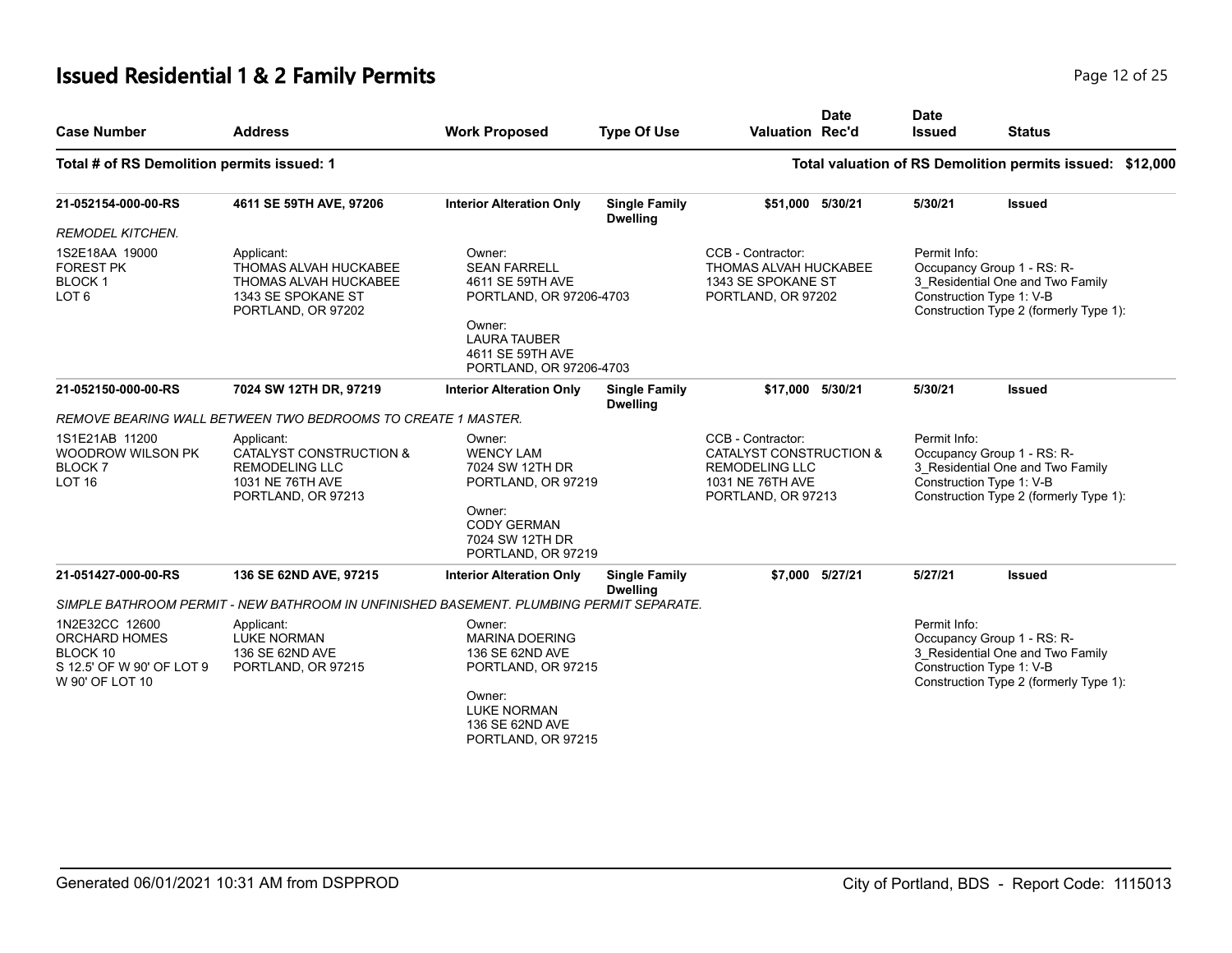# **Issued Residential 1 & 2 Family Permits Page 12 of 25 Page 12 of 25**

| <b>Case Number</b>                                                                                 | <b>Address</b>                                                                                           | <b>Work Proposed</b>                                                                                                                                         | <b>Type Of Use</b>                      | <b>Valuation Rec'd</b>                                                                                                     | <b>Date</b>     | <b>Date</b><br><b>Issued</b>             | <b>Status</b>                                                                                            |  |
|----------------------------------------------------------------------------------------------------|----------------------------------------------------------------------------------------------------------|--------------------------------------------------------------------------------------------------------------------------------------------------------------|-----------------------------------------|----------------------------------------------------------------------------------------------------------------------------|-----------------|------------------------------------------|----------------------------------------------------------------------------------------------------------|--|
| Total # of RS Demolition permits issued: 1                                                         |                                                                                                          |                                                                                                                                                              |                                         |                                                                                                                            |                 |                                          | Total valuation of RS Demolition permits issued: \$12,000                                                |  |
| 21-052154-000-00-RS                                                                                | 4611 SE 59TH AVE, 97206                                                                                  | <b>Interior Alteration Only</b>                                                                                                                              | <b>Single Family</b><br><b>Dwelling</b> | \$51,000 5/30/21                                                                                                           |                 | 5/30/21                                  | <b>Issued</b>                                                                                            |  |
| <b>REMODEL KITCHEN.</b>                                                                            |                                                                                                          |                                                                                                                                                              |                                         |                                                                                                                            |                 |                                          |                                                                                                          |  |
| 1S2E18AA 19000<br><b>FOREST PK</b><br><b>BLOCK1</b><br>LOT <sub>6</sub>                            | Applicant:<br>THOMAS ALVAH HUCKABEE<br>THOMAS ALVAH HUCKABEE<br>1343 SE SPOKANE ST<br>PORTLAND, OR 97202 | Owner:<br><b>SEAN FARRELL</b><br>4611 SE 59TH AVE<br>PORTLAND, OR 97206-4703<br>Owner:<br><b>LAURA TAUBER</b><br>4611 SE 59TH AVE<br>PORTLAND, OR 97206-4703 |                                         | CCB - Contractor:<br>THOMAS ALVAH HUCKABEE<br>1343 SE SPOKANE ST<br>PORTLAND, OR 97202                                     |                 | Permit Info:<br>Construction Type 1: V-B | Occupancy Group 1 - RS: R-<br>3_Residential One and Two Family<br>Construction Type 2 (formerly Type 1): |  |
| 21-052150-000-00-RS                                                                                | 7024 SW 12TH DR, 97219                                                                                   | <b>Interior Alteration Only</b>                                                                                                                              | <b>Single Family</b><br><b>Dwelling</b> | \$17,000 5/30/21                                                                                                           |                 | 5/30/21                                  | <b>Issued</b>                                                                                            |  |
|                                                                                                    | REMOVE BEARING WALL BETWEEN TWO BEDROOMS TO CREATE 1 MASTER.                                             |                                                                                                                                                              |                                         |                                                                                                                            |                 |                                          |                                                                                                          |  |
| 1S1E21AB 11200<br>WOODROW WILSON PK<br><b>BLOCK7</b><br><b>LOT 16</b>                              | Applicant:<br>CATALYST CONSTRUCTION &<br><b>REMODELING LLC</b><br>1031 NE 76TH AVE<br>PORTLAND, OR 97213 | Owner:<br><b>WENCY LAM</b><br>7024 SW 12TH DR<br>PORTLAND, OR 97219<br>Owner:<br><b>CODY GERMAN</b>                                                          |                                         | CCB - Contractor:<br><b>CATALYST CONSTRUCTION &amp;</b><br><b>REMODELING LLC</b><br>1031 NE 76TH AVE<br>PORTLAND, OR 97213 |                 | Permit Info:<br>Construction Type 1: V-B | Occupancy Group 1 - RS: R-<br>3_Residential One and Two Family<br>Construction Type 2 (formerly Type 1): |  |
|                                                                                                    |                                                                                                          | 7024 SW 12TH DR<br>PORTLAND, OR 97219                                                                                                                        |                                         |                                                                                                                            |                 |                                          |                                                                                                          |  |
| 21-051427-000-00-RS                                                                                | 136 SE 62ND AVE, 97215                                                                                   | <b>Interior Alteration Only</b>                                                                                                                              | <b>Single Family</b><br><b>Dwelling</b> |                                                                                                                            | \$7,000 5/27/21 | 5/27/21                                  | <b>Issued</b>                                                                                            |  |
|                                                                                                    | SIMPLE BATHROOM PERMIT - NEW BATHROOM IN UNFINISHED BASEMENT. PLUMBING PERMIT SEPARATE.                  |                                                                                                                                                              |                                         |                                                                                                                            |                 |                                          |                                                                                                          |  |
| 1N2E32CC 12600<br><b>ORCHARD HOMES</b><br>BLOCK 10<br>S 12.5' OF W 90' OF LOT 9<br>W 90' OF LOT 10 | Applicant:<br><b>LUKE NORMAN</b><br>136 SE 62ND AVE<br>PORTLAND, OR 97215                                | Owner:<br><b>MARINA DOERING</b><br>136 SE 62ND AVE<br>PORTLAND, OR 97215<br>Owner:<br><b>LUKE NORMAN</b><br>136 SE 62ND AVE<br>PORTLAND, OR 97215            |                                         |                                                                                                                            |                 | Permit Info:<br>Construction Type 1: V-B | Occupancy Group 1 - RS: R-<br>3 Residential One and Two Family<br>Construction Type 2 (formerly Type 1): |  |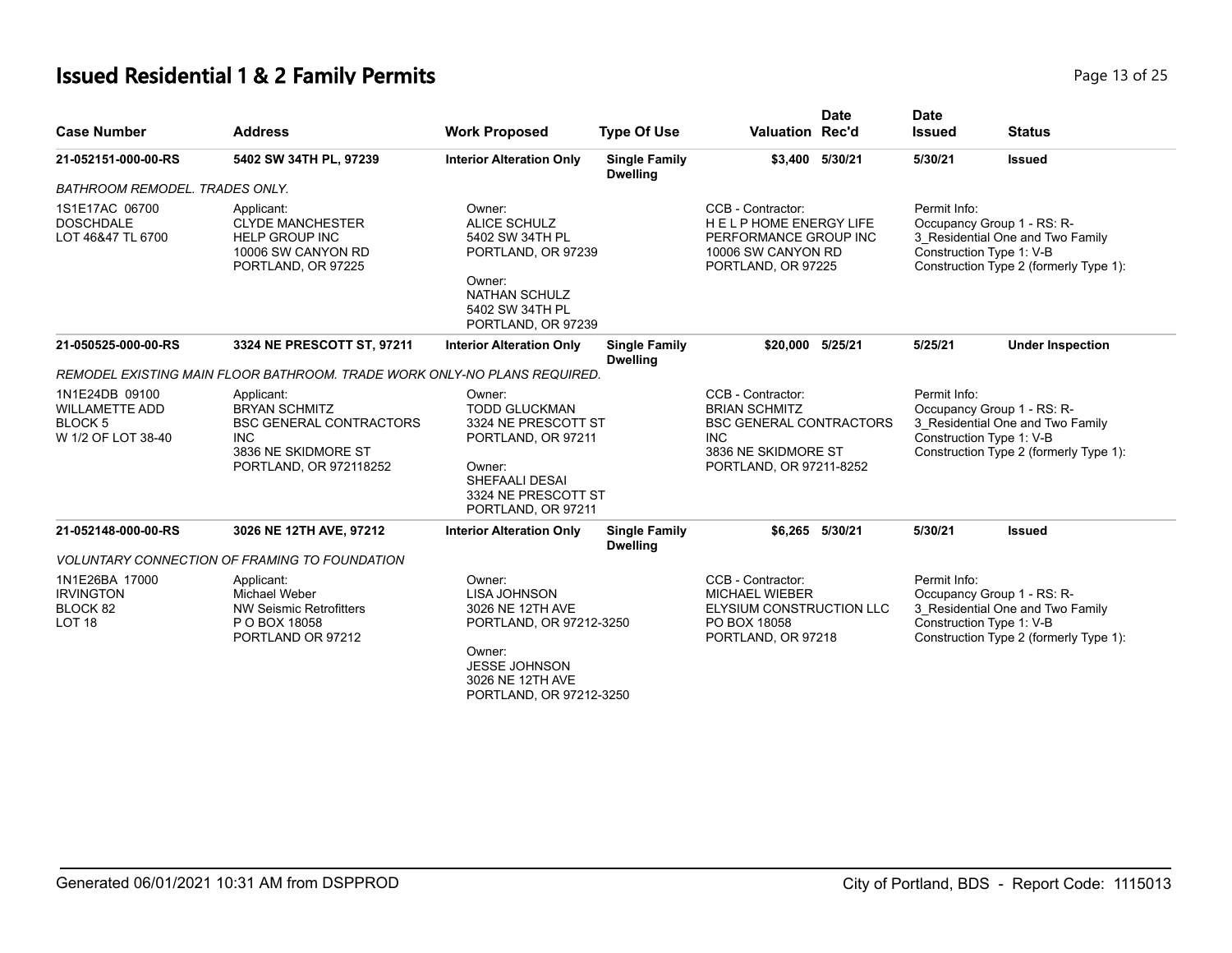# **Issued Residential 1 & 2 Family Permits Page 13 of 25** and **Page 13 of 25**

| <b>Case Number</b>                                                              | <b>Address</b>                                                                                                                      | <b>Work Proposed</b>                                                                                                                                          | <b>Type Of Use</b>                      | Valuation Rec'd                                                                                                                             | <b>Date</b>     | <b>Date</b><br><b>Issued</b>                                                                                                                         | <b>Status</b>                                                                                                                        |
|---------------------------------------------------------------------------------|-------------------------------------------------------------------------------------------------------------------------------------|---------------------------------------------------------------------------------------------------------------------------------------------------------------|-----------------------------------------|---------------------------------------------------------------------------------------------------------------------------------------------|-----------------|------------------------------------------------------------------------------------------------------------------------------------------------------|--------------------------------------------------------------------------------------------------------------------------------------|
| 21-052151-000-00-RS                                                             | 5402 SW 34TH PL, 97239                                                                                                              | <b>Interior Alteration Only</b>                                                                                                                               | <b>Single Family</b><br><b>Dwelling</b> |                                                                                                                                             | \$3,400 5/30/21 | 5/30/21                                                                                                                                              | <b>Issued</b>                                                                                                                        |
| <b>BATHROOM REMODEL. TRADES ONLY.</b>                                           |                                                                                                                                     |                                                                                                                                                               |                                         |                                                                                                                                             |                 |                                                                                                                                                      |                                                                                                                                      |
| 1S1E17AC 06700<br><b>DOSCHDALE</b><br>LOT 46&47 TL 6700                         | Applicant:<br><b>CLYDE MANCHESTER</b><br><b>HELP GROUP INC</b><br>10006 SW CANYON RD<br>PORTLAND, OR 97225                          | Owner:<br><b>ALICE SCHULZ</b><br>5402 SW 34TH PL<br>PORTLAND, OR 97239<br>Owner:<br><b>NATHAN SCHULZ</b><br>5402 SW 34TH PL<br>PORTLAND, OR 97239             |                                         | CCB - Contractor:<br><b>HELPHOME ENERGY LIFE</b><br>PERFORMANCE GROUP INC<br>10006 SW CANYON RD<br>PORTLAND, OR 97225                       |                 | Permit Info:                                                                                                                                         | Occupancy Group 1 - RS: R-<br>3_Residential One and Two Family<br>Construction Type 1: V-B<br>Construction Type 2 (formerly Type 1): |
| 21-050525-000-00-RS                                                             | 3324 NE PRESCOTT ST, 97211                                                                                                          | <b>Interior Alteration Only</b>                                                                                                                               | <b>Single Family</b><br><b>Dwelling</b> | \$20,000 5/25/21                                                                                                                            |                 | 5/25/21                                                                                                                                              | <b>Under Inspection</b>                                                                                                              |
|                                                                                 | REMODEL EXISTING MAIN FLOOR BATHROOM. TRADE WORK ONLY-NO PLANS REQUIRED.                                                            |                                                                                                                                                               |                                         |                                                                                                                                             |                 |                                                                                                                                                      |                                                                                                                                      |
| 1N1E24DB 09100<br><b>WILLAMETTE ADD</b><br><b>BLOCK 5</b><br>W 1/2 OF LOT 38-40 | Applicant:<br><b>BRYAN SCHMITZ</b><br><b>BSC GENERAL CONTRACTORS</b><br><b>INC</b><br>3836 NE SKIDMORE ST<br>PORTLAND, OR 972118252 | Owner:<br><b>TODD GLUCKMAN</b><br>3324 NE PRESCOTT ST<br>PORTLAND, OR 97211<br>Owner:<br><b>SHEFAALI DESAI</b><br>3324 NE PRESCOTT ST<br>PORTLAND, OR 97211   |                                         | CCB - Contractor:<br><b>BRIAN SCHMITZ</b><br><b>BSC GENERAL CONTRACTORS</b><br><b>INC</b><br>3836 NE SKIDMORE ST<br>PORTLAND, OR 97211-8252 |                 | Permit Info:<br>Occupancy Group 1 - RS: R-<br>3 Residential One and Two Family<br>Construction Type 1: V-B<br>Construction Type 2 (formerly Type 1): |                                                                                                                                      |
| 21-052148-000-00-RS                                                             | 3026 NE 12TH AVE, 97212                                                                                                             | <b>Interior Alteration Only</b>                                                                                                                               | <b>Single Family</b><br><b>Dwelling</b> |                                                                                                                                             | \$6,265 5/30/21 | 5/30/21                                                                                                                                              | <b>Issued</b>                                                                                                                        |
|                                                                                 | <b>VOLUNTARY CONNECTION OF FRAMING TO FOUNDATION</b>                                                                                |                                                                                                                                                               |                                         |                                                                                                                                             |                 |                                                                                                                                                      |                                                                                                                                      |
| 1N1E26BA 17000<br><b>IRVINGTON</b><br>BLOCK 82<br><b>LOT 18</b>                 | Applicant:<br>Michael Weber<br><b>NW Seismic Retrofitters</b><br>P O BOX 18058<br>PORTLAND OR 97212                                 | Owner:<br><b>LISA JOHNSON</b><br>3026 NE 12TH AVE<br>PORTLAND, OR 97212-3250<br>Owner:<br><b>JESSE JOHNSON</b><br>3026 NE 12TH AVE<br>PORTLAND, OR 97212-3250 |                                         | CCB - Contractor:<br><b>MICHAEL WIEBER</b><br>ELYSIUM CONSTRUCTION LLC<br>PO BOX 18058<br>PORTLAND, OR 97218                                |                 | Permit Info:                                                                                                                                         | Occupancy Group 1 - RS: R-<br>3_Residential One and Two Family<br>Construction Type 1: V-B<br>Construction Type 2 (formerly Type 1): |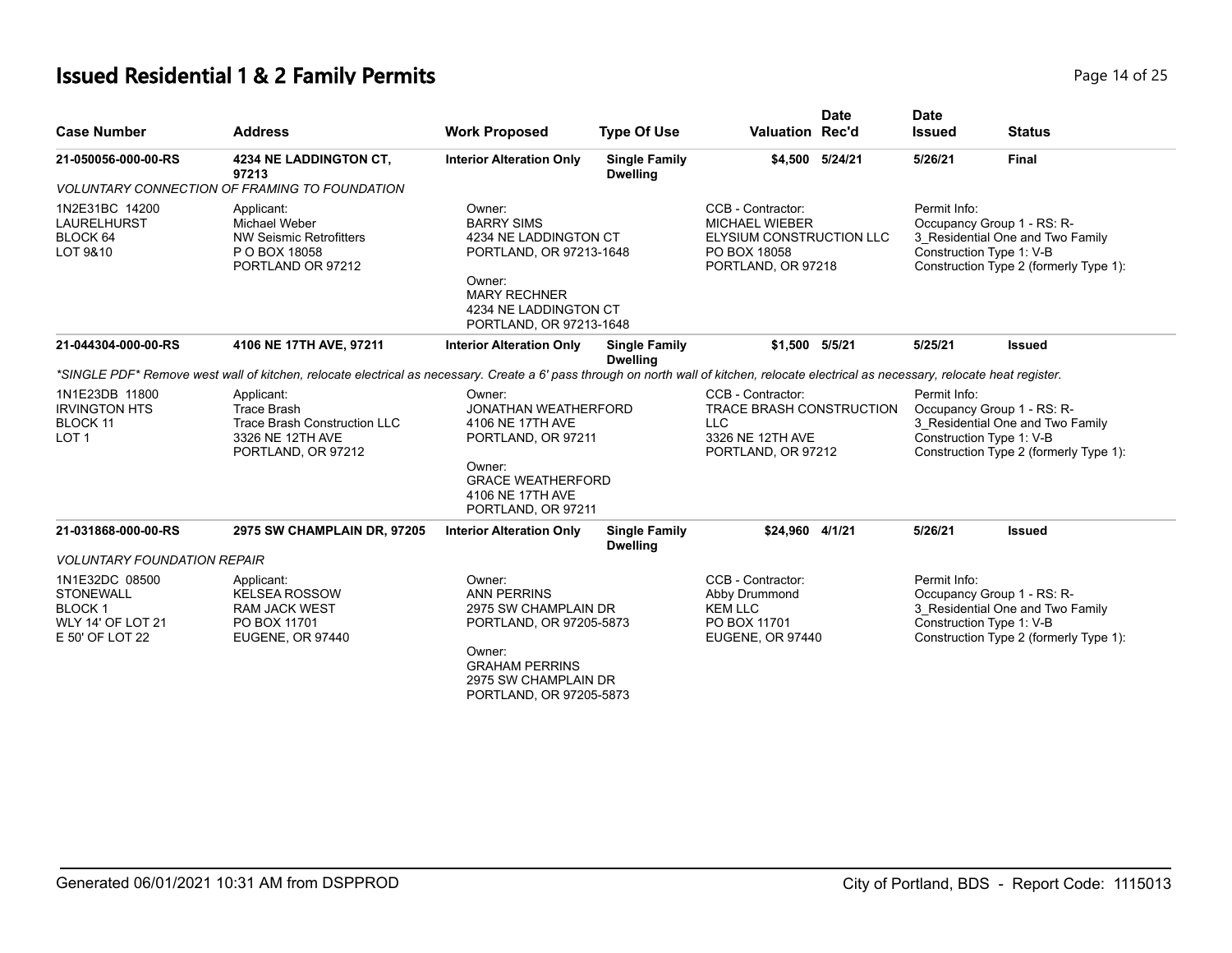# **Issued Residential 1 & 2 Family Permits Page 14 of 25 Page 14 of 25**

| <b>Case Number</b>                                                                          | <b>Address</b>                                                                                                                                                                           | <b>Work Proposed</b>                                                                                                                                                  | <b>Type Of Use</b>                      | <b>Valuation Rec'd</b>                                                                                       | <b>Date</b>     | <b>Date</b><br><b>Issued</b> | <b>Status</b>                                                                                                                        |
|---------------------------------------------------------------------------------------------|------------------------------------------------------------------------------------------------------------------------------------------------------------------------------------------|-----------------------------------------------------------------------------------------------------------------------------------------------------------------------|-----------------------------------------|--------------------------------------------------------------------------------------------------------------|-----------------|------------------------------|--------------------------------------------------------------------------------------------------------------------------------------|
| 21-050056-000-00-RS                                                                         | 4234 NE LADDINGTON CT,<br>97213                                                                                                                                                          | <b>Interior Alteration Only</b>                                                                                                                                       | <b>Single Family</b><br><b>Dwelling</b> |                                                                                                              | \$4,500 5/24/21 | 5/26/21                      | <b>Final</b>                                                                                                                         |
|                                                                                             | VOLUNTARY CONNECTION OF FRAMING TO FOUNDATION                                                                                                                                            |                                                                                                                                                                       |                                         |                                                                                                              |                 |                              |                                                                                                                                      |
| 1N2E31BC 14200<br><b>LAURELHURST</b><br>BLOCK 64<br>LOT 9&10                                | Applicant:<br>Michael Weber<br><b>NW Seismic Retrofitters</b><br>P O BOX 18058<br>PORTLAND OR 97212                                                                                      | Owner:<br><b>BARRY SIMS</b><br>4234 NE LADDINGTON CT<br>PORTLAND, OR 97213-1648<br>Owner:<br><b>MARY RECHNER</b><br>4234 NE LADDINGTON CT<br>PORTLAND, OR 97213-1648  |                                         | CCB - Contractor:<br><b>MICHAEL WIEBER</b><br>ELYSIUM CONSTRUCTION LLC<br>PO BOX 18058<br>PORTLAND, OR 97218 |                 | Permit Info:                 | Occupancy Group 1 - RS: R-<br>3 Residential One and Two Family<br>Construction Type 1: V-B<br>Construction Type 2 (formerly Type 1): |
| 21-044304-000-00-RS                                                                         | 4106 NE 17TH AVE, 97211                                                                                                                                                                  | <b>Interior Alteration Only</b>                                                                                                                                       | <b>Single Family</b><br><b>Dwelling</b> | \$1,500 5/5/21                                                                                               |                 | 5/25/21                      | <b>Issued</b>                                                                                                                        |
|                                                                                             | *SINGLE PDF* Remove west wall of kitchen, relocate electrical as necessary. Create a 6' pass through on north wall of kitchen, relocate electrical as necessary, relocate heat register. |                                                                                                                                                                       |                                         |                                                                                                              |                 |                              |                                                                                                                                      |
| 1N1E23DB 11800<br><b>IRVINGTON HTS</b><br>BLOCK 11<br>LOT <sub>1</sub>                      | Applicant:<br><b>Trace Brash</b><br><b>Trace Brash Construction LLC</b><br>3326 NE 12TH AVE<br>PORTLAND, OR 97212                                                                        | Owner:<br><b>JONATHAN WEATHERFORD</b><br>4106 NE 17TH AVE<br>PORTLAND, OR 97211<br>Owner:                                                                             |                                         | CCB - Contractor:<br>TRACE BRASH CONSTRUCTION<br><b>LLC</b><br>3326 NE 12TH AVE<br>PORTLAND, OR 97212        |                 | Permit Info:                 | Occupancy Group 1 - RS: R-<br>3 Residential One and Two Family<br>Construction Type 1: V-B<br>Construction Type 2 (formerly Type 1): |
|                                                                                             |                                                                                                                                                                                          | <b>GRACE WEATHERFORD</b><br>4106 NE 17TH AVE<br>PORTLAND, OR 97211                                                                                                    |                                         |                                                                                                              |                 |                              |                                                                                                                                      |
| 21-031868-000-00-RS                                                                         | 2975 SW CHAMPLAIN DR, 97205                                                                                                                                                              | <b>Interior Alteration Only</b>                                                                                                                                       | <b>Single Family</b><br><b>Dwelling</b> | \$24,960 4/1/21                                                                                              |                 | 5/26/21                      | <b>Issued</b>                                                                                                                        |
| <b>VOLUNTARY FOUNDATION REPAIR</b>                                                          |                                                                                                                                                                                          |                                                                                                                                                                       |                                         |                                                                                                              |                 |                              |                                                                                                                                      |
| 1N1E32DC 08500<br><b>STONEWALL</b><br><b>BLOCK1</b><br>WLY 14' OF LOT 21<br>E 50' OF LOT 22 | Applicant:<br><b>KELSEA ROSSOW</b><br><b>RAM JACK WEST</b><br>PO BOX 11701<br>EUGENE, OR 97440                                                                                           | Owner:<br><b>ANN PERRINS</b><br>2975 SW CHAMPLAIN DR<br>PORTLAND, OR 97205-5873<br>Owner:<br><b>GRAHAM PERRINS</b><br>2975 SW CHAMPLAIN DR<br>PORTLAND, OR 97205-5873 |                                         | CCB - Contractor:<br>Abby Drummond<br><b>KEM LLC</b><br>PO BOX 11701<br>EUGENE, OR 97440                     |                 | Permit Info:                 | Occupancy Group 1 - RS: R-<br>3 Residential One and Two Family<br>Construction Type 1: V-B<br>Construction Type 2 (formerly Type 1): |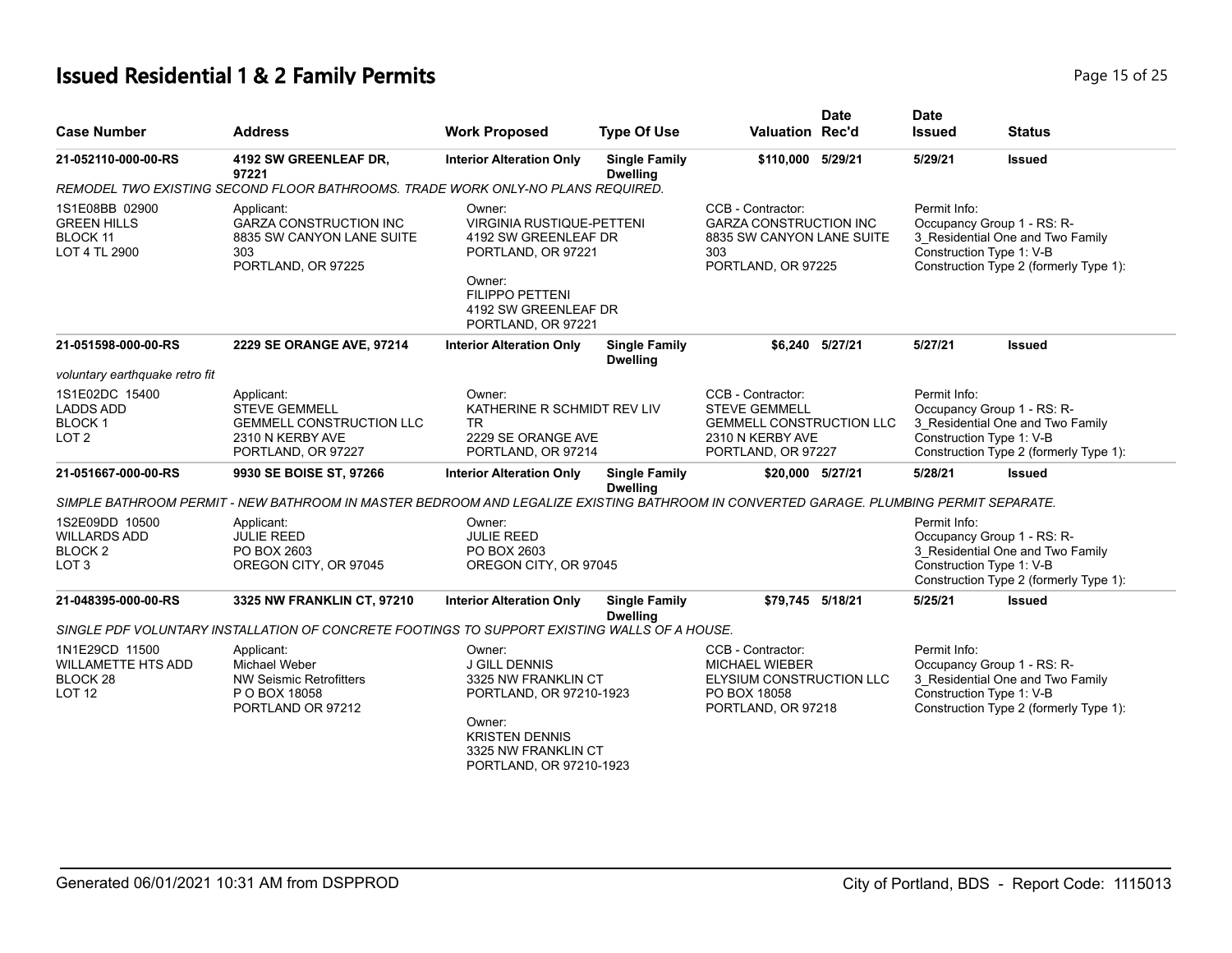| <b>Case Number</b>                                                          | <b>Address</b>                                                                                                                        | <b>Work Proposed</b>                                                                                                                                                  | <b>Type Of Use</b>                      | <b>Valuation Rec'd</b>                                                                                                 | <b>Date</b> | <b>Date</b><br><b>Issued</b>                                           | <b>Status</b>                                                              |
|-----------------------------------------------------------------------------|---------------------------------------------------------------------------------------------------------------------------------------|-----------------------------------------------------------------------------------------------------------------------------------------------------------------------|-----------------------------------------|------------------------------------------------------------------------------------------------------------------------|-------------|------------------------------------------------------------------------|----------------------------------------------------------------------------|
| 21-052110-000-00-RS                                                         | 4192 SW GREENLEAF DR,<br>97221                                                                                                        | <b>Interior Alteration Only</b>                                                                                                                                       | <b>Single Family</b><br><b>Dwelling</b> | \$110,000                                                                                                              | 5/29/21     | 5/29/21                                                                | <b>Issued</b>                                                              |
|                                                                             | REMODEL TWO EXISTING SECOND FLOOR BATHROOMS. TRADE WORK ONLY-NO PLANS REQUIRED.                                                       |                                                                                                                                                                       |                                         |                                                                                                                        |             |                                                                        |                                                                            |
| 1S1E08BB 02900<br><b>GREEN HILLS</b><br><b>BLOCK 11</b><br>LOT 4 TL 2900    | Applicant:<br><b>GARZA CONSTRUCTION INC</b><br>8835 SW CANYON LANE SUITE<br>303<br>PORTLAND, OR 97225                                 | Owner:<br><b>VIRGINIA RUSTIQUE-PETTENI</b><br>4192 SW GREENLEAF DR<br>PORTLAND, OR 97221<br>Owner:<br>FILIPPO PETTENI<br>4192 SW GREENLEAF DR<br>PORTLAND, OR 97221   |                                         | CCB - Contractor:<br><b>GARZA CONSTRUCTION INC</b><br>8835 SW CANYON LANE SUITE<br>303<br>PORTLAND, OR 97225           |             | Permit Info:<br>Occupancy Group 1 - RS: R-<br>Construction Type 1: V-B | 3_Residential One and Two Family<br>Construction Type 2 (formerly Type 1): |
| 21-051598-000-00-RS                                                         | 2229 SE ORANGE AVE, 97214                                                                                                             | <b>Interior Alteration Only</b>                                                                                                                                       | <b>Single Family</b><br><b>Dwelling</b> | \$6,240 5/27/21                                                                                                        |             | 5/27/21                                                                | <b>Issued</b>                                                              |
| voluntary earthquake retro fit                                              |                                                                                                                                       |                                                                                                                                                                       |                                         |                                                                                                                        |             |                                                                        |                                                                            |
| 1S1E02DC 15400<br>LADDS ADD<br><b>BLOCK1</b><br>LOT 2                       | Applicant:<br><b>STEVE GEMMELL</b><br><b>GEMMELL CONSTRUCTION LLC</b><br>2310 N KERBY AVE<br>PORTLAND, OR 97227                       | Owner:<br>KATHERINE R SCHMIDT REV LIV<br><b>TR</b><br>2229 SE ORANGE AVE<br>PORTLAND, OR 97214                                                                        |                                         | CCB - Contractor:<br><b>STEVE GEMMELL</b><br><b>GEMMELL CONSTRUCTION LLC</b><br>2310 N KERBY AVE<br>PORTLAND, OR 97227 |             | Permit Info:<br>Occupancy Group 1 - RS: R-<br>Construction Type 1: V-B | 3 Residential One and Two Family<br>Construction Type 2 (formerly Type 1): |
| 21-051667-000-00-RS                                                         | 9930 SE BOISE ST, 97266                                                                                                               | <b>Interior Alteration Only</b>                                                                                                                                       | <b>Single Family</b><br><b>Dwelling</b> | \$20,000 5/27/21                                                                                                       |             | 5/28/21                                                                | <b>Issued</b>                                                              |
|                                                                             | SIMPLE BATHROOM PERMIT - NEW BATHROOM IN MASTER BEDROOM AND LEGALIZE EXISTING BATHROOM IN CONVERTED GARAGE. PLUMBING PERMIT SEPARATE. |                                                                                                                                                                       |                                         |                                                                                                                        |             |                                                                        |                                                                            |
| 1S2E09DD 10500<br><b>WILLARDS ADD</b><br><b>BLOCK 2</b><br>LOT <sub>3</sub> | Applicant:<br><b>JULIE REED</b><br>PO BOX 2603<br>OREGON CITY, OR 97045                                                               | Owner:<br><b>JULIE REED</b><br>PO BOX 2603<br>OREGON CITY, OR 97045                                                                                                   |                                         |                                                                                                                        |             | Permit Info:<br>Occupancy Group 1 - RS: R-<br>Construction Type 1: V-B | 3_Residential One and Two Family<br>Construction Type 2 (formerly Type 1): |
| 21-048395-000-00-RS                                                         | 3325 NW FRANKLIN CT, 97210                                                                                                            | <b>Interior Alteration Only</b>                                                                                                                                       | <b>Single Family</b><br><b>Dwelling</b> | \$79,745 5/18/21                                                                                                       |             | 5/25/21                                                                | <b>Issued</b>                                                              |
|                                                                             | SINGLE PDF VOLUNTARY INSTALLATION OF CONCRETE FOOTINGS TO SUPPORT EXISTING WALLS OF A HOUSE.                                          |                                                                                                                                                                       |                                         |                                                                                                                        |             |                                                                        |                                                                            |
| 1N1E29CD 11500<br><b>WILLAMETTE HTS ADD</b><br>BLOCK 28<br><b>LOT 12</b>    | Applicant:<br>Michael Weber<br><b>NW Seismic Retrofitters</b><br>P O BOX 18058<br>PORTLAND OR 97212                                   | Owner:<br><b>J GILL DENNIS</b><br>3325 NW FRANKLIN CT<br>PORTLAND, OR 97210-1923<br>Owner:<br><b>KRISTEN DENNIS</b><br>3325 NW FRANKLIN CT<br>PORTLAND, OR 97210-1923 |                                         | CCB - Contractor:<br><b>MICHAEL WIEBER</b><br>ELYSIUM CONSTRUCTION LLC<br>PO BOX 18058<br>PORTLAND, OR 97218           |             | Permit Info:<br>Occupancy Group 1 - RS: R-<br>Construction Type 1: V-B | 3_Residential One and Two Family<br>Construction Type 2 (formerly Type 1): |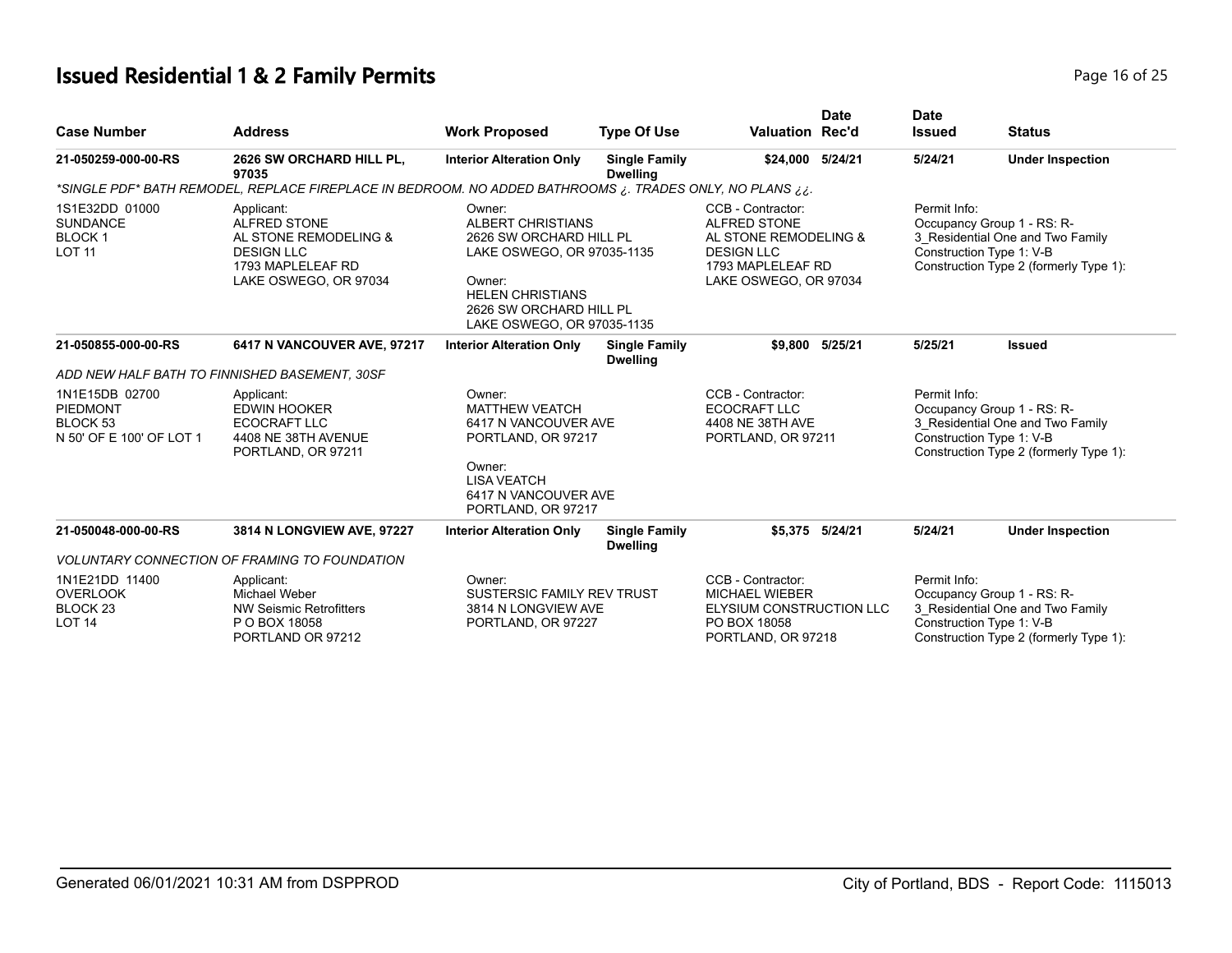# **Issued Residential 1 & 2 Family Permits Page 16 of 25 Page 16 of 25**

| <b>Case Number</b>                                                        | <b>Address</b>                                                                                                                | <b>Work Proposed</b>                                                                                                                                                                      | <b>Type Of Use</b>                      | <b>Valuation Rec'd</b>                                                                                                               | <b>Date</b> | <b>Date</b><br><b>Issued</b>                                                                                                                         | <b>Status</b>           |
|---------------------------------------------------------------------------|-------------------------------------------------------------------------------------------------------------------------------|-------------------------------------------------------------------------------------------------------------------------------------------------------------------------------------------|-----------------------------------------|--------------------------------------------------------------------------------------------------------------------------------------|-------------|------------------------------------------------------------------------------------------------------------------------------------------------------|-------------------------|
| 21-050259-000-00-RS                                                       | 2626 SW ORCHARD HILL PL,<br>97035                                                                                             | <b>Interior Alteration Only</b>                                                                                                                                                           | <b>Single Family</b><br><b>Dwelling</b> | \$24,000                                                                                                                             | 5/24/21     | 5/24/21                                                                                                                                              | <b>Under Inspection</b> |
|                                                                           | *SINGLE PDF* BATH REMODEL, REPLACE FIREPLACE IN BEDROOM. NO ADDED BATHROOMS ¿. TRADES ONLY, NO PLANS *                        |                                                                                                                                                                                           |                                         |                                                                                                                                      |             |                                                                                                                                                      |                         |
| 1S1E32DD 01000<br><b>SUNDANCE</b><br><b>BLOCK1</b><br><b>LOT 11</b>       | Applicant:<br><b>ALFRED STONE</b><br>AL STONE REMODELING &<br><b>DESIGN LLC</b><br>1793 MAPLELEAF RD<br>LAKE OSWEGO, OR 97034 | Owner:<br><b>ALBERT CHRISTIANS</b><br>2626 SW ORCHARD HILL PL<br>LAKE OSWEGO, OR 97035-1135<br>Owner:<br><b>HELEN CHRISTIANS</b><br>2626 SW ORCHARD HILL PL<br>LAKE OSWEGO, OR 97035-1135 |                                         | CCB - Contractor:<br><b>ALFRED STONE</b><br>AL STONE REMODELING &<br><b>DESIGN LLC</b><br>1793 MAPLELEAF RD<br>LAKE OSWEGO, OR 97034 |             | Permit Info:<br>Occupancy Group 1 - RS: R-<br>3 Residential One and Two Family<br>Construction Type 1: V-B<br>Construction Type 2 (formerly Type 1): |                         |
| 21-050855-000-00-RS                                                       | 6417 N VANCOUVER AVE, 97217                                                                                                   | <b>Interior Alteration Only</b>                                                                                                                                                           | <b>Single Family</b><br><b>Dwelling</b> | \$9,800                                                                                                                              | 5/25/21     | 5/25/21                                                                                                                                              | <b>Issued</b>           |
|                                                                           | ADD NEW HALF BATH TO FINNISHED BASEMENT, 30SF                                                                                 |                                                                                                                                                                                           |                                         |                                                                                                                                      |             |                                                                                                                                                      |                         |
| 1N1E15DB 02700<br><b>PIEDMONT</b><br>BLOCK 53<br>N 50' OF E 100' OF LOT 1 | Applicant:<br><b>EDWIN HOOKER</b><br>ECOCRAFT LLC<br>4408 NE 38TH AVENUE<br>PORTLAND, OR 97211                                | Owner:<br><b>MATTHEW VEATCH</b><br>6417 N VANCOUVER AVE<br>PORTLAND, OR 97217<br>Owner:<br><b>LISA VEATCH</b><br>6417 N VANCOUVER AVE<br>PORTLAND, OR 97217                               |                                         | CCB - Contractor:<br>ECOCRAFT LLC<br>4408 NE 38TH AVE<br>PORTLAND, OR 97211                                                          |             | Permit Info:<br>Occupancy Group 1 - RS: R-<br>3 Residential One and Two Family<br>Construction Type 1: V-B<br>Construction Type 2 (formerly Type 1): |                         |
| 21-050048-000-00-RS                                                       | 3814 N LONGVIEW AVE, 97227                                                                                                    | <b>Interior Alteration Only</b>                                                                                                                                                           | <b>Single Family</b><br><b>Dwelling</b> | \$5,375 5/24/21                                                                                                                      |             | 5/24/21                                                                                                                                              | <b>Under Inspection</b> |
|                                                                           | <b>VOLUNTARY CONNECTION OF FRAMING TO FOUNDATION</b>                                                                          |                                                                                                                                                                                           |                                         |                                                                                                                                      |             |                                                                                                                                                      |                         |
| 1N1E21DD 11400<br><b>OVERLOOK</b><br>BLOCK <sub>23</sub><br><b>LOT 14</b> | Applicant:<br><b>Michael Weber</b><br>NW Seismic Retrofitters<br>P O BOX 18058<br>PORTLAND OR 97212                           | Owner:<br>SUSTERSIC FAMILY REV TRUST<br>3814 N LONGVIEW AVE<br>PORTLAND, OR 97227                                                                                                         |                                         | CCB - Contractor:<br><b>MICHAEL WIEBER</b><br>ELYSIUM CONSTRUCTION LLC<br>PO BOX 18058<br>PORTLAND, OR 97218                         |             | Permit Info:<br>Occupancy Group 1 - RS: R-<br>3 Residential One and Two Family<br>Construction Type 1: V-B<br>Construction Type 2 (formerly Type 1): |                         |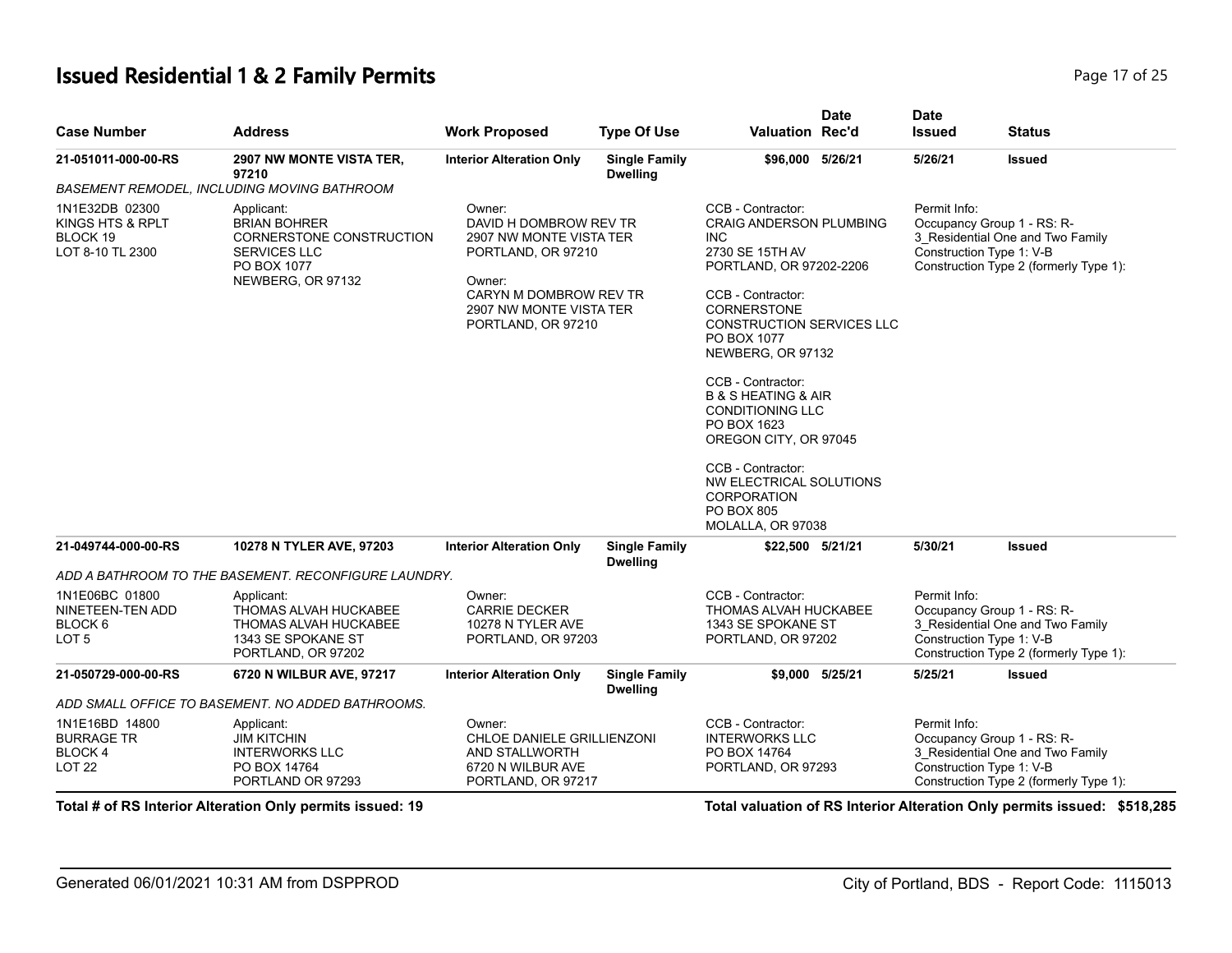#### **Issued Residential 1 & 2 Family Permits Page 17 of 25 Page 17 of 25**

| <b>Case Number</b>                                                    | <b>Address</b>                                                                                                           | <b>Work Proposed</b>                                                                                                                                                   | <b>Type Of Use</b>                      | <b>Date</b><br><b>Valuation Rec'd</b>                                                                                                                                                                                                                                                                                                                                                                                                                | <b>Date</b><br><b>Issued</b>             | <b>Status</b>                                                                                            |
|-----------------------------------------------------------------------|--------------------------------------------------------------------------------------------------------------------------|------------------------------------------------------------------------------------------------------------------------------------------------------------------------|-----------------------------------------|------------------------------------------------------------------------------------------------------------------------------------------------------------------------------------------------------------------------------------------------------------------------------------------------------------------------------------------------------------------------------------------------------------------------------------------------------|------------------------------------------|----------------------------------------------------------------------------------------------------------|
| 21-051011-000-00-RS                                                   | 2907 NW MONTE VISTA TER,<br>97210                                                                                        | <b>Interior Alteration Only</b>                                                                                                                                        | <b>Single Family</b><br><b>Dwelling</b> | \$96,000 5/26/21                                                                                                                                                                                                                                                                                                                                                                                                                                     | 5/26/21                                  | <b>Issued</b>                                                                                            |
|                                                                       | BASEMENT REMODEL, INCLUDING MOVING BATHROOM                                                                              |                                                                                                                                                                        |                                         |                                                                                                                                                                                                                                                                                                                                                                                                                                                      |                                          |                                                                                                          |
| 1N1E32DB 02300<br>KINGS HTS & RPLT<br>BLOCK 19<br>LOT 8-10 TL 2300    | Applicant:<br><b>BRIAN BOHRER</b><br>CORNERSTONE CONSTRUCTION<br><b>SERVICES LLC</b><br>PO BOX 1077<br>NEWBERG, OR 97132 | Owner:<br>DAVID H DOMBROW REV TR<br>2907 NW MONTE VISTA TER<br>PORTLAND, OR 97210<br>Owner:<br>CARYN M DOMBROW REV TR<br>2907 NW MONTE VISTA TER<br>PORTLAND, OR 97210 |                                         | CCB - Contractor:<br><b>CRAIG ANDERSON PLUMBING</b><br><b>INC</b><br>2730 SE 15TH AV<br>PORTLAND, OR 97202-2206<br>CCB - Contractor:<br><b>CORNERSTONE</b><br><b>CONSTRUCTION SERVICES LLC</b><br>PO BOX 1077<br>NEWBERG, OR 97132<br>CCB - Contractor:<br><b>B &amp; S HEATING &amp; AIR</b><br><b>CONDITIONING LLC</b><br>PO BOX 1623<br>OREGON CITY, OR 97045<br>CCB - Contractor:<br>NW ELECTRICAL SOLUTIONS<br>CORPORATION<br><b>PO BOX 805</b> | Permit Info:<br>Construction Type 1: V-B | Occupancy Group 1 - RS: R-<br>3_Residential One and Two Family<br>Construction Type 2 (formerly Type 1): |
|                                                                       |                                                                                                                          |                                                                                                                                                                        |                                         | MOLALLA, OR 97038                                                                                                                                                                                                                                                                                                                                                                                                                                    |                                          |                                                                                                          |
| 21-049744-000-00-RS                                                   | 10278 N TYLER AVE, 97203                                                                                                 | <b>Interior Alteration Only</b>                                                                                                                                        | <b>Single Family</b><br><b>Dwelling</b> | \$22,500 5/21/21                                                                                                                                                                                                                                                                                                                                                                                                                                     | 5/30/21                                  | <b>Issued</b>                                                                                            |
|                                                                       | ADD A BATHROOM TO THE BASEMENT. RECONFIGURE LAUNDRY.                                                                     |                                                                                                                                                                        |                                         |                                                                                                                                                                                                                                                                                                                                                                                                                                                      |                                          |                                                                                                          |
| 1N1E06BC 01800<br>NINETEEN-TEN ADD<br>BLOCK 6<br>LOT <sub>5</sub>     | Applicant:<br>THOMAS ALVAH HUCKABEE<br>THOMAS ALVAH HUCKABEE<br>1343 SE SPOKANE ST<br>PORTLAND, OR 97202                 | Owner:<br><b>CARRIE DECKER</b><br>10278 N TYLER AVE<br>PORTLAND, OR 97203                                                                                              |                                         | CCB - Contractor:<br>THOMAS ALVAH HUCKABEE<br>1343 SE SPOKANE ST<br>PORTLAND, OR 97202                                                                                                                                                                                                                                                                                                                                                               | Permit Info:<br>Construction Type 1: V-B | Occupancy Group 1 - RS: R-<br>3_Residential One and Two Family<br>Construction Type 2 (formerly Type 1): |
| 21-050729-000-00-RS                                                   | 6720 N WILBUR AVE, 97217                                                                                                 | <b>Interior Alteration Only</b>                                                                                                                                        | <b>Single Family</b><br><b>Dwelling</b> | \$9,000 5/25/21                                                                                                                                                                                                                                                                                                                                                                                                                                      | 5/25/21                                  | <b>Issued</b>                                                                                            |
|                                                                       | ADD SMALL OFFICE TO BASEMENT. NO ADDED BATHROOMS.                                                                        |                                                                                                                                                                        |                                         |                                                                                                                                                                                                                                                                                                                                                                                                                                                      |                                          |                                                                                                          |
| 1N1E16BD 14800<br><b>BURRAGE TR</b><br><b>BLOCK4</b><br><b>LOT 22</b> | Applicant:<br><b>JIM KITCHIN</b><br><b>INTERWORKS LLC</b><br>PO BOX 14764<br>PORTLAND OR 97293                           | Owner:<br>CHLOE DANIELE GRILLIENZONI<br>AND STALLWORTH<br>6720 N WILBUR AVE<br>PORTLAND, OR 97217                                                                      |                                         | CCB - Contractor:<br><b>INTERWORKS LLC</b><br>PO BOX 14764<br>PORTLAND, OR 97293                                                                                                                                                                                                                                                                                                                                                                     | Permit Info:<br>Construction Type 1: V-B | Occupancy Group 1 - RS: R-<br>3_Residential One and Two Family<br>Construction Type 2 (formerly Type 1): |

**Total # of RS Interior Alteration Only permits issued: 19 Total valuation of RS Interior Alteration Only permits issued: \$518,285**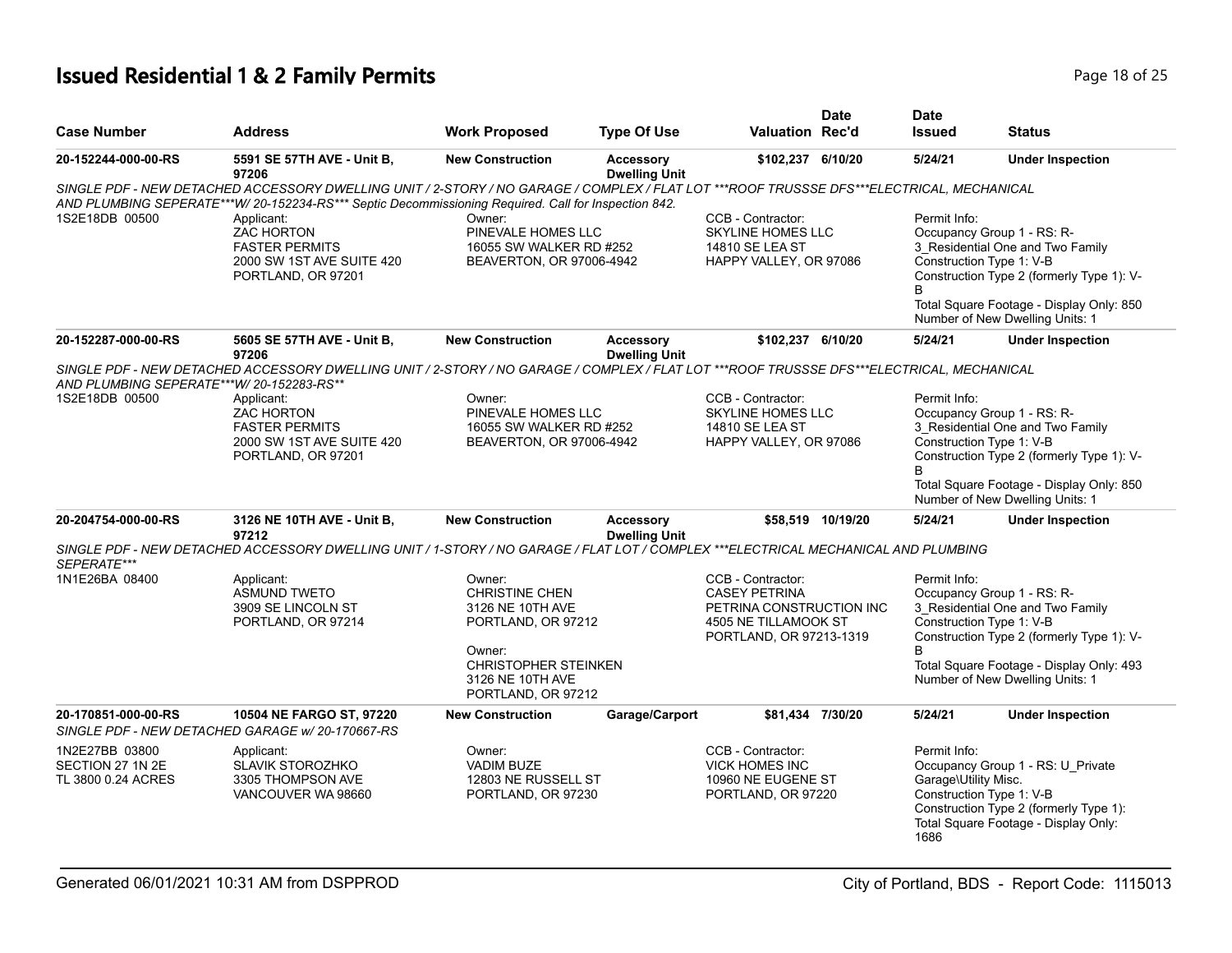# **Issued Residential 1 & 2 Family Permits Page 18 of 25 Page 18 of 25**

| <b>Case Number</b>                                       | <b>Address</b>                                                                                                                                                                                                                                    | <b>Work Proposed</b>                                                                                                                                  | <b>Type Of Use</b>                       | <b>Valuation Rec'd</b>                                                                                                   | <b>Date</b>       | <b>Date</b><br><b>Issued</b>                 | <b>Status</b>                                                                                                                                                                                                          |
|----------------------------------------------------------|---------------------------------------------------------------------------------------------------------------------------------------------------------------------------------------------------------------------------------------------------|-------------------------------------------------------------------------------------------------------------------------------------------------------|------------------------------------------|--------------------------------------------------------------------------------------------------------------------------|-------------------|----------------------------------------------|------------------------------------------------------------------------------------------------------------------------------------------------------------------------------------------------------------------------|
| 20-152244-000-00-RS                                      | 5591 SE 57TH AVE - Unit B,<br>97206                                                                                                                                                                                                               | <b>New Construction</b>                                                                                                                               | <b>Accessory</b><br><b>Dwelling Unit</b> | \$102,237 6/10/20                                                                                                        |                   | 5/24/21                                      | <b>Under Inspection</b>                                                                                                                                                                                                |
|                                                          | SINGLE PDF - NEW DETACHED ACCESSORY DWELLING UNIT / 2-STORY / NO GARAGE / COMPLEX / FLAT LOT ***ROOF TRUSSSE DFS***ELECTRICAL, MECHANICAL<br>AND PLUMBING SEPERATE***W/ 20-152234-RS*** Septic Decommissioning Required. Call for Inspection 842. |                                                                                                                                                       |                                          |                                                                                                                          |                   |                                              |                                                                                                                                                                                                                        |
| 1S2E18DB 00500                                           | Applicant:<br><b>ZAC HORTON</b><br><b>FASTER PERMITS</b><br>2000 SW 1ST AVE SUITE 420<br>PORTLAND, OR 97201                                                                                                                                       | Owner:<br>PINEVALE HOMES LLC<br>16055 SW WALKER RD #252<br>BEAVERTON, OR 97006-4942                                                                   |                                          | CCB - Contractor:<br><b>SKYLINE HOMES LLC</b><br>14810 SE LEA ST<br>HAPPY VALLEY, OR 97086                               |                   | Permit Info:<br>B                            | Occupancy Group 1 - RS: R-<br>3 Residential One and Two Family<br>Construction Type 1: V-B<br>Construction Type 2 (formerly Type 1): V-<br>Total Square Footage - Display Only: 850<br>Number of New Dwelling Units: 1 |
| 20-152287-000-00-RS                                      | 5605 SE 57TH AVE - Unit B,<br>97206                                                                                                                                                                                                               | <b>New Construction</b>                                                                                                                               | <b>Accessory</b><br><b>Dwelling Unit</b> | \$102,237 6/10/20                                                                                                        |                   | 5/24/21                                      | <b>Under Inspection</b>                                                                                                                                                                                                |
| AND PLUMBING SEPERATE***W/20-152283-RS**                 | SINGLE PDF - NEW DETACHED ACCESSORY DWELLING UNIT / 2-STORY / NO GARAGE / COMPLEX / FLAT LOT ***ROOF TRUSSSE DFS***ELECTRICAL, MECHANICAL                                                                                                         |                                                                                                                                                       |                                          |                                                                                                                          |                   |                                              |                                                                                                                                                                                                                        |
| 1S2E18DB 00500                                           | Applicant:<br><b>ZAC HORTON</b><br><b>FASTER PERMITS</b><br>2000 SW 1ST AVE SUITE 420<br>PORTLAND, OR 97201                                                                                                                                       | Owner:<br>PINEVALE HOMES LLC<br>16055 SW WALKER RD #252<br>BEAVERTON, OR 97006-4942                                                                   |                                          | CCB - Contractor:<br><b>SKYLINE HOMES LLC</b><br>14810 SE LEA ST<br>HAPPY VALLEY, OR 97086                               |                   | Permit Info:<br><sub>R</sub>                 | Occupancy Group 1 - RS: R-<br>3_Residential One and Two Family<br>Construction Type 1: V-B<br>Construction Type 2 (formerly Type 1): V-<br>Total Square Footage - Display Only: 850<br>Number of New Dwelling Units: 1 |
| 20-204754-000-00-RS                                      | 3126 NE 10TH AVE - Unit B,<br>97212                                                                                                                                                                                                               | <b>New Construction</b>                                                                                                                               | <b>Accessory</b><br><b>Dwelling Unit</b> |                                                                                                                          | \$58,519 10/19/20 | 5/24/21                                      | <b>Under Inspection</b>                                                                                                                                                                                                |
| SEPERATE***                                              | SINGLE PDF - NEW DETACHED ACCESSORY DWELLING UNIT / 1-STORY / NO GARAGE / FLAT LOT / COMPLEX ***ELECTRICAL MECHANICAL AND PLUMBING                                                                                                                |                                                                                                                                                       |                                          |                                                                                                                          |                   |                                              |                                                                                                                                                                                                                        |
| 1N1E26BA 08400                                           | Applicant:<br><b>ASMUND TWETO</b><br>3909 SE LINCOLN ST<br>PORTLAND, OR 97214                                                                                                                                                                     | Owner:<br>CHRISTINE CHEN<br>3126 NE 10TH AVE<br>PORTLAND, OR 97212<br>Owner:<br><b>CHRISTOPHER STEINKEN</b><br>3126 NE 10TH AVE<br>PORTLAND, OR 97212 |                                          | CCB - Contractor:<br><b>CASEY PETRINA</b><br>PETRINA CONSTRUCTION INC<br>4505 NE TILLAMOOK ST<br>PORTLAND, OR 97213-1319 |                   | Permit Info:                                 | Occupancy Group 1 - RS: R-<br>3 Residential One and Two Family<br>Construction Type 1: V-B<br>Construction Type 2 (formerly Type 1): V-<br>Total Square Footage - Display Only: 493<br>Number of New Dwelling Units: 1 |
| 20-170851-000-00-RS                                      | 10504 NE FARGO ST, 97220<br>SINGLE PDF - NEW DETACHED GARAGE w/20-170667-RS                                                                                                                                                                       | <b>New Construction</b>                                                                                                                               | Garage/Carport                           | \$81,434 7/30/20                                                                                                         |                   | 5/24/21                                      | <b>Under Inspection</b>                                                                                                                                                                                                |
| 1N2E27BB 03800<br>SECTION 27 1N 2E<br>TL 3800 0.24 ACRES | Applicant:<br><b>SLAVIK STOROZHKO</b><br>3305 THOMPSON AVE<br>VANCOUVER WA 98660                                                                                                                                                                  | Owner:<br><b>VADIM BUZE</b><br>12803 NE RUSSELL ST<br>PORTLAND, OR 97230                                                                              |                                          | CCB - Contractor:<br><b>VICK HOMES INC</b><br>10960 NE EUGENE ST<br>PORTLAND, OR 97220                                   |                   | Permit Info:<br>Garage\Utility Misc.<br>1686 | Occupancy Group 1 - RS: U_Private<br>Construction Type 1: V-B<br>Construction Type 2 (formerly Type 1):<br>Total Square Footage - Display Only:                                                                        |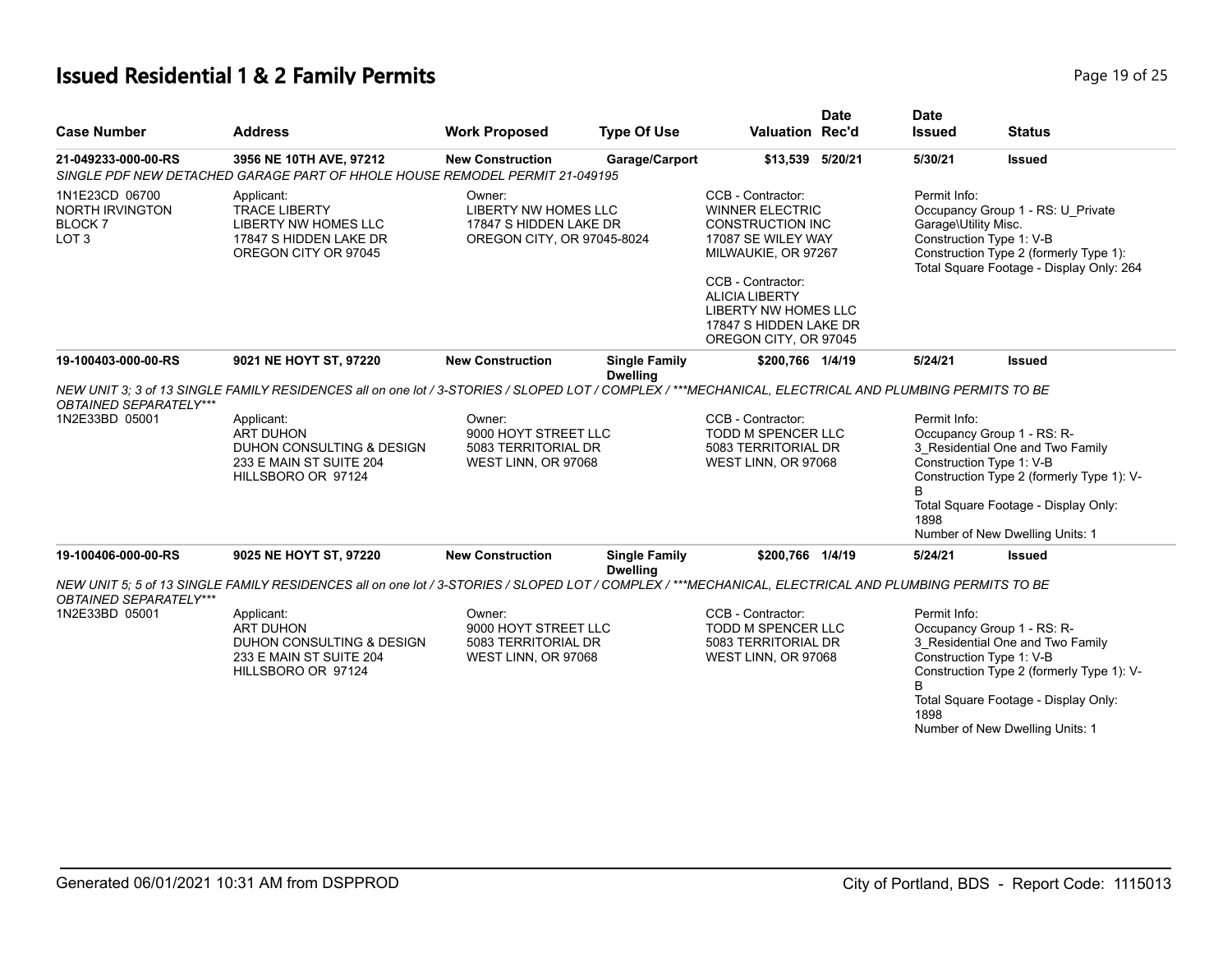# **Issued Residential 1 & 2 Family Permits**

| Page 19 of 25 |  |  |  |  |
|---------------|--|--|--|--|
|---------------|--|--|--|--|

| <b>Address</b>                                                                                                                                                                                | <b>Work Proposed</b>                                    | <b>Type Of Use</b>                                                                            |                                                                                                                                                                                                                                                               | <b>Date</b>                                                                                                                                  | <b>Date</b><br><b>Issued</b>                                                                                                                                                                                                                                                                         | <b>Status</b>                                                                                                                                                                                                                                                                                                                                                                      |
|-----------------------------------------------------------------------------------------------------------------------------------------------------------------------------------------------|---------------------------------------------------------|-----------------------------------------------------------------------------------------------|---------------------------------------------------------------------------------------------------------------------------------------------------------------------------------------------------------------------------------------------------------------|----------------------------------------------------------------------------------------------------------------------------------------------|------------------------------------------------------------------------------------------------------------------------------------------------------------------------------------------------------------------------------------------------------------------------------------------------------|------------------------------------------------------------------------------------------------------------------------------------------------------------------------------------------------------------------------------------------------------------------------------------------------------------------------------------------------------------------------------------|
| 3956 NE 10TH AVE, 97212                                                                                                                                                                       | <b>New Construction</b>                                 |                                                                                               |                                                                                                                                                                                                                                                               | 5/20/21                                                                                                                                      | 5/30/21                                                                                                                                                                                                                                                                                              | <b>Issued</b>                                                                                                                                                                                                                                                                                                                                                                      |
|                                                                                                                                                                                               |                                                         |                                                                                               |                                                                                                                                                                                                                                                               |                                                                                                                                              |                                                                                                                                                                                                                                                                                                      |                                                                                                                                                                                                                                                                                                                                                                                    |
| 1N1E23CD 06700<br>Applicant:<br><b>NORTH IRVINGTON</b><br><b>TRACE LIBERTY</b><br><b>BLOCK7</b><br>LIBERTY NW HOMES LLC<br>LOT <sub>3</sub><br>17847 S HIDDEN LAKE DR<br>OREGON CITY OR 97045 |                                                         | Owner:<br><b>LIBERTY NW HOMES LLC</b><br>17847 S HIDDEN LAKE DR<br>OREGON CITY, OR 97045-8024 |                                                                                                                                                                                                                                                               | <b>WINNER ELECTRIC</b><br><b>CONSTRUCTION INC</b><br>17087 SE WILEY WAY<br>MILWAUKIE, OR 97267<br>CCB - Contractor:<br><b>ALICIA LIBERTY</b> |                                                                                                                                                                                                                                                                                                      | Occupancy Group 1 - RS: U Private<br>Construction Type 2 (formerly Type 1):<br>Total Square Footage - Display Only: 264                                                                                                                                                                                                                                                            |
|                                                                                                                                                                                               |                                                         |                                                                                               |                                                                                                                                                                                                                                                               |                                                                                                                                              |                                                                                                                                                                                                                                                                                                      |                                                                                                                                                                                                                                                                                                                                                                                    |
| 9021 NE HOYT ST, 97220                                                                                                                                                                        | <b>New Construction</b>                                 | <b>Single Family</b>                                                                          |                                                                                                                                                                                                                                                               |                                                                                                                                              | 5/24/21                                                                                                                                                                                                                                                                                              | <b>Issued</b>                                                                                                                                                                                                                                                                                                                                                                      |
|                                                                                                                                                                                               |                                                         |                                                                                               |                                                                                                                                                                                                                                                               |                                                                                                                                              |                                                                                                                                                                                                                                                                                                      |                                                                                                                                                                                                                                                                                                                                                                                    |
| Applicant:<br><b>ART DUHON</b><br>DUHON CONSULTING & DESIGN<br>233 E MAIN ST SUITE 204<br>HILLSBORO OR 97124                                                                                  | Owner:                                                  |                                                                                               | CCB - Contractor:                                                                                                                                                                                                                                             |                                                                                                                                              | Permit Info:                                                                                                                                                                                                                                                                                         | Occupancy Group 1 - RS: R-<br>3_Residential One and Two Family<br>Construction Type 1: V-B<br>Construction Type 2 (formerly Type 1): V-                                                                                                                                                                                                                                            |
|                                                                                                                                                                                               |                                                         |                                                                                               |                                                                                                                                                                                                                                                               |                                                                                                                                              | 1898                                                                                                                                                                                                                                                                                                 | Total Square Footage - Display Only:                                                                                                                                                                                                                                                                                                                                               |
|                                                                                                                                                                                               |                                                         |                                                                                               |                                                                                                                                                                                                                                                               |                                                                                                                                              |                                                                                                                                                                                                                                                                                                      | Number of New Dwelling Units: 1                                                                                                                                                                                                                                                                                                                                                    |
| 9025 NE HOYT ST, 97220                                                                                                                                                                        | <b>New Construction</b>                                 | <b>Single Family</b>                                                                          |                                                                                                                                                                                                                                                               |                                                                                                                                              | 5/24/21                                                                                                                                                                                                                                                                                              | <b>Issued</b>                                                                                                                                                                                                                                                                                                                                                                      |
|                                                                                                                                                                                               |                                                         |                                                                                               |                                                                                                                                                                                                                                                               |                                                                                                                                              |                                                                                                                                                                                                                                                                                                      |                                                                                                                                                                                                                                                                                                                                                                                    |
| Applicant:<br><b>ART DUHON</b><br>DUHON CONSULTING & DESIGN<br>233 E MAIN ST SUITE 204<br>HILLSBORO OR 97124                                                                                  | Owner:                                                  |                                                                                               | CCB - Contractor:                                                                                                                                                                                                                                             |                                                                                                                                              | Permit Info:<br>B                                                                                                                                                                                                                                                                                    | Occupancy Group 1 - RS: R-<br>3_Residential One and Two Family<br>Construction Type 1: V-B<br>Construction Type 2 (formerly Type 1): V-                                                                                                                                                                                                                                            |
|                                                                                                                                                                                               | <b>OBTAINED SEPARATELY***</b><br>OBTAINED SEPARATELY*** |                                                                                               | SINGLE PDF NEW DETACHED GARAGE PART OF HHOLE HOUSE REMODEL PERMIT 21-049195<br><b>Dwelling</b><br>9000 HOYT STREET LLC<br>5083 TERRITORIAL DR<br>WEST LINN, OR 97068<br><b>Dwelling</b><br>9000 HOYT STREET LLC<br>5083 TERRITORIAL DR<br>WEST LINN, OR 97068 | Garage/Carport<br>CCB - Contractor:                                                                                                          | <b>Valuation Rec'd</b><br>\$13,539<br><b>LIBERTY NW HOMES LLC</b><br>17847 S HIDDEN LAKE DR<br>OREGON CITY, OR 97045<br>\$200.766 1/4/19<br>TODD M SPENCER LLC<br>5083 TERRITORIAL DR<br>WEST LINN, OR 97068<br>\$200,766 1/4/19<br>TODD M SPENCER LLC<br>5083 TERRITORIAL DR<br>WEST LINN, OR 97068 | Permit Info:<br>Garage\Utility Misc.<br>Construction Type 1: V-B<br>NEW UNIT 3: 3 of 13 SINGLE FAMILY RESIDENCES all on one lot / 3-STORIES / SLOPED LOT / COMPLEX / ***MECHANICAL, ELECTRICAL AND PLUMBING PERMITS TO BE<br>NEW UNIT 5; 5 of 13 SINGLE FAMILY RESIDENCES all on one lot / 3-STORIES / SLOPED LOT / COMPLEX / ***MECHANICAL, ELECTRICAL AND PLUMBING PERMITS TO BE |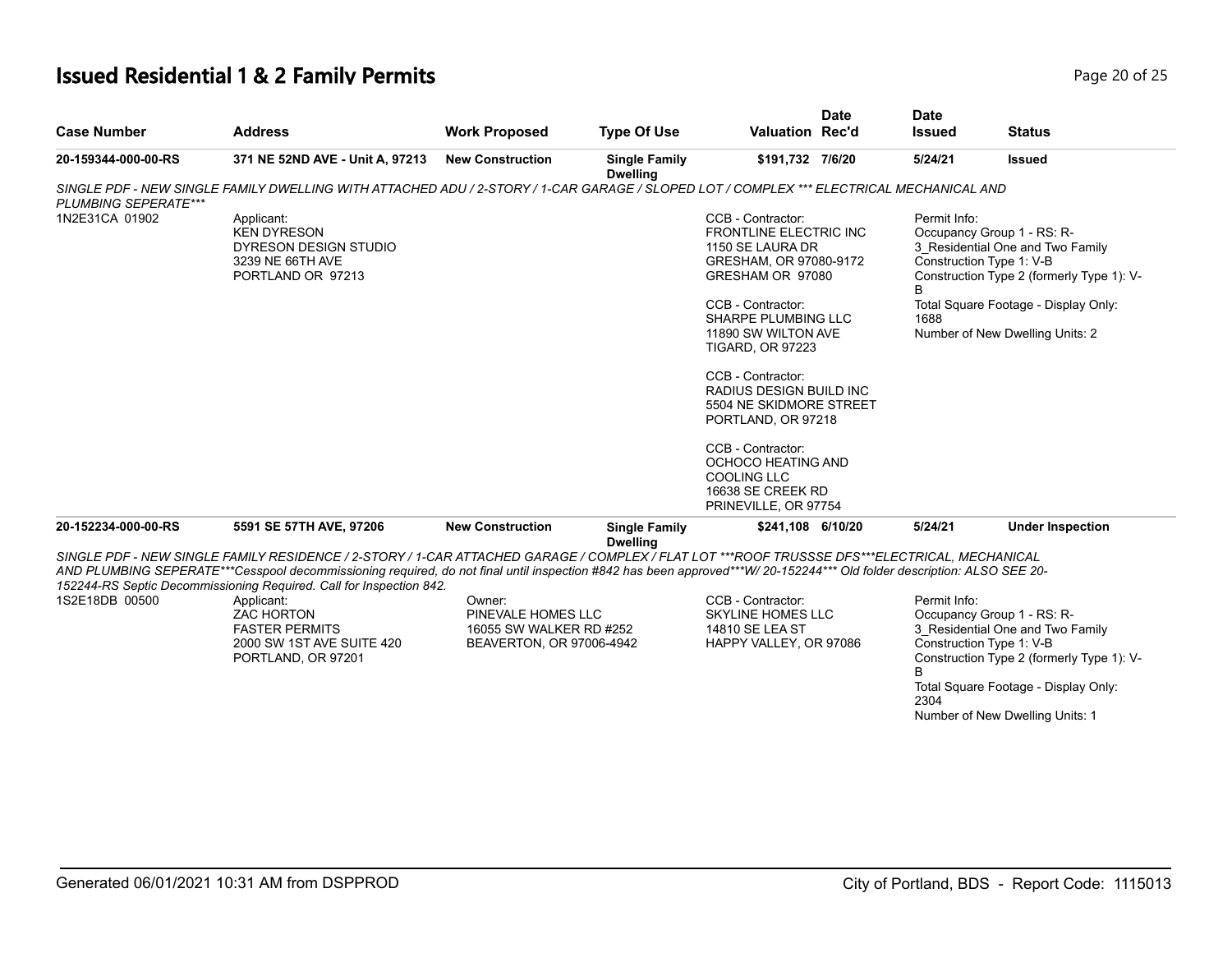# **Issued Residential 1 & 2 Family Permits Page 20 of 25 Page 20 of 25**

| <b>Case Number</b>   | <b>Address</b>                                                                                                                                                                                                                                                                                                                                                                                                                                                                                              | <b>Work Proposed</b>                                                                | <b>Type Of Use</b>                      | <b>Valuation Rec'd</b>                                                                                                                                                                                                                                                                                                                                                                                                                   | <b>Date</b> | <b>Date</b><br><b>Issued</b>                          | <b>Status</b>                                                                                                                                                                                                      |
|----------------------|-------------------------------------------------------------------------------------------------------------------------------------------------------------------------------------------------------------------------------------------------------------------------------------------------------------------------------------------------------------------------------------------------------------------------------------------------------------------------------------------------------------|-------------------------------------------------------------------------------------|-----------------------------------------|------------------------------------------------------------------------------------------------------------------------------------------------------------------------------------------------------------------------------------------------------------------------------------------------------------------------------------------------------------------------------------------------------------------------------------------|-------------|-------------------------------------------------------|--------------------------------------------------------------------------------------------------------------------------------------------------------------------------------------------------------------------|
| 20-159344-000-00-RS  | 371 NE 52ND AVE - Unit A, 97213                                                                                                                                                                                                                                                                                                                                                                                                                                                                             | <b>New Construction</b>                                                             | <b>Single Family</b><br><b>Dwelling</b> | \$191,732 7/6/20                                                                                                                                                                                                                                                                                                                                                                                                                         |             | 5/24/21                                               | <b>Issued</b>                                                                                                                                                                                                      |
| PLUMBING SEPERATE*** | SINGLE PDF - NEW SINGLE FAMILY DWELLING WITH ATTACHED ADU / 2-STORY / 1-CAR GARAGE / SLOPED LOT / COMPLEX *** ELECTRICAL MECHANICAL AND                                                                                                                                                                                                                                                                                                                                                                     |                                                                                     |                                         |                                                                                                                                                                                                                                                                                                                                                                                                                                          |             |                                                       |                                                                                                                                                                                                                    |
| 1N2E31CA 01902       | Applicant:<br><b>KEN DYRESON</b><br>DYRESON DESIGN STUDIO<br>3239 NE 66TH AVE<br>PORTLAND OR 97213                                                                                                                                                                                                                                                                                                                                                                                                          |                                                                                     |                                         | CCB - Contractor:<br><b>FRONTLINE ELECTRIC INC</b><br>1150 SE LAURA DR<br>GRESHAM, OR 97080-9172<br>GRESHAM OR 97080<br>CCB - Contractor:<br>SHARPE PLUMBING LLC<br>11890 SW WILTON AVE<br><b>TIGARD, OR 97223</b><br>CCB - Contractor:<br><b>RADIUS DESIGN BUILD INC</b><br>5504 NE SKIDMORE STREET<br>PORTLAND, OR 97218<br>CCB - Contractor:<br>OCHOCO HEATING AND<br><b>COOLING LLC</b><br>16638 SE CREEK RD<br>PRINEVILLE, OR 97754 |             | Permit Info:<br>Construction Type 1: V-B<br>B<br>1688 | Occupancy Group 1 - RS: R-<br>3_Residential One and Two Family<br>Construction Type 2 (formerly Type 1): V-<br>Total Square Footage - Display Only:<br>Number of New Dwelling Units: 2                             |
| 20-152234-000-00-RS  | 5591 SE 57TH AVE, 97206                                                                                                                                                                                                                                                                                                                                                                                                                                                                                     | <b>New Construction</b>                                                             | <b>Single Family</b>                    | \$241,108 6/10/20                                                                                                                                                                                                                                                                                                                                                                                                                        |             | 5/24/21                                               | <b>Under Inspection</b>                                                                                                                                                                                            |
| 1S2E18DB 00500       | SINGLE PDF - NEW SINGLE FAMILY RESIDENCE / 2-STORY / 1-CAR ATTACHED GARAGE / COMPLEX / FLAT LOT ***ROOF TRUSSSE DFS***ELECTRICAL, MECHANICAL<br>AND PLUMBING SEPERATE***Cesspool decommissioning required, do not final until inspection #842 has been approved***W/20-152244*** Old folder description: ALSO SEE 20-<br>152244-RS Septic Decommissioning Required. Call for Inspection 842.<br>Applicant:<br><b>ZAC HORTON</b><br><b>FASTER PERMITS</b><br>2000 SW 1ST AVE SUITE 420<br>PORTLAND, OR 97201 | Owner:<br>PINEVALE HOMES LLC<br>16055 SW WALKER RD #252<br>BEAVERTON, OR 97006-4942 | <b>Dwelling</b>                         | CCB - Contractor:<br><b>SKYLINE HOMES LLC</b><br>14810 SE LEA ST<br>HAPPY VALLEY, OR 97086                                                                                                                                                                                                                                                                                                                                               |             | Permit Info:<br>B<br>2304                             | Occupancy Group 1 - RS: R-<br>3 Residential One and Two Family<br>Construction Type 1: V-B<br>Construction Type 2 (formerly Type 1): V-<br>Total Square Footage - Display Only:<br>Number of New Dwelling Units: 1 |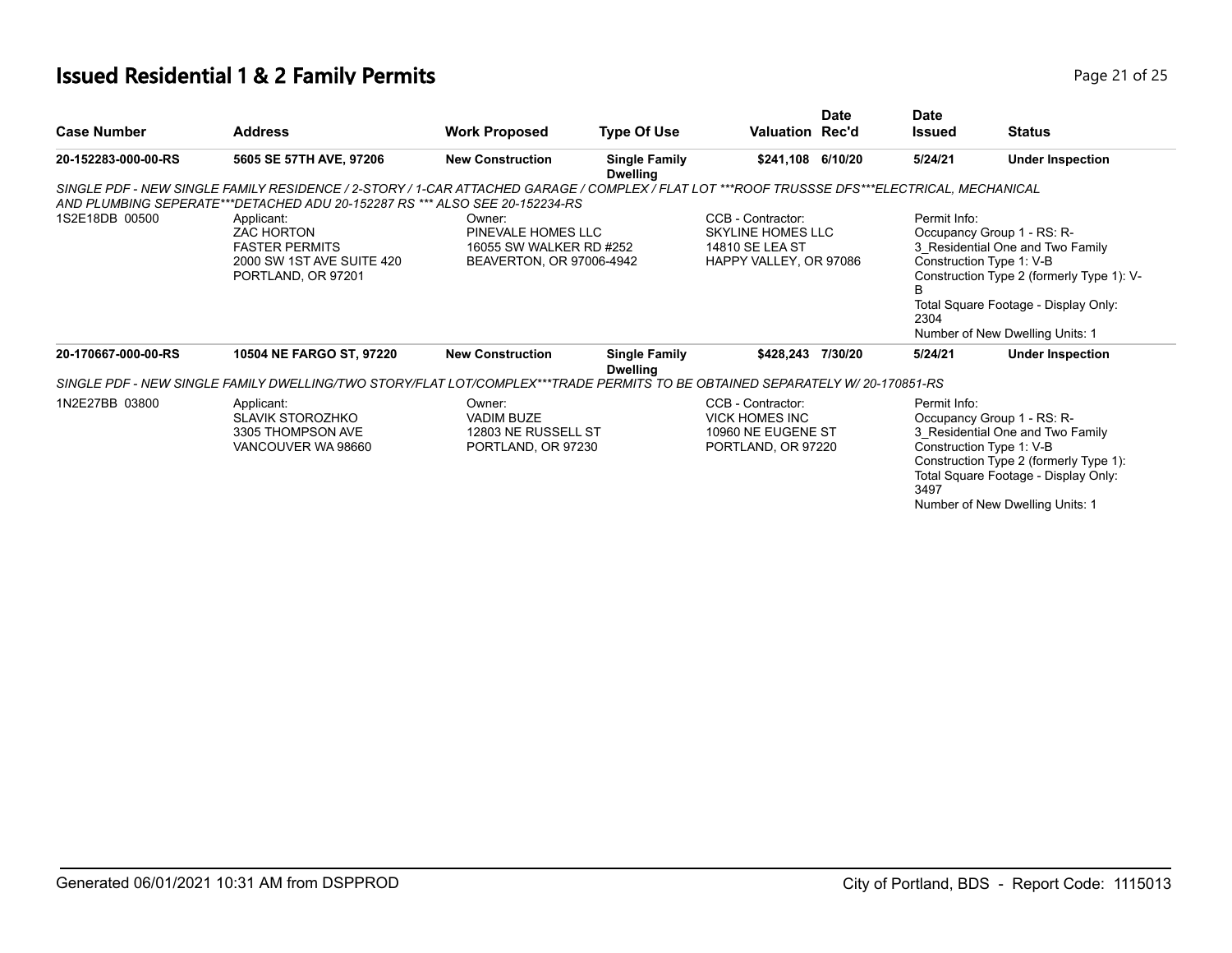# **Issued Residential 1 & 2 Family Permits Page 21 of 25 Page 21 of 25**

| <b>Case Number</b>  | <b>Address</b>                                                                                                                                                                                                              | <b>Work Proposed</b>                                                                | <b>Type Of Use</b>                      | Valuation Rec'd                                                                        | <b>Date</b> | Date<br><b>Issued</b> | <b>Status</b>                                                                                                                                                                                                      |
|---------------------|-----------------------------------------------------------------------------------------------------------------------------------------------------------------------------------------------------------------------------|-------------------------------------------------------------------------------------|-----------------------------------------|----------------------------------------------------------------------------------------|-------------|-----------------------|--------------------------------------------------------------------------------------------------------------------------------------------------------------------------------------------------------------------|
| 20-152283-000-00-RS | 5605 SE 57TH AVE, 97206                                                                                                                                                                                                     | <b>New Construction</b>                                                             | <b>Single Family</b><br><b>Dwelling</b> | \$241,108 6/10/20                                                                      |             | 5/24/21               | <b>Under Inspection</b>                                                                                                                                                                                            |
|                     | SINGLE PDF - NEW SINGLE FAMILY RESIDENCE / 2-STORY / 1-CAR ATTACHED GARAGE / COMPLEX / FLAT LOT ***ROOF TRUSSSE DFS***ELECTRICAL, MECHANICAL<br>AND PLUMBING SEPERATE***DETACHED ADU 20-152287 RS *** ALSO SEE 20-152234-RS |                                                                                     |                                         |                                                                                        |             |                       |                                                                                                                                                                                                                    |
| 1S2E18DB 00500      | Applicant:<br><b>ZAC HORTON</b><br><b>FASTER PERMITS</b><br>2000 SW 1ST AVE SUITE 420<br>PORTLAND, OR 97201                                                                                                                 | Owner:<br>PINEVALE HOMES LLC<br>16055 SW WALKER RD #252<br>BEAVERTON, OR 97006-4942 |                                         | CCB - Contractor:<br>SKYLINE HOMES LLC<br>14810 SE LEA ST<br>HAPPY VALLEY, OR 97086    |             | Permit Info:<br>2304  | Occupancy Group 1 - RS: R-<br>3 Residential One and Two Family<br>Construction Type 1: V-B<br>Construction Type 2 (formerly Type 1): V-<br>Total Square Footage - Display Only:<br>Number of New Dwelling Units: 1 |
| 20-170667-000-00-RS | 10504 NE FARGO ST, 97220                                                                                                                                                                                                    | <b>New Construction</b>                                                             | <b>Single Family</b><br><b>Dwelling</b> | \$428,243 7/30/20                                                                      |             | 5/24/21               | <b>Under Inspection</b>                                                                                                                                                                                            |
|                     | SINGLE PDF - NEW SINGLE FAMILY DWELLING/TWO STORY/FLAT LOT/COMPLEX***TRADE PERMITS TO BE OBTAINED SEPARATELY W/ 20-170851-RS                                                                                                |                                                                                     |                                         |                                                                                        |             |                       |                                                                                                                                                                                                                    |
| 1N2E27BB 03800      | Applicant:<br><b>SLAVIK STOROZHKO</b><br>3305 THOMPSON AVE<br>VANCOUVER WA 98660                                                                                                                                            | Owner:<br><b>VADIM BUZE</b><br>12803 NE RUSSELL ST<br>PORTLAND, OR 97230            |                                         | CCB - Contractor:<br><b>VICK HOMES INC</b><br>10960 NE EUGENE ST<br>PORTLAND, OR 97220 |             | Permit Info:<br>3497  | Occupancy Group 1 - RS: R-<br>3 Residential One and Two Family<br>Construction Type 1: V-B<br>Construction Type 2 (formerly Type 1):<br>Total Square Footage - Display Only:<br>Number of New Dwelling Units: 1    |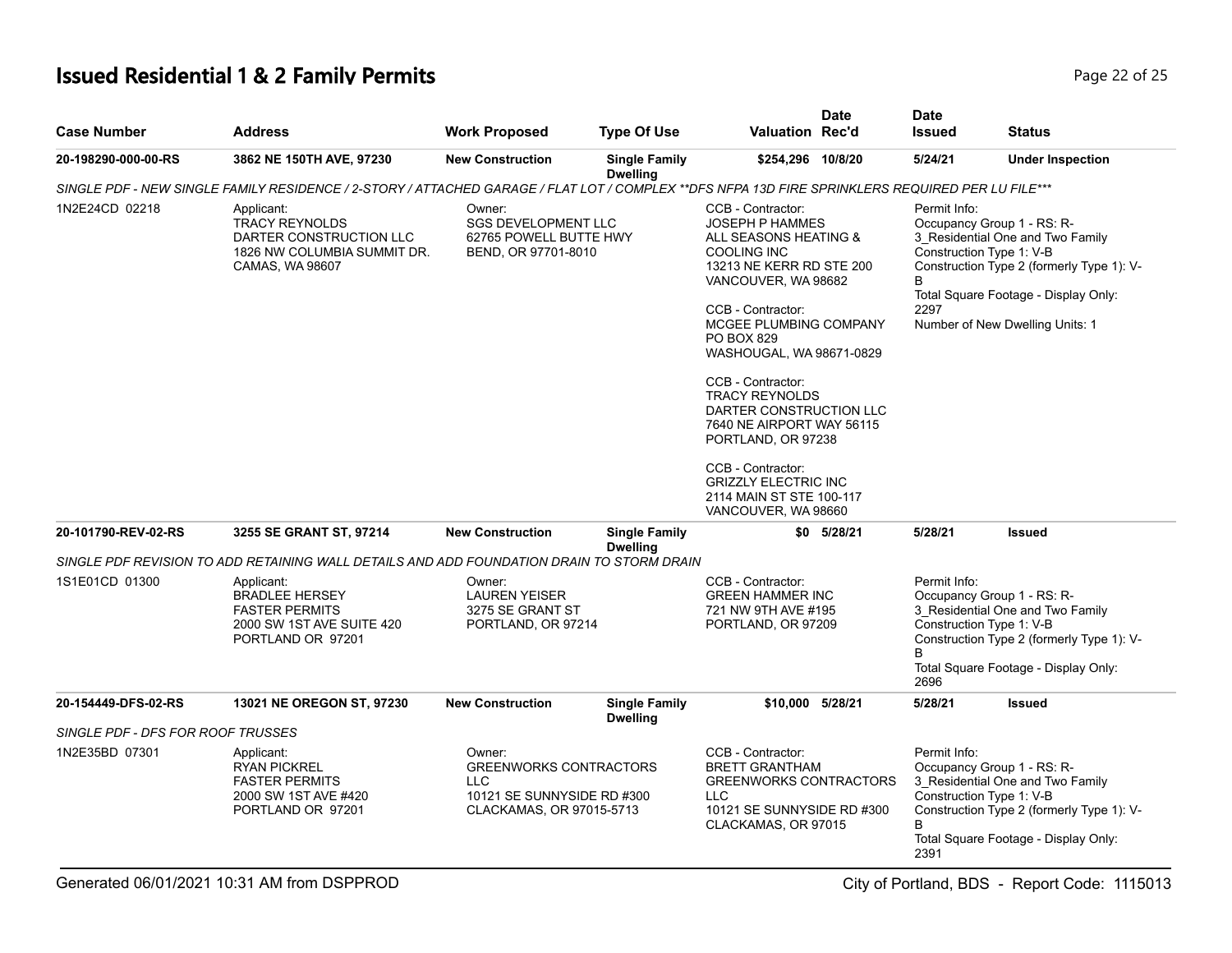# **Issued Residential 1 & 2 Family Permits Page 22 of 25 Page 22 of 25**

| <b>Case Number</b>                | <b>Address</b>                                                                                                                                   | <b>Work Proposed</b>                                                                                            | <b>Type Of Use</b>                                                                        | Valuation Rec'd                                                                                                                                                                                                                                                                                                                                                                                                                                                           | <b>Date</b> | <b>Date</b><br><b>Issued</b>                                                                                                                                                                                                                    | <b>Status</b>                                                                                                                                       |
|-----------------------------------|--------------------------------------------------------------------------------------------------------------------------------------------------|-----------------------------------------------------------------------------------------------------------------|-------------------------------------------------------------------------------------------|---------------------------------------------------------------------------------------------------------------------------------------------------------------------------------------------------------------------------------------------------------------------------------------------------------------------------------------------------------------------------------------------------------------------------------------------------------------------------|-------------|-------------------------------------------------------------------------------------------------------------------------------------------------------------------------------------------------------------------------------------------------|-----------------------------------------------------------------------------------------------------------------------------------------------------|
| 20-198290-000-00-RS               | 3862 NE 150TH AVE, 97230                                                                                                                         | <b>New Construction</b>                                                                                         | <b>Single Family</b><br><b>Dwelling</b>                                                   | \$254,296 10/8/20                                                                                                                                                                                                                                                                                                                                                                                                                                                         |             | 5/24/21                                                                                                                                                                                                                                         | <b>Under Inspection</b>                                                                                                                             |
|                                   | SINGLE PDF - NEW SINGLE FAMILY RESIDENCE / 2-STORY / ATTACHED GARAGE / FLAT LOT / COMPLEX **DFS NFPA 13D FIRE SPRINKLERS REQUIRED PER LU FILE*** |                                                                                                                 |                                                                                           |                                                                                                                                                                                                                                                                                                                                                                                                                                                                           |             |                                                                                                                                                                                                                                                 |                                                                                                                                                     |
| 1N2E24CD 02218                    | Applicant:<br><b>TRACY REYNOLDS</b><br>DARTER CONSTRUCTION LLC<br>1826 NW COLUMBIA SUMMIT DR.<br>CAMAS, WA 98607                                 | Owner:<br><b>SGS DEVELOPMENT LLC</b><br>62765 POWELL BUTTE HWY<br>BEND, OR 97701-8010                           |                                                                                           | CCB - Contractor:<br><b>JOSEPH P HAMMES</b><br>ALL SEASONS HEATING &<br><b>COOLING INC</b><br>13213 NE KERR RD STE 200<br>VANCOUVER, WA 98682<br>CCB - Contractor:<br>MCGEE PLUMBING COMPANY<br>PO BOX 829<br>WASHOUGAL, WA 98671-0829<br>CCB - Contractor:<br><b>TRACY REYNOLDS</b><br>DARTER CONSTRUCTION LLC<br>7640 NE AIRPORT WAY 56115<br>PORTLAND, OR 97238<br>CCB - Contractor:<br><b>GRIZZLY ELECTRIC INC</b><br>2114 MAIN ST STE 100-117<br>VANCOUVER, WA 98660 |             | Permit Info:<br>Occupancy Group 1 - RS: R-<br>3_Residential One and Two Family<br>Construction Type 1: V-B<br>Construction Type 2 (formerly Type 1): V-<br>R<br>Total Square Footage - Display Only:<br>2297<br>Number of New Dwelling Units: 1 |                                                                                                                                                     |
| 20-101790-REV-02-RS               | 3255 SE GRANT ST, 97214                                                                                                                          | <b>New Construction</b>                                                                                         | <b>Single Family</b><br><b>Dwelling</b>                                                   |                                                                                                                                                                                                                                                                                                                                                                                                                                                                           | \$0 5/28/21 | 5/28/21                                                                                                                                                                                                                                         | <b>Issued</b>                                                                                                                                       |
|                                   | SINGLE PDF REVISION TO ADD RETAINING WALL DETAILS AND ADD FOUNDATION DRAIN TO STORM DRAIN                                                        |                                                                                                                 |                                                                                           |                                                                                                                                                                                                                                                                                                                                                                                                                                                                           |             |                                                                                                                                                                                                                                                 |                                                                                                                                                     |
| 1S1E01CD 01300                    | Applicant:<br><b>BRADLEE HERSEY</b><br><b>FASTER PERMITS</b><br>2000 SW 1ST AVE SUITE 420<br>PORTLAND OR 97201                                   | Owner:<br><b>LAUREN YEISER</b><br>3275 SE GRANT ST<br>PORTLAND, OR 97214                                        | CCB - Contractor:<br><b>GREEN HAMMER INC</b><br>721 NW 9TH AVE #195<br>PORTLAND, OR 97209 |                                                                                                                                                                                                                                                                                                                                                                                                                                                                           |             | Permit Info:<br>Occupancy Group 1 - RS: R-<br>3 Residential One and Two Family<br>Construction Type 1: V-B<br>Construction Type 2 (formerly Type 1): V-<br><sub>R</sub><br>Total Square Footage - Display Only:<br>2696                         |                                                                                                                                                     |
| 20-154449-DFS-02-RS               | 13021 NE OREGON ST, 97230                                                                                                                        | <b>New Construction</b>                                                                                         | <b>Single Family</b><br><b>Dwelling</b>                                                   | \$10,000 5/28/21                                                                                                                                                                                                                                                                                                                                                                                                                                                          |             | 5/28/21                                                                                                                                                                                                                                         | <b>Issued</b>                                                                                                                                       |
| SINGLE PDF - DFS FOR ROOF TRUSSES |                                                                                                                                                  |                                                                                                                 |                                                                                           |                                                                                                                                                                                                                                                                                                                                                                                                                                                                           |             |                                                                                                                                                                                                                                                 |                                                                                                                                                     |
| 1N2E35BD 07301                    | Applicant:<br><b>RYAN PICKREL</b><br><b>FASTER PERMITS</b><br>2000 SW 1ST AVE #420<br>PORTLAND OR 97201                                          | Owner:<br><b>GREENWORKS CONTRACTORS</b><br><b>LLC</b><br>10121 SE SUNNYSIDE RD #300<br>CLACKAMAS, OR 97015-5713 |                                                                                           | CCB - Contractor:<br><b>BRETT GRANTHAM</b><br><b>GREENWORKS CONTRACTORS</b><br><b>LLC</b><br>10121 SE SUNNYSIDE RD #300<br>CLACKAMAS, OR 97015                                                                                                                                                                                                                                                                                                                            |             | Permit Info:<br>Construction Type 1: V-B<br>R<br>2391                                                                                                                                                                                           | Occupancy Group 1 - RS: R-<br>3 Residential One and Two Family<br>Construction Type 2 (formerly Type 1): V-<br>Total Square Footage - Display Only: |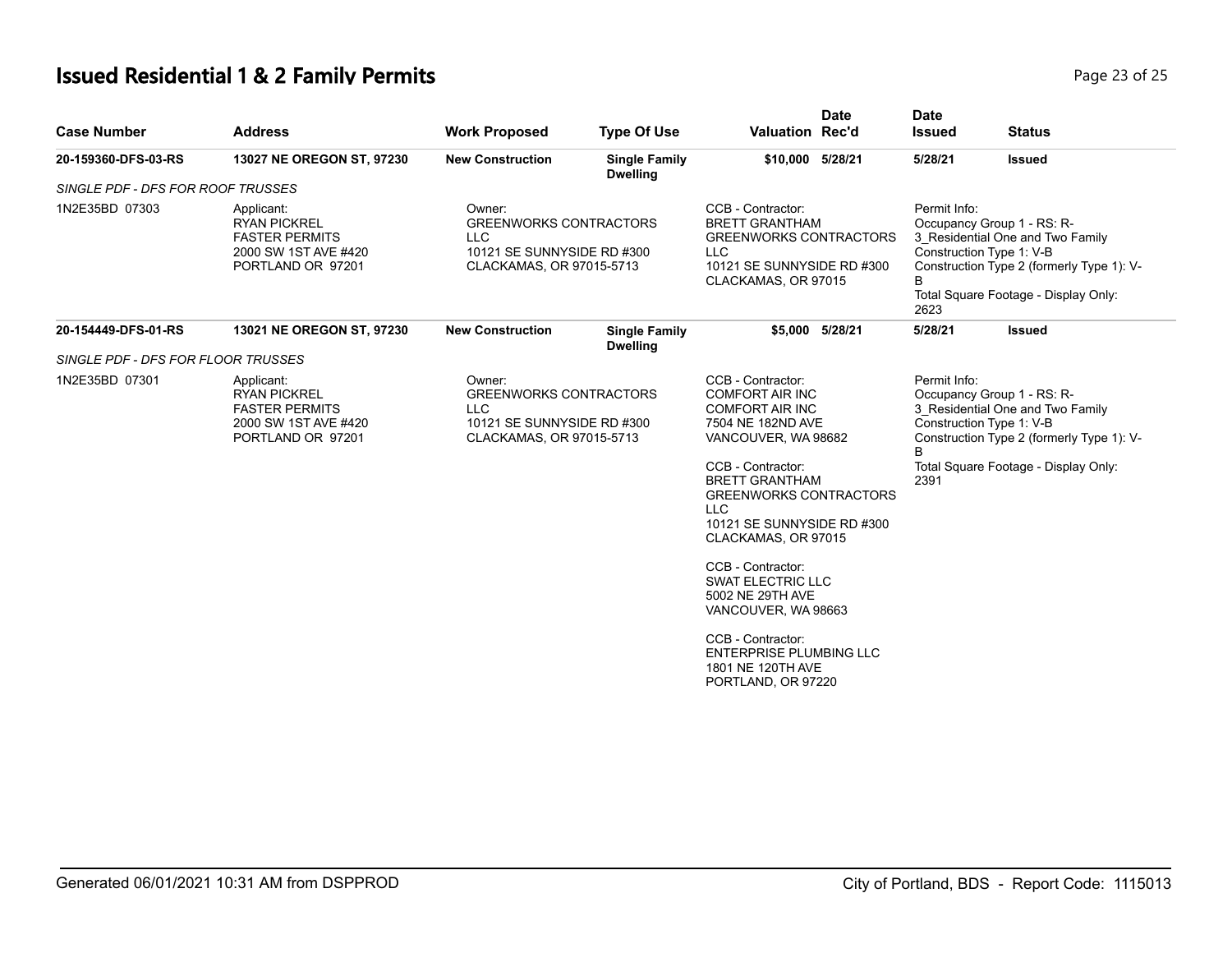# **Issued Residential 1 & 2 Family Permits Page 23 of 25** and **Page 23 of 25**

| <b>Case Number</b>                 | <b>Address</b>                                                                                          | <b>Work Proposed</b>                                                                                            | <b>Type Of Use</b>                      | <b>Valuation Rec'd</b>                                                                                                                                                                                                                                              | <b>Date</b>     | <b>Date</b><br><b>Issued</b>                                                                                                                                                                                 | <b>Status</b> |
|------------------------------------|---------------------------------------------------------------------------------------------------------|-----------------------------------------------------------------------------------------------------------------|-----------------------------------------|---------------------------------------------------------------------------------------------------------------------------------------------------------------------------------------------------------------------------------------------------------------------|-----------------|--------------------------------------------------------------------------------------------------------------------------------------------------------------------------------------------------------------|---------------|
| 20-159360-DFS-03-RS                | 13027 NE OREGON ST, 97230                                                                               | <b>New Construction</b>                                                                                         | <b>Single Family</b><br><b>Dwelling</b> | \$10,000 5/28/21                                                                                                                                                                                                                                                    |                 | 5/28/21                                                                                                                                                                                                      | <b>Issued</b> |
| SINGLE PDF - DFS FOR ROOF TRUSSES  |                                                                                                         |                                                                                                                 |                                         |                                                                                                                                                                                                                                                                     |                 |                                                                                                                                                                                                              |               |
| 1N2E35BD 07303                     | Applicant:<br><b>RYAN PICKREL</b><br><b>FASTER PERMITS</b><br>2000 SW 1ST AVE #420<br>PORTLAND OR 97201 | Owner:<br><b>GREENWORKS CONTRACTORS</b><br><b>LLC</b><br>10121 SE SUNNYSIDE RD #300<br>CLACKAMAS, OR 97015-5713 |                                         | CCB - Contractor:<br><b>BRETT GRANTHAM</b><br><b>GREENWORKS CONTRACTORS</b><br><b>LLC</b><br>10121 SE SUNNYSIDE RD #300<br>CLACKAMAS, OR 97015                                                                                                                      |                 | Permit Info:<br>Occupancy Group 1 - RS: R-<br>3 Residential One and Two Family<br>Construction Type 1: V-B<br>Construction Type 2 (formerly Type 1): V-<br>B<br>Total Square Footage - Display Only:<br>2623 |               |
| 20-154449-DFS-01-RS                | 13021 NE OREGON ST, 97230                                                                               | <b>New Construction</b>                                                                                         | <b>Single Family</b><br><b>Dwelling</b> |                                                                                                                                                                                                                                                                     | \$5,000 5/28/21 | 5/28/21                                                                                                                                                                                                      | <b>Issued</b> |
| SINGLE PDF - DFS FOR FLOOR TRUSSES |                                                                                                         |                                                                                                                 |                                         |                                                                                                                                                                                                                                                                     |                 |                                                                                                                                                                                                              |               |
| 1N2E35BD 07301                     | Applicant:<br><b>RYAN PICKREL</b><br><b>FASTER PERMITS</b><br>2000 SW 1ST AVE #420<br>PORTLAND OR 97201 | Owner:<br><b>GREENWORKS CONTRACTORS</b><br><b>LLC</b><br>10121 SE SUNNYSIDE RD #300<br>CLACKAMAS, OR 97015-5713 |                                         | CCB - Contractor:<br><b>COMFORT AIR INC</b><br><b>COMFORT AIR INC</b><br>7504 NE 182ND AVE<br>VANCOUVER, WA 98682<br>CCB - Contractor:<br><b>BRETT GRANTHAM</b><br><b>GREENWORKS CONTRACTORS</b><br><b>LLC</b><br>10121 SE SUNNYSIDE RD #300<br>CLACKAMAS, OR 97015 |                 | Permit Info:<br>Occupancy Group 1 - RS: R-<br>3 Residential One and Two Family<br>Construction Type 1: V-B<br>Construction Type 2 (formerly Type 1): V-<br>R<br>Total Square Footage - Display Only:<br>2391 |               |
|                                    |                                                                                                         |                                                                                                                 |                                         |                                                                                                                                                                                                                                                                     |                 |                                                                                                                                                                                                              |               |
|                                    |                                                                                                         |                                                                                                                 |                                         | CCB - Contractor:<br><b>SWAT ELECTRIC LLC</b><br>5002 NE 29TH AVE<br>VANCOUVER, WA 98663                                                                                                                                                                            |                 |                                                                                                                                                                                                              |               |
|                                    |                                                                                                         |                                                                                                                 |                                         | CCB - Contractor:<br><b>ENTERPRISE PLUMBING LLC</b><br>1801 NE 120TH AVE<br>PORTLAND, OR 97220                                                                                                                                                                      |                 |                                                                                                                                                                                                              |               |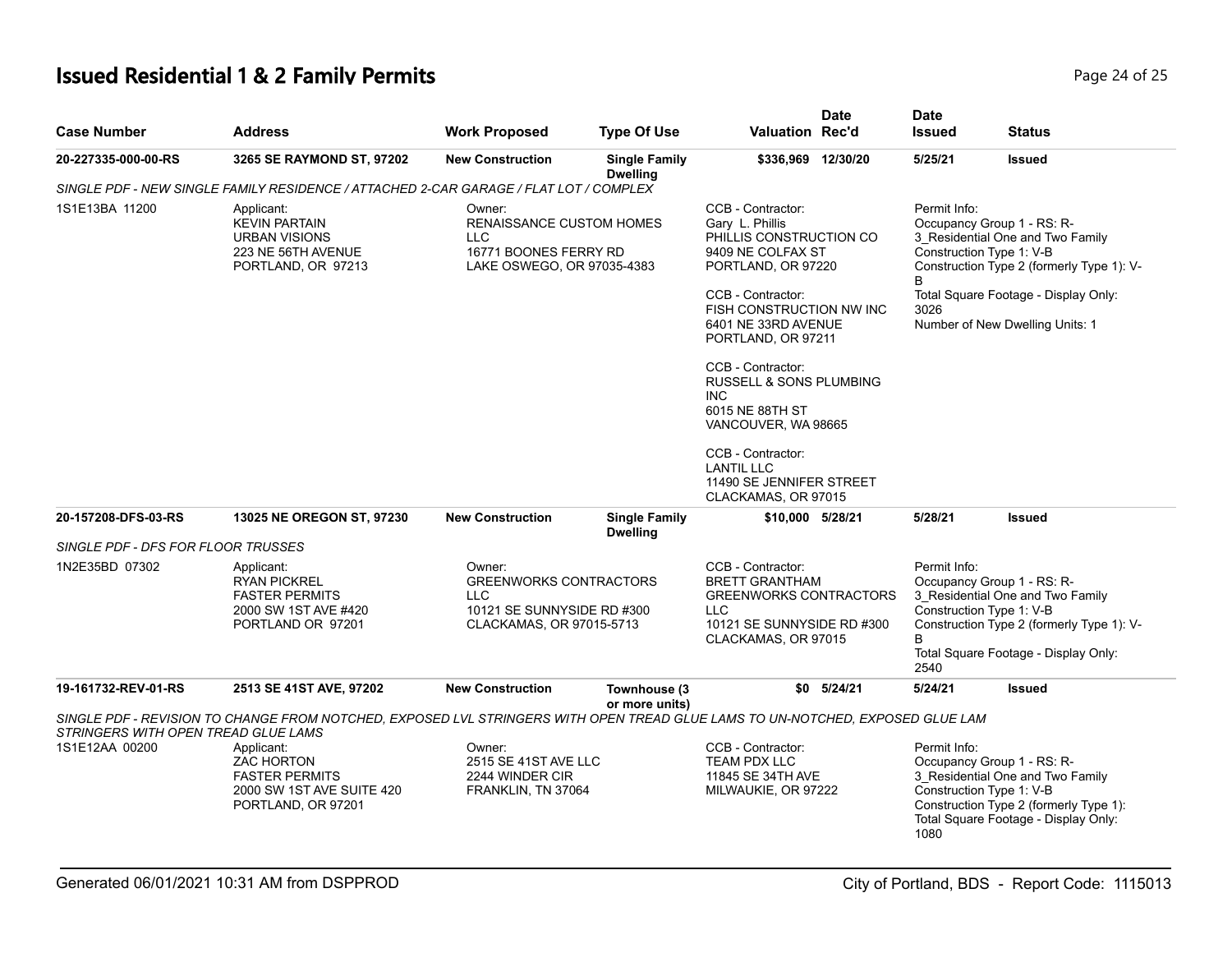# **Issued Residential 1 & 2 Family Permits Page 24 of 25 Page 24 of 25**

| <b>Case Number</b>                  | <b>Address</b>                                                                                                                | <b>Work Proposed</b>                                                                                            | <b>Type Of Use</b>                                                                     | <b>Valuation Rec'd</b>                                                                                                                  | <b>Date</b>                                                                                                | <b>Date</b><br><b>Issued</b>                                                                                                                                                                                 | <b>Status</b>                                                                                                                                                |  |  |
|-------------------------------------|-------------------------------------------------------------------------------------------------------------------------------|-----------------------------------------------------------------------------------------------------------------|----------------------------------------------------------------------------------------|-----------------------------------------------------------------------------------------------------------------------------------------|------------------------------------------------------------------------------------------------------------|--------------------------------------------------------------------------------------------------------------------------------------------------------------------------------------------------------------|--------------------------------------------------------------------------------------------------------------------------------------------------------------|--|--|
| 20-227335-000-00-RS                 | 3265 SE RAYMOND ST, 97202                                                                                                     | <b>New Construction</b>                                                                                         | <b>Single Family</b><br><b>Dwelling</b>                                                | \$336,969 12/30/20                                                                                                                      |                                                                                                            | 5/25/21                                                                                                                                                                                                      | <b>Issued</b>                                                                                                                                                |  |  |
|                                     | SINGLE PDF - NEW SINGLE FAMILY RESIDENCE / ATTACHED 2-CAR GARAGE / FLAT LOT / COMPLEX                                         |                                                                                                                 |                                                                                        |                                                                                                                                         |                                                                                                            |                                                                                                                                                                                                              |                                                                                                                                                              |  |  |
| 1S1E13BA 11200                      | Applicant:<br><b>KEVIN PARTAIN</b><br><b>URBAN VISIONS</b><br>223 NE 56TH AVENUE<br>PORTLAND, OR 97213                        | Owner:<br><b>LLC</b>                                                                                            | <b>RENAISSANCE CUSTOM HOMES</b><br>16771 BOONES FERRY RD<br>LAKE OSWEGO, OR 97035-4383 |                                                                                                                                         | CCB - Contractor:<br>Gary L. Phillis<br>PHILLIS CONSTRUCTION CO<br>9409 NE COLFAX ST<br>PORTLAND, OR 97220 |                                                                                                                                                                                                              | Permit Info:<br>Occupancy Group 1 - RS: R-<br>3 Residential One and Two Family<br>Construction Type 1: V-B<br>Construction Type 2 (formerly Type 1): V-<br>R |  |  |
|                                     |                                                                                                                               |                                                                                                                 |                                                                                        | CCB - Contractor:<br>FISH CONSTRUCTION NW INC<br>6401 NE 33RD AVENUE<br>PORTLAND, OR 97211                                              |                                                                                                            | 3026                                                                                                                                                                                                         | Total Square Footage - Display Only:<br>Number of New Dwelling Units: 1                                                                                      |  |  |
|                                     |                                                                                                                               |                                                                                                                 |                                                                                        | CCB - Contractor:<br><b>RUSSELL &amp; SONS PLUMBING</b><br><b>INC</b><br>6015 NE 88TH ST<br>VANCOUVER, WA 98665                         |                                                                                                            |                                                                                                                                                                                                              |                                                                                                                                                              |  |  |
|                                     |                                                                                                                               |                                                                                                                 |                                                                                        | CCB - Contractor:<br><b>LANTIL LLC</b><br>11490 SE JENNIFER STREET<br>CLACKAMAS, OR 97015                                               |                                                                                                            |                                                                                                                                                                                                              |                                                                                                                                                              |  |  |
| 20-157208-DFS-03-RS                 | 13025 NE OREGON ST, 97230                                                                                                     | <b>New Construction</b>                                                                                         | <b>Single Family</b><br><b>Dwelling</b>                                                | \$10,000 5/28/21                                                                                                                        |                                                                                                            | 5/28/21                                                                                                                                                                                                      | <b>Issued</b>                                                                                                                                                |  |  |
| SINGLE PDF - DFS FOR FLOOR TRUSSES  |                                                                                                                               |                                                                                                                 |                                                                                        |                                                                                                                                         |                                                                                                            |                                                                                                                                                                                                              |                                                                                                                                                              |  |  |
| 1N2E35BD 07302                      | Applicant:<br><b>RYAN PICKREL</b><br><b>FASTER PERMITS</b><br>2000 SW 1ST AVE #420<br>PORTLAND OR 97201                       | Owner:<br><b>GREENWORKS CONTRACTORS</b><br><b>LLC</b><br>10121 SE SUNNYSIDE RD #300<br>CLACKAMAS, OR 97015-5713 |                                                                                        | CCB - Contractor:<br><b>BRETT GRANTHAM</b><br><b>GREENWORKS CONTRACTORS</b><br>LLC<br>10121 SE SUNNYSIDE RD #300<br>CLACKAMAS, OR 97015 |                                                                                                            | Permit Info:<br>Occupancy Group 1 - RS: R-<br>3 Residential One and Two Family<br>Construction Type 1: V-B<br>Construction Type 2 (formerly Type 1): V-<br>B<br>Total Square Footage - Display Only:<br>2540 |                                                                                                                                                              |  |  |
| 19-161732-REV-01-RS                 | 2513 SE 41ST AVE, 97202                                                                                                       | <b>New Construction</b>                                                                                         | Townhouse (3                                                                           |                                                                                                                                         | $$0$ $5/24/21$                                                                                             | 5/24/21                                                                                                                                                                                                      | <b>Issued</b>                                                                                                                                                |  |  |
| STRINGERS WITH OPEN TREAD GLUE LAMS | SINGLE PDF - REVISION TO CHANGE FROM NOTCHED. EXPOSED LVL STRINGERS WITH OPEN TREAD GLUE LAMS TO UN-NOTCHED. EXPOSED GLUE LAM |                                                                                                                 | or more units)                                                                         |                                                                                                                                         |                                                                                                            |                                                                                                                                                                                                              |                                                                                                                                                              |  |  |
| 1S1E12AA 00200                      | Applicant:<br><b>ZAC HORTON</b><br><b>FASTER PERMITS</b><br>2000 SW 1ST AVE SUITE 420<br>PORTLAND, OR 97201                   | Owner:<br>2515 SE 41ST AVE LLC<br>2244 WINDER CIR<br>FRANKLIN, TN 37064                                         |                                                                                        | CCB - Contractor:<br>TEAM PDX LLC<br>11845 SE 34TH AVE<br>MILWAUKIE, OR 97222                                                           |                                                                                                            | Permit Info:<br>Construction Type 1: V-B<br>1080                                                                                                                                                             | Occupancy Group 1 - RS: R-<br>3 Residential One and Two Family<br>Construction Type 2 (formerly Type 1):<br>Total Square Footage - Display Only:             |  |  |